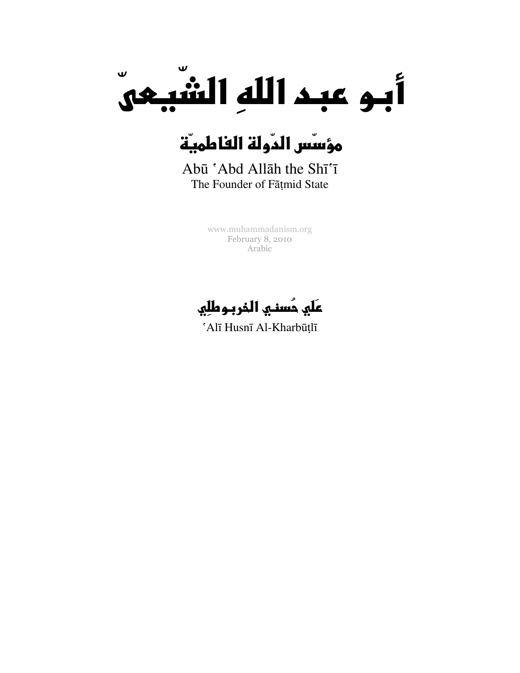

# مؤسِّس الدَّولة الفاطميَّة

Abū 'Abd Allāh the Shī'ī The Founder of Fāṭmid State

> [www.muhammadanism.org](http://www.muhammadanism.org/Arabic/default.htm)  February 8, 2010 Arabic

عَلَي حُسني الذربوطلِي

'Alī Husnī Al-Kharbūṭlī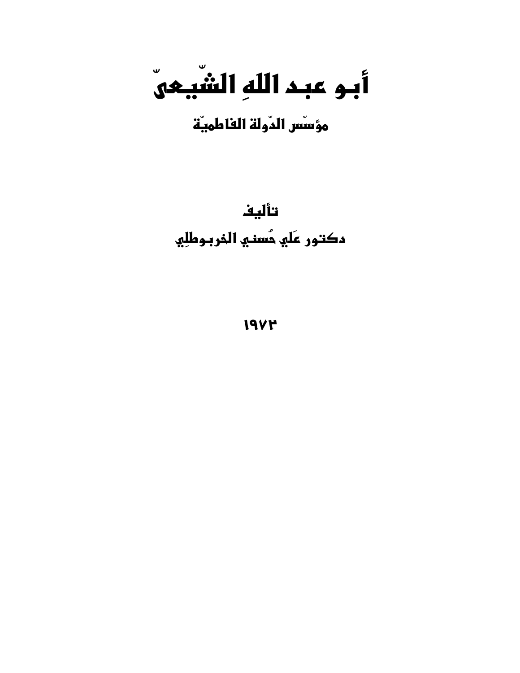أبو عبد اللهِ الشَّيعيّ

مؤسّس الدّولة الفاطميّة

تأليف دكتور عَلَي حُسني الذربوطلِي

**19VM**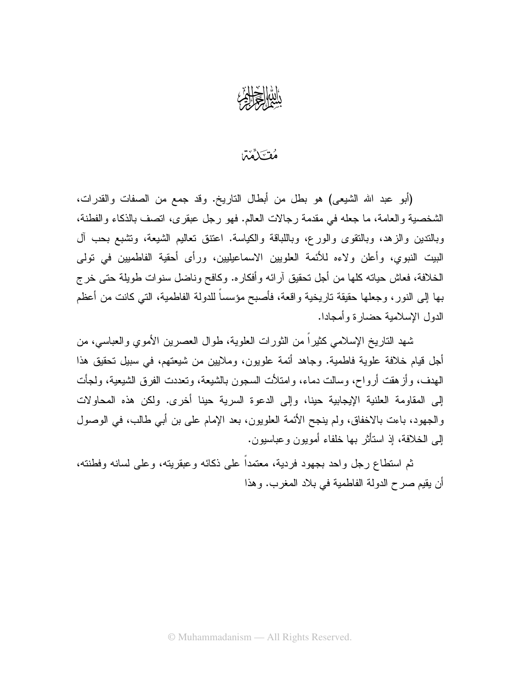

#### مُقْتَلَمَّمَّا

(أبو عبد الله الشيعي) هو بطل من أبطال التاريخ. وقد جمع من الصفات والقدرات، الشخصية والعامة، ما جعله في مقدمة رجالات العالم. فهو رجل عبقري، انصف بالذكاء والفطنة، وبالندين والزهد، وبالنقوى والورع، وباللباقة والكياسة. اعتنق نعاليم الشيعة، ونشبع بحب أل البيت النبوي، وأعلن ولاءه للأئمة العلويين الاسماعيليين، ورأى أحقية الفاطميين في تولى الخلافة، فعاش حياته كلَّها من أجل تحقيق آرائه وأفكاره. وكافح وناضل سنوات طويلة حتى خرج بها إلى النور، وجعلها حقيقة ناريخية واقعة، فأصبح مؤسساً للدولة الفاطمية، التي كانت من أعظم الدول الإسلامية حضارة وأمجادا.

شهد الناريخ الإسلامي كثيراً من الثورات العلوية، طوال العصرين الأموى والعباسي، من أجل قيام خلافة علوية فاطمية. وجاهد أئمة علويون، وملايين من شيعتهم، في سبيل نحقيق هذا الـهدف، وأز هقت أرواح، وسالت دماء، وامتلأت السجون بالشيعة، وتعددت الفرق الشيعية، ولـجأت إلى المقاومة العلنية الإيجابية حينا، وإلى الدعوة السرية حينا أخرى. ولكن هذه المحاولات والجهود، باءت بالاخفاق، ولم ينجح الأئمة العلويون، بعد الإمام على بن أبي طالب، في الوصول إلى الخلافة، إذ استأثر بها خلفاء أمويون وعباسيون.

ثم استطاع رجل واحد بجهود فردية، معتمداً على ذكائه وعبقريته، وعلى لسانه وفطنته، أن يقيم صرح الدولة الفاطمية في بلاد المغرب. وهذا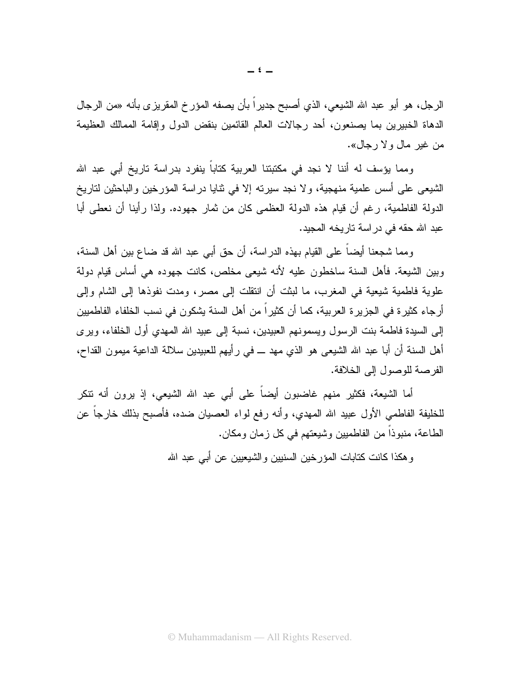الرجل، هو أبو عبد الله الشيعي، الذي أصبح جديراً بأن يصفه المؤرخ المقريزي بأنه «من الرجال الدهاة الخبيرين بما يصنعون، أحد رجالات العالم القائمين بنقض الدول وإقامة الممالك العظيمة من غير مال ولا رجال».

ومما يؤسف له أننا لا نجد في مكتبتنا العربية كتاباً ينفرد بدراسة تاريخ أبي عبد الله الشيعي على أسس علمية منهجية، ولا نجد سيرته إلا في نتايا دراسة المؤرخين والباحثين لتاريخ الدولة الفاطمية، رغم أن قيام هذه الدولة العظمى كان من ثمارٍ جهوده. ولذا رأينا أن نعطي أبا عبد الله حقه في در اسة تار بخه المجيد.

ومما شجعنا أيضاً على القيام بهذه الدر اسة، أن حق أبي عبد الله قد ضاع بين أهل السنة، وبين الشيعة. فأهل السنة ساخطون عليه لأنه شيعي مخلص، كانت جهوده هي أساس قيام دولة علوية فاطمية شيعية في المغرب، ما لبثت أن انتقلت إلى مصر، ومدت نفوذها إلى الشام وإلى أرجاء كثيرة في الجزيرة العربية، كما أن كثيراً من أهل السنة يشكون في نسب الخلفاء الفاطميين إلى السيدة فاطمة بنت الرسول ويسمونهم العبيدين، نسبة إلى عبيد الله المهدي أول الخلفاء، ويرى أهل السنة أن أبا عبد الله الشيعي هو الذي مهد ـــ في رأيهم للعبيدين سلالة الداعية ميمون القداح، الفر صنة للوصول إلى الخلافة.

أما الشيعة، فكثير منهم غاضبون أيضاً على أبي عبد الله الشيعي، إذ يرون أنه تنكر للخليفة الفاطمي الأول عبيد الله المهدي، وأنه رفع لواء العصيان ضده، فأصبح بذلك خارجاً عن الطاعة، منبوذاً من الفاطميين وشيعتهم في كل زمان ومكان.

و هكذا كانت كتابات المؤرخين السنيين والشيعيين عن أبي عبد الله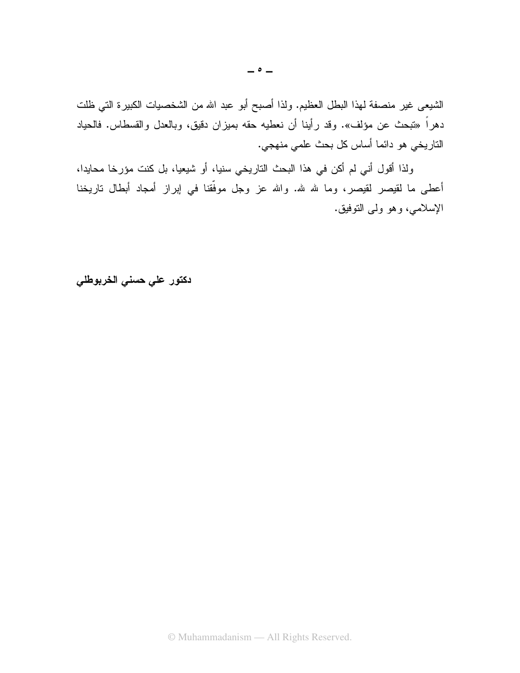الشيعي غير منصفة لهذا البطل العظيم. ولذا أصبح أبو عبد الله من الشخصيات الكبيرة التي ظلت دهراً «تبحث عن مؤلف». وقد رأينا أن نعطيه حقه بميزان دقيق، وبالعدل والقسطاس. فالحياد الناريخي هو دائما أساس كل بحث علمي منهجي.

ولذا أقول أني لم أكن في هذا البحث التاريخي سنيا، أو شيعيا، بل كنت مؤرخا محايدا، أعطى ما لقيصر لقيصر، وما لله لله. والله عز وجل موفَّقنا في إبراز أمجاد أبطال تاريخنا الإسلامي، وهو ولبي النوفيق.

دكتور على حسنى الخربوطلي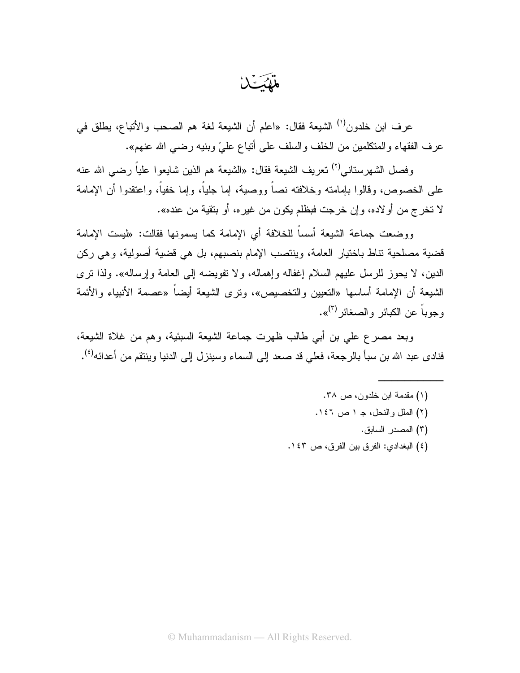فلكسك

عرف ابن خلدون<sup>(י)</sup> الشيعة فقال: «اعلم أن الشيعة لغة هم الصحب والأنباع، يطلق في عرف الفقهاء والمتكلمين من الخلف والسلف على أتباع علىّ وبنيه رضي الله عنهم».

وفصل الشهرستاني<sup>(٢)</sup> تعريف الشيعة فقال: «الشيعة هم الذين شايعو ا علياً رضبي الله عنه على الخصوص، وقالوا بإمامته وخلافته نصاً ووصية، إما جلياً، وإما خفياً، واعتقدوا أن الإمامة لا تخرج من أو لاده، و إن خرجت فبظلم يكون من غير ه، أو بتقية من عنده».

ووضعت جماعة الشيعة أسساً للخلافة أى الإمامة كما يسمونها فقالت: «ليست الإمامة قضية مصلحية نتاط باختيار العامة، وينتصب الإمام بنصبهم، بل هي قضية أصولية، وهي ركن الدين، لا يحوز للرسل عليهم السلام إغفاله وإهماله، ولا تفويضه إلى العامة وإرساله». ولذا نرى الشيعة أن الإمامة أساسها «التعيين والتخصيص»، ونزى الشيعة أيضاً «عصمة الأنبياء والأئمة وجوباً عن الكبائر والصغائر <sup>(٣)</sup>».

وبعد مصرع على بن أبي طالب ظهرت جماعة الشيعة السبئية، وهم من غلاة الشيعة، فنادي عبد الله بن سبأ بالرجعة، فعلي قد صعد إلى السماء وسينزل إلى الدنيا وينتقم من أعدائه<sup>(٤)</sup>.

> (۱) مقدمة ابن خلدون، ص ۳۸. (٢) الملل والنحل، جـ ١ ص ١٤٦. (٣) المصدر السابق. (٤) البغدادي: الفرق بين الفرق، ص ١٤٣.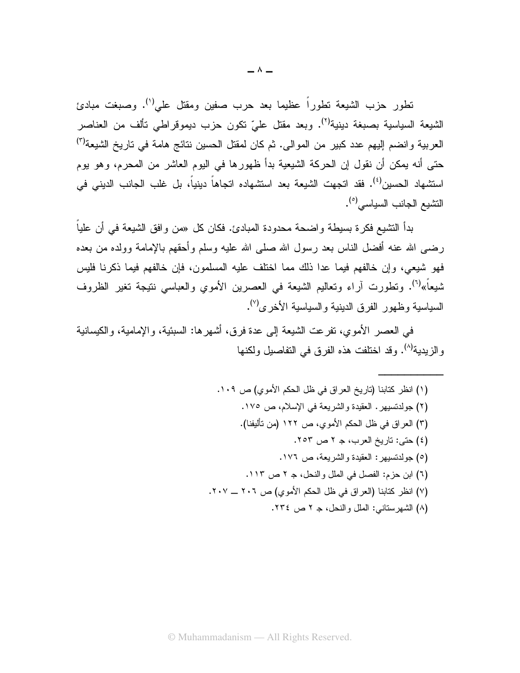تطور حزب الشيعة تطوراً عظيما بعد حرب صفين ومقتل على<sup>(י)</sup>. وصبغت مبادئ الشيعة السياسية بصبغة دينية<sup>(٢)</sup>. وبعد مقتل علىّ تكون حزب ديموقراطي نألف من العناصر العربية وانضم إليهم عدد كبير من الموالي. ثم كان لمقتل الحسين نتائج هامة في تاريخ الشيعة<sup>(٣)</sup> حتى أنه يمكن أن نقول إن الحركة الشيعية بدأ ظهورها في اليوم العاشر من المحرم، وهو يوم اسنشهاد الحسين<sup>(٤)</sup>. فقد اتجهت الشيعة بعد اسنشهاده اتجاهاً دينياً، بل غلب الجانب الديني في النشيع الجانب السياسي<sup>(٥)</sup>.

بدأ التشيع فكرة بسيطة واضحة محدودة المبادئ. فكان كل «من وافق الشيعة في أن علياً رضبي الله عنه أفضل الناس بعد رسول الله صلبي الله عليه وسلم وأحقهم بالإمامة وولده من بعده فهو شبعي، وإن خالفهم فيما عدا ذلك مما اختلف عليه المسلمون، فإن خالفهم فيما ذكرنا فليس شيعاً»<sup>(٦)</sup>. ونطورت آراء ونعاليم الشيعة في العصرين الأموي والعباسي نتيجة نغير الظروف السياسية وظهور الفرق الدينية والسياسية الأخرى'').

في العصر الأموي، تفرَّعت الشَّيعة إلى عدة فرق، أشهر ها: السَّبئية، والإمامية، والكيسانية والزيدية<sup>(٨)</sup>. وقد اختلفت هذه الفرق في التفاصيل ولكنها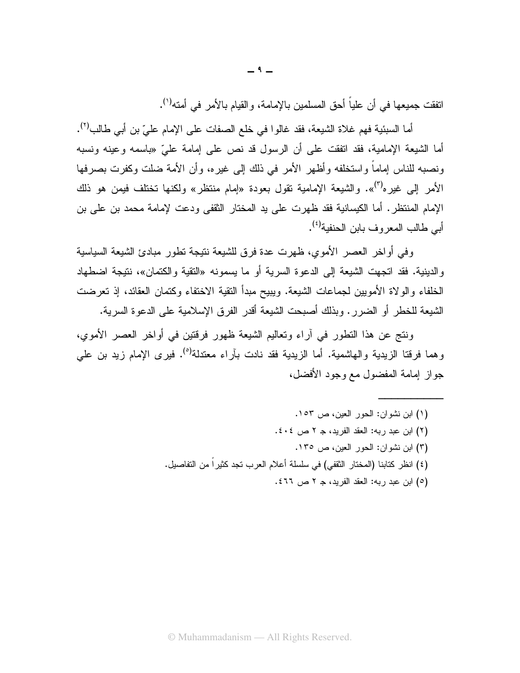اتفقت جميعها في أن علياً أحق المسلمين بالإمامة، والقيام بالأمر في أمته<sup>(١</sup>).

أما السبئية فهم غلاة الشيعة، فقد غالوا في خلع الصفات على الإمام عليّ بن أبي طالب<sup>(٢)</sup>. أما الشيعة الإمامية، فقد انققت على أن الرسول قد نص على إمامة علىّ «باسمه وعينه ونسبه ونصبه للناس إماماً واستخلفه وأظهر الأمر في ذلك إلى غيره، وأن الأمة ضلت وكفرت بصرفها الأمر إلى غيره<sup>(٣)</sup>». والشيعة الإمامية نقول بعودة «إمام منتظر» ولكنها تختلف فيمن هو ذلك الإمام المنتظر. أما الكيسانية فقد ظهرت على يد المختار الثقفي ودعت لإمامة محمد بن على بن أبي طالب المعر و ف بابن الحنفية<sup>(٤)</sup>.

وفي أواخر العصر الأموي، ظهرت عدة فرق للشيعة نتيجة تطور مبادئ الشيعة السياسية و الدينية. فقد انجهت الشيعة إلى الدعوة السرية أو ما يسمونه «النقية والكتمان»، نتيجة اضطهاد الخلفاء والولاة الأمويين لجماعات الشيعة. ويبيح مبدأ النقية الاختفاء وكتمان العقائد، إذ تعرضت الشيعة للخطر أو الضرر . وبذلك أصبحت الشيعة أقدر الفرق الإسلامية على الدعوة السرية.

ونتج عن هذا التطور في أراء وتعاليم الشيعة ظهور فرقتين في أواخر العصر الأموى، وهما فرقتا الزيدية والهاشمية. أما الزيدية فقد نادت بآراء معتدلة<sup>(٥)</sup>. فيرى الإمام زيد بن علي جو از إمامة المفضول مع وجود الأفضل،

(٥) ابن عبد ربه: العقد الفريد، جـ ٢ ص ٤٦٦.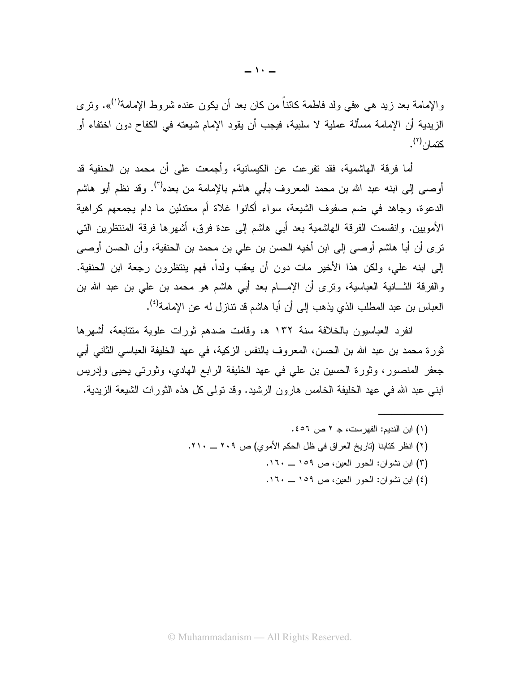والإمامة بعد زيد هي «في ولد فاطمة كائناً من كان بعد أن يكون عنده شروط الإمامة<sup>(١)</sup>». وترى الزيدية أن الإمامة مسألة عملية لا سلبية، فيجب أن يقود الإمام شيعته في الكفاح دون اختفاء أو كتمان <sup>(۲</sup>).

أما فرِ قة الماشمية، فقد نفر عت عن الكيسانية، وأجمعت على أن محمد بن الحنفية قد أوصـي إلىي ابنه عبد الله بن محمد المعروف بأبي هاشم بالإمامة من بعده<sup>(٣)</sup>. وقد نظم أبو هاشم الدعوة، وجاهد في ضم صفوف الشيعة، سواء أكانوا غلاة أم معتدلين ما دام يجمعهم كراهية الأمويين. وانقسمت الفرقة الهاشمية بعد أبي هاشم إلى عدة فرق، أشهرها فرقة المنتظرين التي تر ي أن أبا هاشم أوصبي إلى ابن أخيه الحسن بن على بن محمد بن الحنفية، و أن الحسن أوصبي إلى ابنه علي، ولكن هذا الأخير مات دون أن يعقب ولداً، فهم ينتظرون رجعة ابن الحنفية. والفرقة الثـــانية العباسية، ونرى أن الإمــــام بعد أبـي هاشم هو محمد بن علـي بن عبد الله بن العباس بن عبد المطلب الذي يذهب إلى أن أبا هاشم قد نتاز ل له عن الإمامة<sup>(٤)</sup>.

انفرد العباسيون بالخلافة سنة ١٣٢ ه، وقامت ضدهم ثورات علوية متتابعة، أشهرها ثورة محمد بن عبد الله بن الحسن، المعروف بالنفس الزكية، في عهد الخليفة العباسي الثاني أبي جعفر المنصور، وثورة الحسين بن على في عهد الخليفة الرابع الهادي، وثورتي يحيى وإدريس ابني عبد الله في عهد الخليفة الخامس هارون الرشيد. وقد نولمي كل هذه الثورات الشيعة الزيدية.

- (۱) ابن النديم: الفهرست، جـ ۲ ص ٤٥٦. (٢) انظر كتابنا (تاريخ العراق في ظل الحكم الأموي) ص ٢٠٩ ــ ٢١٠.
	- (٣) ابن نشوان: الحور العين، ص ١٥٩ \_ ١٦٠.
	- (٤) ابن نشوان: الحور العين، ص ١٥٩ ــ ١٦٠.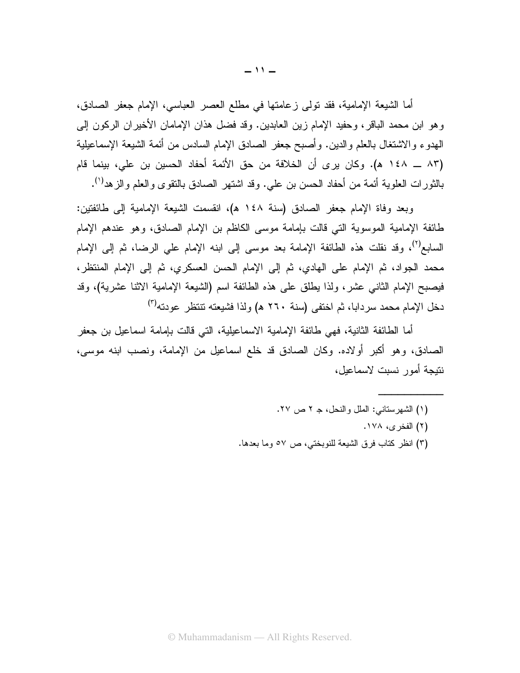أما الشيعة الإمامية، فقد نولمي زعامتها في مطلع العصر العباسي، الإمام جعفر الصادق، وهو ابن محمد الباقر، وحفيد الإمام زين العابدين. وقد فضل هذان الإمامان الأخيران الركون إلى الهدوء والاشتغال بالعلم والدين. وأصبح جعفر الصادق الإمام السادس من أئمة الشيعة الإسماعيلية (٨٣ ـــ ١٤٨ ه). وكان يرى أن الخلافة من حق الأئمة أحفاد الحسين بن علي، بينما قام بالنَّورات العلوية أئمة من أحفاد الحسن بن علي. وقد اشتهر الصـادق بالنُّقوى والعلم والزهد<sup>(١)</sup>.

وبعد وفاة الإمام جعفر الصادق (سنة ١٤٨ هـ)، انقسمت الشيعة الإمامية إلى طائفتين: طائفة الإمامية الموسوية التي قالت بإمامة موسى الكاظم بن الإمام الصادق، وهو عندهم الإمام السابع<sup>(٢)</sup>، وقد نقلت هذه الطائفة الإمامة بعد موسى إلى ابنه الإمام على الرضا، ثم إلى الإمام محمد الجواد، ثم الإمام على الهادي، ثم إلى الإمام الحسن العسكري، ثم إلى الإمام المنتظر ، فيصبح الإمام الثانـي عشر، ولذا يطلق علـي هذه الطائفة اسم (الشيعة الإمامية الاثنا عشرية)، وقد دخل الإمام محمد سردابا، ثم اختفى (سنة ٢٦٠ هـ) ولذا فشيعته تتتظر عودته<sup>(٣)</sup>

أما الطائفة الثانية، فهي طائفة الإمامية الاسماعيلية، التي قالت بإمامة اسماعيل بن جعفر الصادق، وهو أكبر أولاده. وكان الصادق قد خلع اسماعيل من الإمامة، ونصب ابنه موسى، نتيجة أمور نسبت لاسماعيل،

- (١) الشهرستاني: الملل والنحل، جـ ٢ ص ٢٧.
	- (۲) الفخر ي، ۱۷۸.
- (٣) انظر كتاب فرق الشيعة للنوبختي، ص ٥٧ وما بعدها.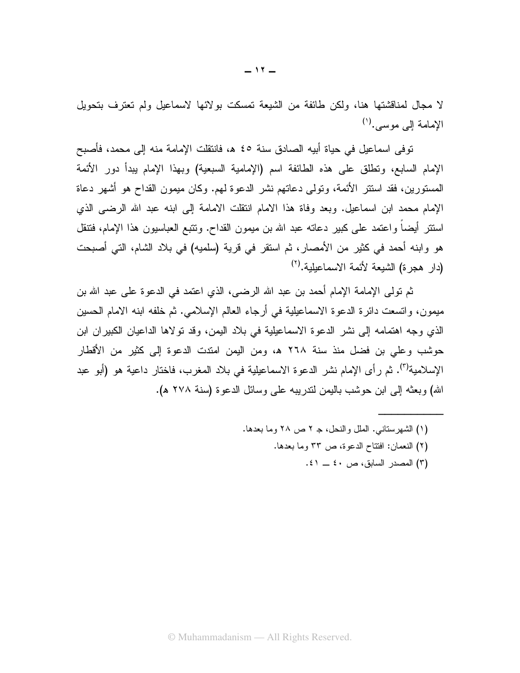لا مجال لمناقشتها هنا، ولكن طائفة من الشيعة تمسكت بولائها لاسماعيل ولم تعترف بتحويل الإمامة إلى موسى. (١)

توفى اسماعيل في حياة أبيه الصادق سنة ٤٥ هـ، فانتقلت الإمامة منه إلى محمد، فأصبح الإمام السابع، وتطلق على هذه الطائفة اسم (الإمامية السبعية) وبهذا الإمام ببدأ دور الأئمة المستورين، فقد استتر الأئمة، وتولَّى دعاتهم نشر الدعوة لمهم. وكان ميمون القداح هو أشهر دعاة الإمام محمد ابن اسماعيل. وبعد وفاة هذا الامام انتقلت الامامة إلى ابنه عبد الله الرضبي الذي اسنتنر أيضاً واعتمد على كبير دعانه عبد الله بن ميمون القداح. وتتبع العباسيون هذا الإمام، فتتقل هو وابنه أحمد في كثير من الأمصار، ثم استقر في قرية (سلميه) في بلاد الشام، التي أصبحت (دار هجرة) الشبعة لأئمة الاسماعيلية. (٢)

ثم تولَّى الإمامة الإمام أحمد بن عبد الله الرضـي، الذي اعتمد في الدعوة على عبد الله بن مبِمون، وانسعت دائرة الدعوة الاسماعيلية في أرجاء العالم الإسلامي. ثم خلفه ابنه الامام الحسين الذي وجه اهتمامه إلى نشر الدعوة الاسماعيلية في بلاد اليمن، وقد تولاها الداعيان الكبير إن ابن حوشب وعلى بن فضل منذ سنة ٢٦٨ ه، ومن اليمن امتدت الدعوة إلى كثير من الأقطار الإسلامية<sup>(٣)</sup>. ثم رأى الإمام نشر الدعوة الاسماعيلية في بلاد المغرب، فاختار داعية هو (أبو عبد الله) وبعثه إلى ابن حوشب باليمن لندريبه على وسائل الدعوة (سنة ٢٧٨ هـ).

- (١) الشهرستاني. الملل والنحل، جـ ٢ ص ٢٨ وما بعدها.
	- (٢) النعمان: افتتاح الدعوة، ص ٣٣ وما بعدها.
		- (٣) المصدر السابق، ص ٤٠ ــ ٤١.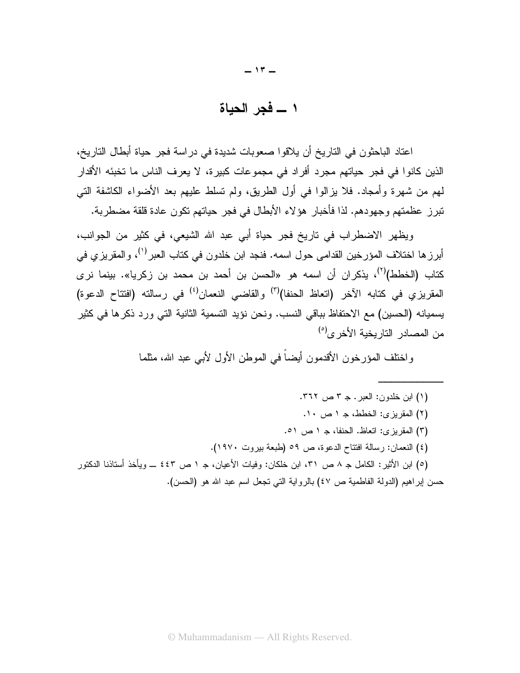$-17-$ 

١ ــــ فجر الحباة

اعتاد الباحثون في التاريخ أن يلاقوا صعوبات شديدة في دراسة فجر حياة أبطال التاريخ، الذين كانوا في فجر حياتهم مجرد أفراد في مجموعات كبيرة، لا يعرف الناس ما تخبئه الأقدار لمهم من شهرة وأمجاد. فلا يزالوا في أول الطريق، ولم تسلط عليهم بعد الأضواء الكاشفة التي تبرز عظمتهم وجهودهم. لذا فأخبار ٍ هؤ لاء الأبطال في فجر حياتهم تكون عادة قلقة مضطربة.

ويظهر الاضطراب في تاريخ فجر حياة أبي عبد الله الشيعي، في كثير من الجوانب، أبرز ها اختلاف المؤرخين القدامي حول اسمه. فنجد ابن خلدون في كتاب العبر<sup>(י)</sup>، والمقريزي في كتاب (الخطط)<sup>(٢)</sup>، يذكران أن اسمه هو «الحسن بن أحمد بن محمد بن زكريا». بينما نرى المقر بز ي في كتابه الآخر (اتعاظ الحنفا)<sup>(٢)</sup> و القاضبي النع*م*ان<sup>(٤)</sup> في رسالته (افتتاح الدعو ة) يسميانه (الحسين) مع الاحتفاظ بباقي النسب. ونحن نؤيد النسمية الثانية التي ورد ذكر ها في كثير من المصبادر التار بخبة الأخر ي<sup>0)</sup>

واختلف المؤرخون الأقدمون أيضاً في الموطن الأول لأبي عبد الله، مثلما

(١) ابن خلدون: العبر . جـ ٣ ص ٣٦٢. (٢) المقريزي: الخطط، جـ ١ ص ١٠. (٣) المقربزي: اتعاظ. الحنفا، جـ ١ ص ٥١. (٤) النعمان: رسالة افتتاح الدعوة، ص ٥٩ (طبعة بيروت ١٩٧٠). (٥) ابن الأثير: الكامل جـ ٨ ص ٣١، ابن خلكان: وفيات الأعيان، جـ ١ ص ٤٤٣ ـــ ويأخذ أستاننا الدكتور

حسن إبر اهيم (الدولة الفاطمية ص ٤٧) بالر و اية التي تجعل اسم عبد الله هو (الحسن).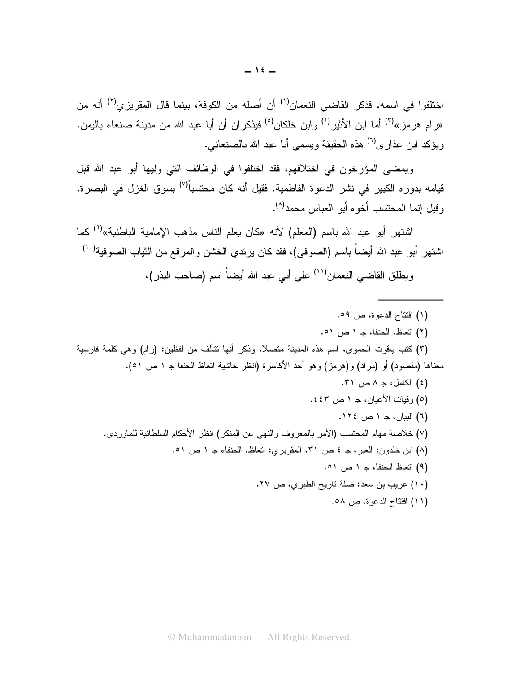اختلفوا في اسمه. فذكر القاضي النعمان<sup>(١)</sup> أن أصله من الكوفة، بينما قال المقريزي<sup>(٢)</sup> أنه من «رام هرمز»<sup>(۳)</sup> أما ابن الأثير<sup>(٤)</sup> وابن خلكان<sup>(٥)</sup> فيذكران أن أبا عبد الله من مدينة صنعاء باليمن. ويؤكد ابن عذار ي<sup>(٦)</sup> هذه الحقيقة ويسمى أبا عبد الله بالصنعاني.

ويمضيي المؤرخون في اختلافهم، فقد اختلفوا في الوظائف التي وليها أبو عبد الله قبل قيامه بدوره الكبير في نشر الدعوة الفاطمية. فقيل أنه كان محتسباً<sup>(٧)</sup> بسوق الغزل في البصرة، و قبل انما المحتسب أخو م أبو العباس محمد<sup>(٨)</sup>.

اشتهر أبو عبد الله باسم (المعلم) لأنه «كان يعلم الناس مذهب الإمامية الباطنية»<sup>(٩)</sup> كما اشتهر أبو عبد الله أيضـاً بـاسم (الصـوفـي)، فقد كـان يرتدي الـخشن والمرقع من الثياب الصـوفية<sup>(١٠)</sup>

ويطلق القاضي النعمان(`` على أبي عبد الله أيضـاً اسم (صـاحب البذر)،

- (١) افتتاح الدعوة، ص ٥٩.
- (٢) اتعاظ. الحنفا، جـ ١ ص ٥١.

(٣) كتب ياقوت الحموي، اسم هذه المدينة متصلا، وذكر أنها تتألف من لفظين: (رام) وهي كلمة فارسية معناها (مقصود) أو (مراد) و(هرمز) وهو أحد الأكاسرة (انظر حاشية اتعاظ الحنفا جـ ١ ص ٥١).

- (٤) الكامل، جـ ٨ ص ٣١. (٥) وفيات الأعيان، جـ ١ ص ٤٤٣. (٦) البيان، جـ ١ ص ١٢٤. (٧) خلاصة مهام المحتسب (الأمر بالمعروف والنهي عن المنكر) انظر الأحكام السلطانية للماوردي. (٨) ابن خلدون: العبر، جـ ٤ ص ٣١، المقريزي: اتعاظ. الحنفاء جـ ١ ص ٥١. (٩) اتعاظ الحنفا، ج ١ ص ٥١. (١٠) عريب بن سعد: صلة تاريخ الطبري، ص ٢٧.
	- (١١) افتتاح الدعوة، ص ٥٨.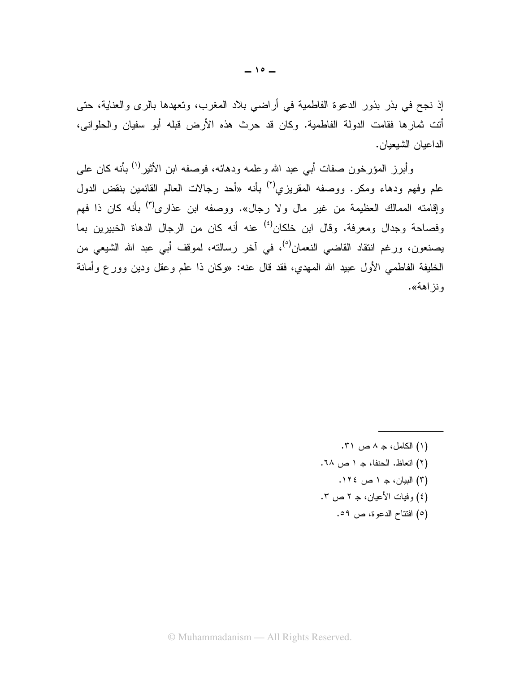إذ نجح في بذر بذور الدعوة الفاطمية في أراضي بلاد المغرب، وتعهدها بالرى والعناية، حتى أنت ثمارها فقامت الدولة الفاطمية. وكان قد حرث هذه الأرض قبله أبو سفيان والحلواني، الداعيان الشيعيان.

وأبرز المؤرخون صفات أبي عبد الله وعلمه ودهائه، فوصفه ابن الأثير<sup>(١)</sup> بأنه كان علي علم وفهم ودهاء ومكر. ووصفه المقريزي<sup>(٢)</sup> بأنه «أحد رجالات العالم القائمين بنقض الدول وإقامته الممالك العظيمة من غير مال ولا رجال». ووصفه ابن عذارى<sup>(٣)</sup> بأنه كان ذا فهم وفصاحة وجدال ومعرفة. وقال ابن خلكان<sup>(٤)</sup> عنه أنه كان من الرجال الدهاة الخبيرين بما يصنعون، ورغم انتقاد القاضي النعمان<sup>(٥)</sup>، في آخر رسالته، لموقف أبي عبد الله الشيعي من الخليفة الفاطمي الأول عبيد الله المهدى، فقد قال عنه: «وكان ذا علم وعقل ودين وورع وأمانة ونز اهة».

> (۱) الكامل، جـ ۸ ص ۳۱. (٢) اتعاظ. الحنفا، جـ ١ ص ٦٨. (٣) البيان، ج ١ ص ١٢٤. (٤) وفيات الأعيان، جـ ٢ ص ٣. (٥) افتتاح الدعوة، ص ٥٩.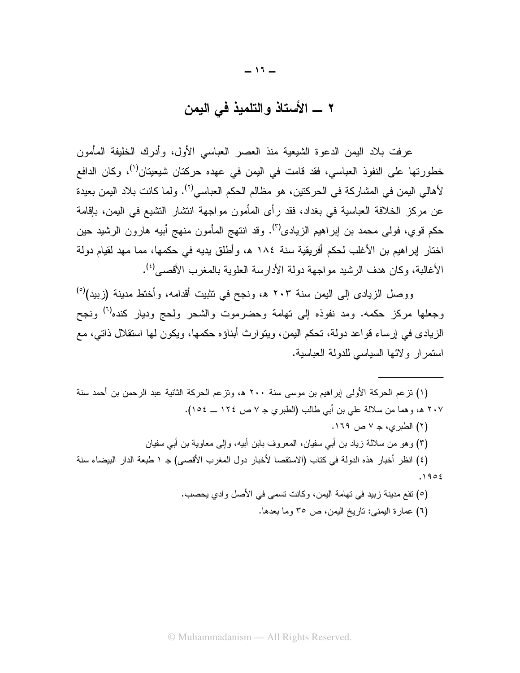## 

عرفت بلاد اليمن الدعوة الشيعية منذ العصر العباسي الأول، وأدرك الخليفة المأمون خطورتها على النفوذ العباسي، فقد قامت في اليمن في عهده حركتان شيعيتان<sup>(י)</sup>، وكان الدافع لأهالي اليمن في المشاركة في الحركتين، هو مظالم الحكم العباسي<sup>(٢)</sup>. ولما كانت بلاد اليمن بعيدة عن مركز الخلافة العباسية في بغداد، فقد رأى المأمون مواجهة انتشار التشيع في اليمن، بإقامة حكم قوى، فولى محمد بن إبراهيم الزيادي<sup>(٣)</sup>. وقد انتهج المأمون منهج أبيه هارون الرشيد حين اختار إبراهيم بن الأغلب لحكم أفريقية سنة ١٨٤ هـ، وأطلق يديه في حكمها، مما مهد لقيام دولة الأغالبة، وكان هدف الرشيد مو لجهة دولة الأدارسة العلوية بالمغرب الأقصبي<sup>(٤)</sup>.

ووصل الزيادي إلى اليمن سنة ٢٠٣ هـ، ونجح في تثبيت أقدامه، وأختط مدينة (زبيد)<sup>(٥)</sup> وجعلها مركز حكمه. ومد نفوذه إلى تهامة وحضرموت والشحر ولحج وديار كنده<sup>(٦)</sup> ونجح الزيادي في إرساء قواعد دولة، تحكم اليمن، ويتوارث أبناؤه حكمها، ويكون لها استقلال ذاتي، مع استمر ار ولائها السياسي للدولة العباسية.

(١) تزعم الحركة الأولى إبراهيم بن موسى سنة ٢٠٠ هـ، وتزعم الحركة الثانية عبد الرحمن بن أحمد سنة ٢٠٧ هـ، وهما من سلالة على بن أبي طالب (الطبري جـ ٧ ص ١٢٤ ـــ ١٥٤). (٢) الطبري، جـ ٧ ص ١٦٩. (٣) وهو من سلالة زياد بن أبي سفيان، المعروف بابن أبيه، وإلى معاوية بن أبي سفيان (٤) انظر أخبار هذه الدولة في كتاب (الاستقصا لأخبار دول المغرب الأقصى) جـ ١ طبعة الدار البيضاء سنة  $.1902$ (٥) نقع مدينة زييد في تهامة اليمن، وكانت تسمى في الأصل وادي يحصب.

(٦) عمارة اليمني: تاريخ اليمن، ص ٣٥ وما بعدها.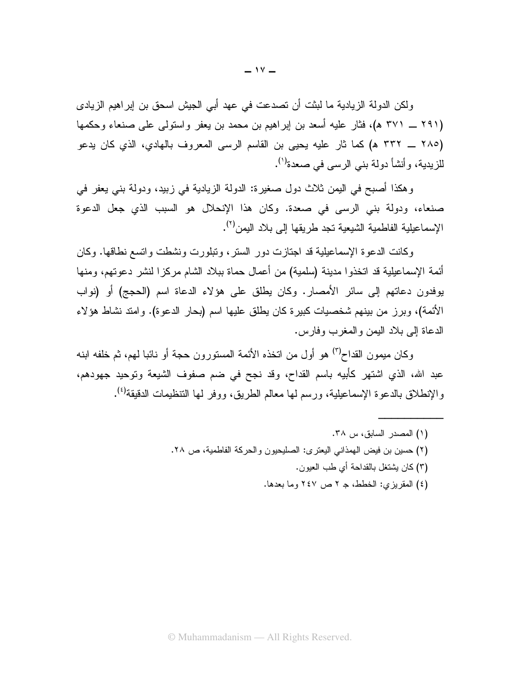ولكن الدولة الزيادية ما لبثت أن تصدعت في عهد أبي الجيش اسحق بن إبر اهيم الزيادي (۲۹۱ ــ ۳۷۱ هـ)، فثار عليه أسعد بن إبراهيم بن محمد بن يعفر واستولىي على صنعاء وحكمها (٢٨٥ ــ ٣٣٢ هـ) كما ثار عليه يحيى بن القاسم الرسي المعروف بالهادي، الذي كان يدعو للزيدية، وأنشأ دولة بني الرسي في صعدة<sup>(י)</sup>.

وهكذا أصبح في اليمن ثلاث دول صغيرة: الدولة الزيادية في زبيد، ودولة بني يعفر في صنعاء، ودولة بني الرسي في صعدة. وكان هذا الإنحلال هو السبب الذي جعل الدعوة الإسماعيلية الفاطمية الشيعية تجد طر يقها إلى بلاد اليمن<sup>(٢)</sup>.

وكانت الدعوة الإسماعيلية قد اجتازت دور الستر ، وتبلورت ونشطت واتسع نطاقها. وكان أئمة الإسماعيلية قد اتخذوا مدينة (سلمية) من أعمال حماة ببلاد الشام مركزا لنشر دعوتهم، ومنها يوفدون دعاتهم إلى سائر الأمصار. وكان يطلق على هؤلاء الدعاة اسم (الحجج) أو (نواب الأئمة)، وبرز من بينهم شخصيات كبيرة كان يطلق عليها اسم (بحار الدعوة). وامتد نشاط هؤلاء الدعاة إلى بلاد اليمن والمغرب وفارس.

وكان ميمون القداح<sup>(٣)</sup> هو أول من اتخذه الأئمة المستورون حجة أو نائبا لمهم، ثم خلفه ابنه عبد الله، الذي اشتهر كأبيه باسم القداح، وقد نجح في ضم صفوف الشيعة وتوحيد جهودهم، والإنطلاق بالدعوة الإسماعيلية، ورسم لها معالم الطريق، ووفر لها التنظيمات الدقيقة<sup>(٤)</sup>.

- (١) المصدر السابق، س ٣٨. (٢) حسين بن فيض الهمذاني اليعتر ي: الصليحيون والحركة الفاطمية، ص ٢٨.
	- (٣) كان يشتغل بالقداحة أي طب العيون.
	- (٤) المقريزي: الخطط، جـ ٢ ص ٢٤٧ وما بعدها.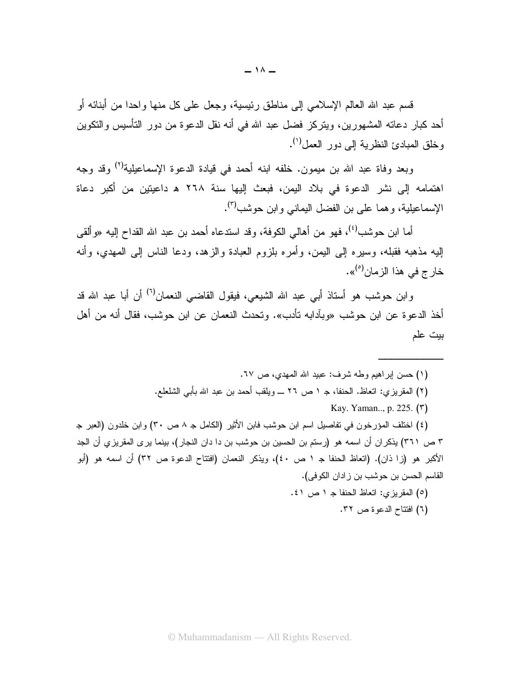قسم عبد الله العالم الإسلامي إلى مناطق رئيسية، وجعل على كل منها وإحدا من أبنائه أو أحد كبار دعاته المشهورين، ويتركز فضل عبد الله في أنه نقل الدعوة من دور التأسيس والنكوين وخلق المبادئ النظرية إلى دور العمل<sup>(י)</sup>.

وبعد وفاة عبد الله بن ميمون. خلفه ابنه أحمد في قيادة الدعوة الإسماعيلية<sup>(٢)</sup> وقد وجه اهتمامه إلى نشر الدعوة في بلاد اليمن، فبعث إليها سنة ٢٦٨ هـ داعيتين من أكبر دعاة الإسماعيلية، وهما على بن الفضل اليماني وابن حوشب<sup>(٣)</sup>.

أما ابن حوشب<sup>(٤)</sup>، فهو من أهالي الكوفة، وقد استدعاه أحمد بن عبد الله القداح إليه «وألقي إليه مذهبه فقبله، وسيره إلى اليمن، وأمره بلزوم العبادة والزهد، ودعا الناس إلى المهدى، وأنه خار ج في هذا الزمان<sup>(٥)</sup>».

وابن حوشب هو أستاذ أبي عبد الله الشيعي، فيقول القاضـي النعمان<sup>(٦)</sup> أن أبا عبد الله قد أخذ الدعو ة عن ابن حوشب «وبآدابه تأدب». وتحدث النعمان عن ابن حوشب، فقال أنه من أهل بيت علم

- (١) حسن ابر اهيم وطه شرف: عبيد الله المهدى، ص ٦٧. (٢) المقريزي: اتعاظ. الحنفا، جـ ١ ص ٢٦ ـــ ويلقب أحمد بن عبد الله بأبي الشلعلع. Kay. Yaman..., p. 225. (٣) (٤) اختلف المؤرخون في تفاصيل اسم ابن حوشب فابن الأثير (الكامل جـ ٨ ص ٣٠) وابن خلدون (العبر جـ ٣ ص ٣٦١) يذكر ان أن اسمه هو (رستم بن الحسين بن حوشب بن دا دان النجار)، بينما يرى المقريزي أن الجد الأكبر هو (زا ذان). (اتعاظ الحنفا جـ ١ ص ٤٠)، ويذكر النعمان (افتتاح الدعوة ص ٣٢) أن اسمه هو (أبو القاسم الحسن بن حوشب بن زادان الكوفي). (٥) المقريزي: اتعاظ الحنفا جـ ١ ص ٤١.
	- (٦) افتتاح الدعوة ص ٣٢.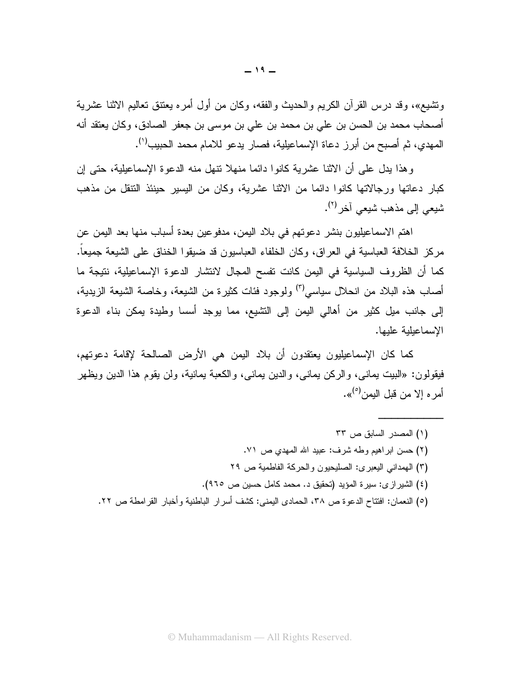وتشيع»، وقد درس القرآن الكريم والحديث والفقه، وكان من أول أمره يعتنق تعاليم الاثنا عشرية أصبحاب محمد بن الحسن بن علي بن محمد بن علي بن موسى بن جعفر الصبادق، وكان يعتقد أنه المهدي، ثم أصبح من أبرز دعاة الإسماعيلية، فصار يدعو للامام محمد الحبيب<sup>(י)</sup>.

وهذا يدل على أن الاثنا عشرية كانوا دائما منهلا نتهل منه الدعوة الإسماعيلية، حتى إن كبار دعاتها ورجالاتها كانوا دائما من الاثنا عشرية، وكان من اليسير حينئذ النتقل من مذهب شبعي إلى مذهب شبعي آخر <sup>(٢)</sup>.

اهتم الاسماعيليون بنشر دعوتهم في بلاد اليمن، مدفوعين بعدة أسباب منها بعد اليمن عن مركز الخلافة العباسية في العراق، وكان الخلفاء العباسيون قد ضيقوا الخناق على الشيعة جميعا. كما أن الظروف السياسية في اليمن كانت نفسح المجال لانتشار الدعوة الإسماعيلية، نتيجة ما أصـاب هذه البـلاد من انـحلال سياسـي<sup>(٣)</sup> ولوجود فئات كثيرة من الشيعة، وخاصـة الشيعة الزيدية، إلى جانب ميل كثير من أهالي اليمن إلى التشيع، مما يوجد أسسا وطيدة يمكن بناء الدعوة الإسماعيلية علبها.

كما كان الإسماعيليون يعتقدون أن بلاد اليمن هي الأرض الصالحة لإقامة دعوتهم، فيقولون: «البيت يماني، والركن يماني، والدين يماني، والكعبة يمانية، ولن يقوم هذا الدين ويظهر أمر ه الا من قبل البمن<sup>(٥)</sup>».

(۱) المصدر السابق ص ۳۳ (٢) حسن ابراهيم وطه شرف: عبيد الله المهدي ص ٧١. (٣) الهمداني اليعبري: الصليحيون والحركة الفاطمية ص ٢٩ (٤) الشير از ى: سيرة المؤيد (تحقيق د. محمد كامل حسين ص ٩٦٥). (٥) النعمان: افتتاح الدعوة ص ٣٨، الحمادي اليمني: كشف أسر إر الباطنية و أخبار القر امطة ص ٢٢.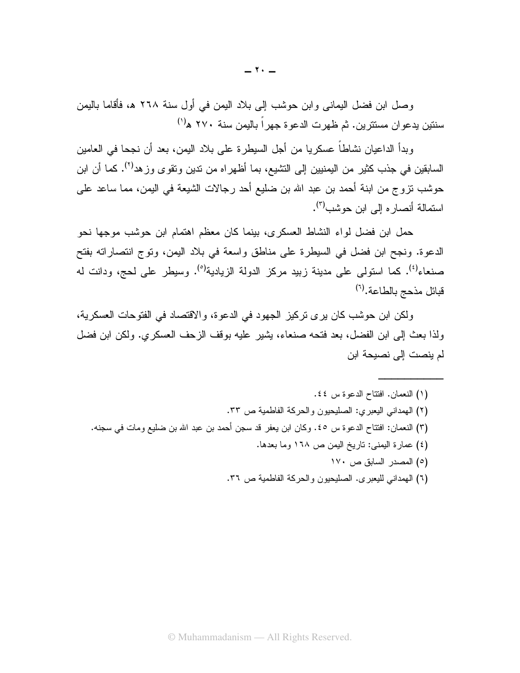وصل ابن فضل اليماني وابن حوشب إلى بلاد اليمن في أول سنة ٢٦٨ هـ، فأقاما باليمن سنتين يدعوان مستترين. ثم ظهرت الدعوة جهر اً باليمن سنة ٢٧٠ ه<sup>(١)</sup>

وبدأ الداعيان نشاطاً عسكريا من أجل السيطرة على بلاد اليمن، بعد أن نجحا في العامين السابقين في جذب كثير من اليمنيين إلى التشيع، بما أظهراه من ندين ونقوى وزهد<sup>(٢)</sup>. كما أن ابن حوشب نزوج من ابنة أحمد بن عبد الله بن ضليع أحد رجالات الشيعة في اليمن، مما ساعد على استمالة أنصار ه الے ابن حوشب<sup>(۳)</sup>.

حمل ابن فضل لواء النشاط العسكري، بينما كان معظم اهتمام ابن حوشب موجها نحو الدعوة. ونجح ابن فضل في السيطرة على مناطق واسعة في بلاد اليمن، وتوج انتصاراته بفتح صنعاء<sup>(٤)</sup>. كما استولى على مدينة زبيد مركز الدولة الزيادية<sup>(٥)</sup>. وسيطر على لحج، ودانت له قبائل مذحج بالطاعة.<sup>(٦)</sup>

ولكن ابن حوشب كان يرى تركيز الجهود في الدعوة، والاقتصاد في الفتوحات العسكرية، ولذا بعث إلى ابن الفضل، بعد فتحه صنعاء، بِشَيْرٍ عليه بوقف الزحف العسكري. ولكن ابن فضل لم ينصت إلى نصيحة ابن

- (١) النعمان. افتتاح الدعوة س ٤٤. (٢) المهداني اليعبري: الصليحيون والحركة الفاطمية ص ٣٣. (٣) النعمان: افتتاح الدعوة س ٤٥. وكان ابن يعفر قد سجن أحمد بن عبد الله بن ضليع ومات في سجنه. (٤) عمارة اليمني: تاريخ اليمن ص ١٦٨ وما بعدها. (٥) المصدر السابق ص ١٧٠
	- (٦) الهمداني لليعبري. الصليحيون والحركة الفاطمية ص ٣٦.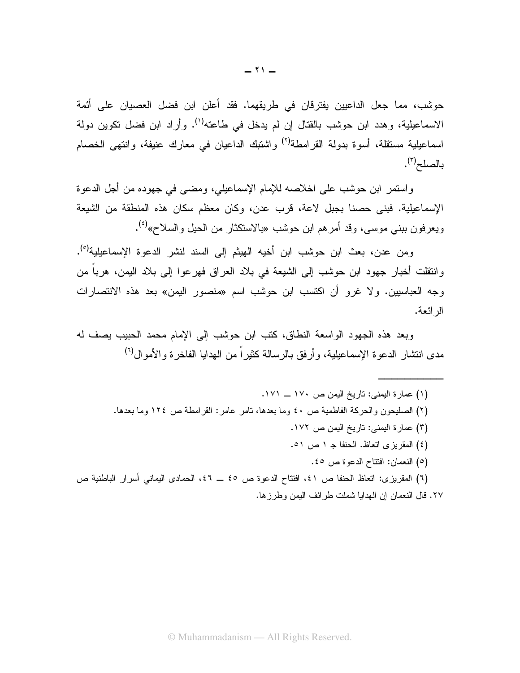حوشب، مما جعل الداعيين يفترقان في طريقهما. فقد أعلن ابن فضل العصيان على أئمة الاسماعيلية، وهدد ابن حوشب بالقتال إن لم يدخل في طاعته<sup>(י)</sup>. وأراد ابن فضل تكوين دولة اسماعيلية مستقلة، أسوة بدولة القرامطة<sup>(٢)</sup> واشتبك الداعيان في معارك عنيفة، وانتهى الخصام بالصلح<sup>(٣)</sup>.

واستمر ابن حوشب على اخلاصه للإمام الإسماعيلي، ومضى في جهوده من أجل الدعوة الإسماعيلية. فبني حصنا بجبل لاعة، قرب عدن، وكان معظم سكان هذه المنطقة من الشيعة ويعرفون ببني موسى، وقد أمرهم ابن حوشب «بالاستكثار من الحيل والسلاح»<sup>(٤)</sup>.

ومن عدن، بعث ابن حوشب ابن أخيه الهيثم إلى السند لنشر الدعوة الإسماعيلية<sup>(٥</sup>). وانتقلت أخبار جهود ابن حوشب إلى الشيعة في بلاد العراق فهرعوا إلى بلاد اليمن، هرباً من وجه العباسيين. ولا غرو أن اكتسب ابن حوشب اسم «منصور اليمن» بعد هذه الانتصارات الر ائعة.

وبعد هذه الجهود الواسعة النطاق، كتب ابن حوشب إلى الإمام محمد الحبيب بصف له مدى انتشار الدعو ة الإسماعيلية، و أر فق بالر سالة كثير اً من الهدايا الفاخر ة و الأمو ال<sup>(٢)</sup>

٢٧. قال النعمان إن الهدايا شملت طر ائف البمن وطر ز ها.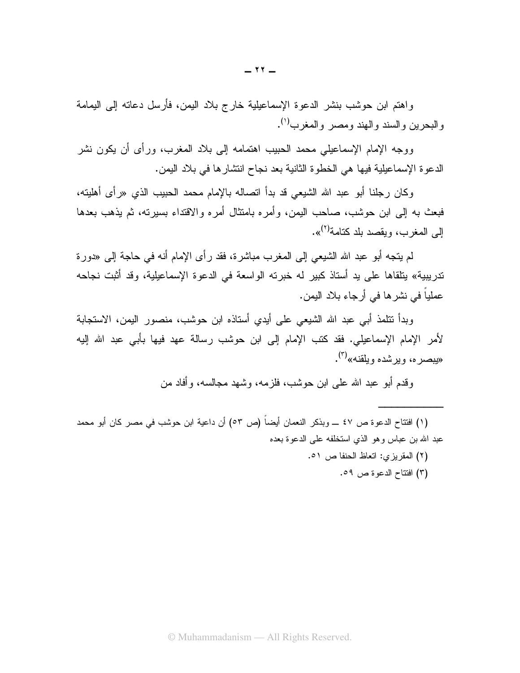واهتم ابن حوشب بنشر الدعوة الإسماعيلية خارج بلاد اليمن، فأرسل دعاته إلى اليمامة والبحرين والسند والهند ومصر والمغرب<sup>(י)</sup>.

ووجه الإمام الإسماعيلي محمد الحبيب اهتمامه إلى بلاد المغرب، ورأى أن يكون نشر الدعوة الإسماعيلية فيها هي الخطوة الثانية بعد نجاح انتشارها في بلاد اليمن.

وكان رجلنا أبو عبد الله الشيعي قد بدأ اتصاله بالإمام محمد الحبيب الذي «رأى أهليته، فبعث به إلى ابن حوشب، صاحب اليمن، وأمره بامتثال أمره والاقتداء بسيرته، ثم يذهب بعدها إلى المغرب، ويقصد بلد كتامة<sup>(٢)</sup>».

لم ينجه أبو عبد الله الشيعي إلى المغرب مباشرة، فقد رأى الإمام أنه في حاجة إلى «دورة تدريبية» يتلقاها على يد أستاذ كبير له خبرته الواسعة في الدعوة الإسماعيلية، وقد أُثبت نجاحه عملياً في نشر ها في أر جاء بلاد اليمن.

وبدأ نتلمذ أبي عبد الله الشيعي على أيدي أستاذه ابن حوشب، منصور اليمن، الاستجابة لأمر الإمام الإسماعيلي. فقد كتب الإمام إلى ابن حوشب رسالة عهد فيها بأبي عبد الله إليه «بيصر ه، و بر شده و بلقنه»<sup>(۳)</sup>.

و قدم أبو عبد الله علي ابن حو شب، فلز مه، و شـهد مـجـالسه، و أفاد من

(١) افتتاح الدعوة ص ٤٧ ـــ وبذكر النعمان أيضاً (ص ٥٣) أن داعية ابن حوشب في مصر كان أبو محمد عبد الله بن عباس و هو الذي استخلفه على الدعوة بعده

- (٢) المقريزي: اتعاظ الحنفا ص ٥١.
	- (٣) افتتاح الدعوة ص ٥٩.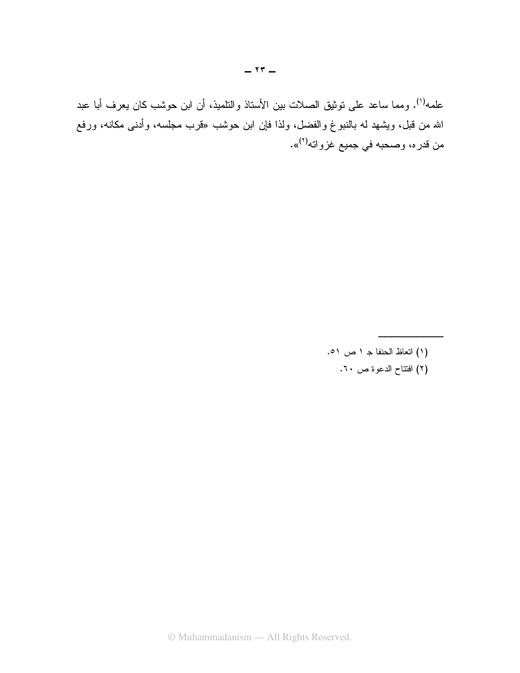علمه<sup>(١)</sup>. ومما ساعد على توثيق الصلات بين الأستاذ والتلميذ، أن ابن حوشب كان يعرف أبا عبد الله من قبل، ويشهد له بالنبوغ والفضل، ولذا فإن ابن حوشب «قرب مجلسه، وأدن<sub>َّ</sub>ى مكانه، ورفع من قدره، وصحبه في جميع غزواته<sup>(٢)</sup>».

- (١) اتعاظ الحنفا ج ١ ص ٥١.
	- (٢) افتتاح الدعوة ص ٦٠.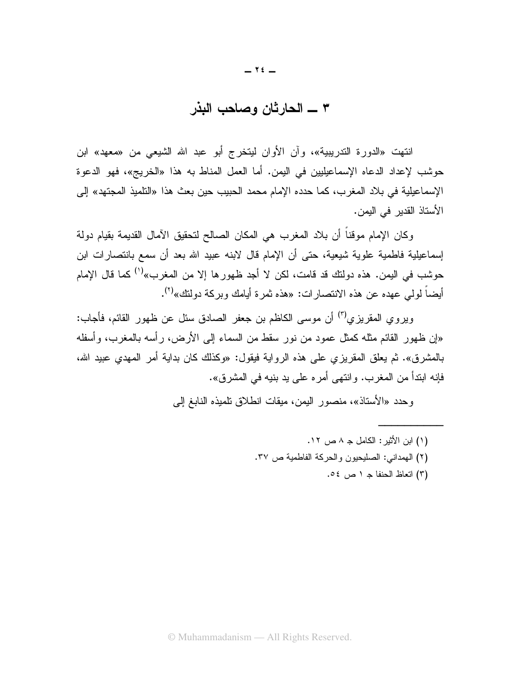#### ٣ ــــ الحار ثان وصاحب البذر

انتهت «الدورة التدريبية»، وأن الأوان ليتخرج أبو عبد الله الشيعي من «معهد» ابن حوشب لإعداد الدعاه الإسماعيليين في اليمن. أما العمل المناط به هذا «الخريج»، فهو الدعوة الإسماعيلية في بلاد المغرب، كما حدده الإمام محمد الحبيب حين بعث هذا «التلميذ المجتهد» إلى الأستاذ القدير في اليمن.

وكان الإمام موقناً أن بلاد المغرب هي المكان الصالح لتحقيق الأمال القديمة بقيام دولة إسماعيلية فاطمية علوية شيعية، حتى أن الإمام قال لابنه عبيد الله بعد أن سمع بانتصارات ابن حوشب في اليمن. هذه دولتك قد قامت، لكن لا أجد ظهورها إلا من المغرب»<sup>(י)</sup> كما قال الإمام أيضاً لولم عهده عن هذه الانتصار ات: «هذه ثمر ة أيامك وبر كة دولتك»<sup>(٢)</sup>.

ويروى المقريزي<sup>(٣)</sup> أن موسى الكاظم بن جعفر الصـادق سئل عن ظهور القائم، فأجاب: «إن ظهور القائم مثله كمثل عمود من نور سقط من السماء إلى الأرض، رأسه بالمغرب، وأسفله بالمشرق». ثم يعلق المقريزي على هذه الرواية فيقول: «وكذلك كان بداية أمر المهدي عبيد الله، فإنه ابندأ من المغرب. وانتهى أمره على يد بنيه في المشرق».

وحدد «الأستاذ»، منصور اليمن، ميقات انطلاق نلميذه النابغ إلى

- (١) ابن الأثبر: الكامل جـ ٨ ص ١٢.
- (٢) الهمداني: الصليحيون والحركة الفاطمية ص ٣٧.
	- (٣) اتعاظ الحنفا ج ١ ص ٥٤.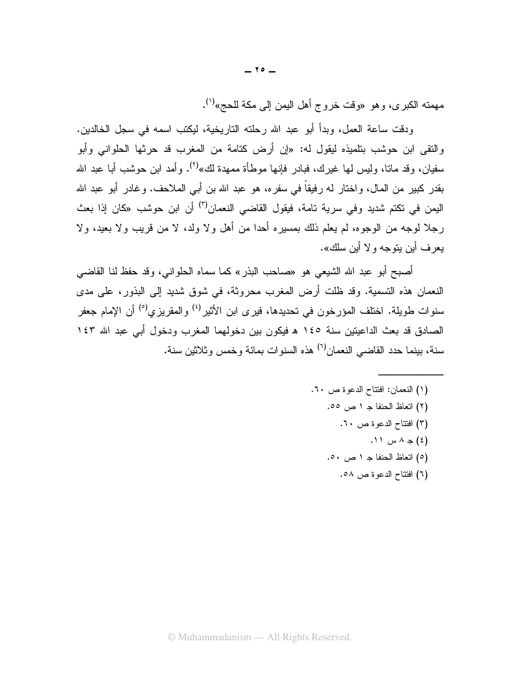مهمنه الكبرى، وهو «وقت خروج أهل اليمن إلى مكة للحج»<sup>(י)</sup>.

ودقت ساعة العمل، وبدأ أبو عبد الله رحلته التاريخية، ليكتب اسمه في سجل الخالدين. والتقى ابن حوشب بتلميذه ليقول له: «إن أرض كتامة من المغرب قد حرثها الحلواني وأبو سفيان، وقد مانا، وليس لها غيرك، فبادر فإنها موطأة ممهدة لك»<sup>(٢)</sup>. وأمد ابن حوشب أبا عبد الله بقدر كبير من المال، واختار له رفيقاً في سفره، هو عبد الله بن أبي الملاحف. وغادر أبو عبد الله اليمن في تكتم شديد وفي سرية تامة، فيقول القاضي النعمان<sup>(٣)</sup> أن ابن حوشب «كان إذا بعث رجلاً لوجه من الوجوه، لم يعلم ذلك بمسيره أحدًا من أهل ولا ولد، لا من قريب ولا بعيد، ولا بعر ف أبن بنوجه و لا أبن سلك».

أصبح أبو عبد الله الشيعي هو «صاحب البذر» كما سماه الحلوانبي، وقد حفظ لنا القاضبي النعمان هذه التسمية. وقد ظلت أرض المغرب محروثة، في شوق شديد إلى البذور، على مدى سنوات طويلة. اختلف المؤرخون في تحديدها، فيرى ابن الأثير<sup>(٤)</sup> والمقريزي<sup>(٥)</sup> أن الإمام جعفر الصادق قد بعث الداعيتين سنة ١٤٥ ه فيكون بين دخولهما المغرب ودخول أبي عبد الله ١٤٣ سنة، بينما حدد القاضي النعمان<sup>٦)</sup> هذه السنوات بمائة وخمس وثلاثين سنة.

> (١) النعمان: افتتاح الدعوة ص ٦٠. (٢) اتعاظ الحنفا ج ١ ص ٥٥. (٣) افتتاح الدعوة ص ٦٠.  $\wedge$  (٤) جه ۸ س ١١. (٥) انتعاظ الحنفا جـ ١ ص ٥٠. (٦) افتتاح الدعوة ص ٥٨.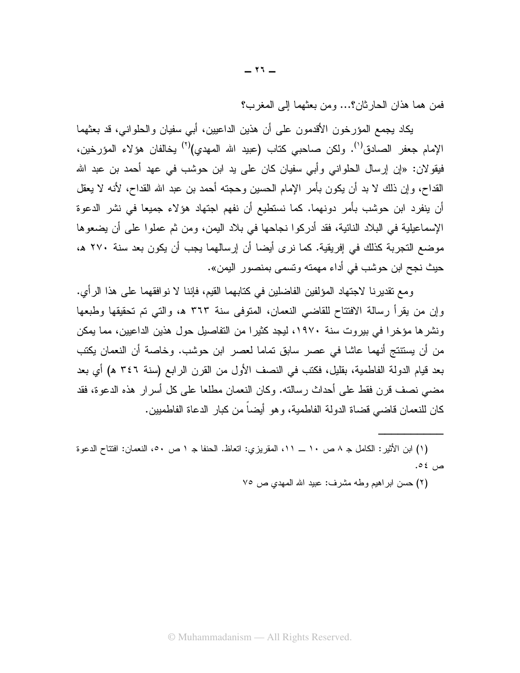فمن هما هذان الحارثان؟... ومن بعثهما إلى المغرب؟

يكاد يجمع المؤرخون الأقدمون على أن هذين الداعيين، أبـي سفيان والحلوانـي، قد بـعثهما الإمام جعفر الصادق<sup>(י)</sup>. ولكن صاحبي كتاب (عبيد الله المهدى)<sup>(٢)</sup> يخالفان هؤلاء المؤرخين، فيقو لان: «إن إرسال الحلواني وأبي سفيان كان على يد ابن حوشب في عهد أحمد بن عبد الله القداح، وإن ذلك لا بد أن يكون بأمر الإمام الحسين وحجته أحمد بن عبد الله القداح، لأنه لا يعقل أن ينفرد ابن حوشب بأمر دونهما. كما نستطيع أن نفهم اجتهاد هؤلاء جميعا في نشر الدعوة الإسماعيلية في البلاد النائية، فقد أدركوا نجاحها في بلاد اليمن، ومن ثم عملوا على أن يضعوها موضع التجربة كذلك في إفريقية. كما نرى أيضا أن إرسالهما يجب أن يكون بعد سنة ٢٧٠ ه، حيث نجح ابن حوشب في أداء مهمته وتس*مى* بمنصور اليمن».

ومع تقديرنا لاجتهاد المؤلفين الفاضلين في كتابهما القيم، فإننا لا نوافقهما على هذا الرأي. وإن من يقرأ رسالة الافتتاح للقاضبي النعمان، المتوفى سنة ٣٦٣ هـ، والتي تم تحقيقها وطبعها ونشرها مؤخرا في بيروت سنة ١٩٧٠، ليجد كثيرا من التفاصيل حول هذين الداعيين، مما يمكن من أن يستنتج أنهما عاشا في عصر سابق تماما لعصر ابن حوشب. وخاصة أن النعمان يكتب بعد قيام الدولة الفاطمية، بقليل، فكتب في النصف الأول من القرن الرابع (سنة ٣٤٦ ه) أي بعد مضـي نصف قرن فقط على أحداث رسالته. وكان النعمان مطلعا على كل أسرار هذه الدعوة، فقد كان للنعمان قاضبي قضاة الدولة الفاطمية، و هو أيضاً من كبار الدعاة الفاطميين.

(١) ابن الأثير: الكامل جـ ٨ ص ١٠ ـــ ١١، المقريز ي: اتعاظ. الحنفا جـ ١ ص ٥٠، النعمان: افتتاح الدعو ة ص ٤٥.

(٢) حسن ابراهيم وطه مشرف: عبيد الله المهدي ص ٧٥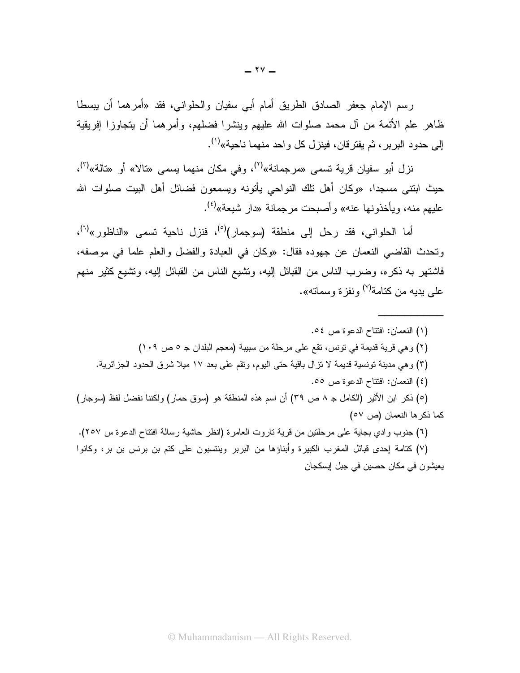رسم الإمام جعفر الصادق الطريق أمام أبي سفيان والحلواني، فقد «أمرهما أن يبسطا ظاهر علم الأئمة من آل محمد صلوات الله عليهم وينشرا فضلهم، وأمرهما أن يتجاوزا إفريقية إلى حدود البرير ، ثم يفتر قان، فينز ل كل واحد منهما ناحية»<sup>(י)</sup>.

نز ل أبو سفيان قرية تس*مى* «مر جمانة»<sup>(٢)</sup>، وفي مكان منهما يس*مى* «تالا» أو «تالة»<sup>(٣)</sup>، حيث ابتني مسجدا، «وكان أهل نلك النواحي يأتونه ويسمعون فضائل أهل البيت صلوات الله عليهم منه، ويأخذونها عنه» وأصبحت مرجمانة «دار شيعة»<sup>(٤)</sup>.

أما الحلواني، فقد رحل إلى منطقة (سوجمار)<sup>(٥)</sup>، فنزل ناحية تسمى «الناظور»<sup>(٦)</sup>، ونحدث القاضي النعمان عن جهوده فقال: «وكان في العبادة والفضل والعلم علما في موصفه، فاشتهر به ذكره، وضرب الناس من القبائل إليه، ونشيع الناس من القبائل إليه، ونشيع كثير منهم علي بدبه من كتامة<sup>(٧)</sup> ونفز ة وسماته».

(١) النعمان: افتتاح الدعوة ص ٥٤. (٢) وهي قرية قديمة في تونس، تقع على مرحلة من سبيبة (معجم البلدان جـ ٥ ص ١٠٩) (٣) وهي مدينة تونسية قديمة لا نزال باقية حتى اليوم، وتقم على بعد ١٧ ميلا شرق الحدود الجز ائرية. (٤) النعمان: افتتاح الدعوة ص ٥٥. (٥) ذكر ابن الأثير (الكامل جـ ٨ ص ٣٩) أن اسم هذه المنطقة هو (سوق حمار) ولكننا نفضل لفظ (سوجار) كما ذكر ها النعمان (ص ٥٧)

(٦) جنوب وادي بجاية على مرحلتين من قرية ناروت العامرة (انظر حاشية رسالة افتتاح الدعوة س ٢٥٧). (٧) كتامة إحدى قبائل المغرب الكبيرة وأبناؤها من البربر وينتسبون على كتم بن برنس بن بر، وكانوا يعيشون في مكان حصين في جبل إبسكجان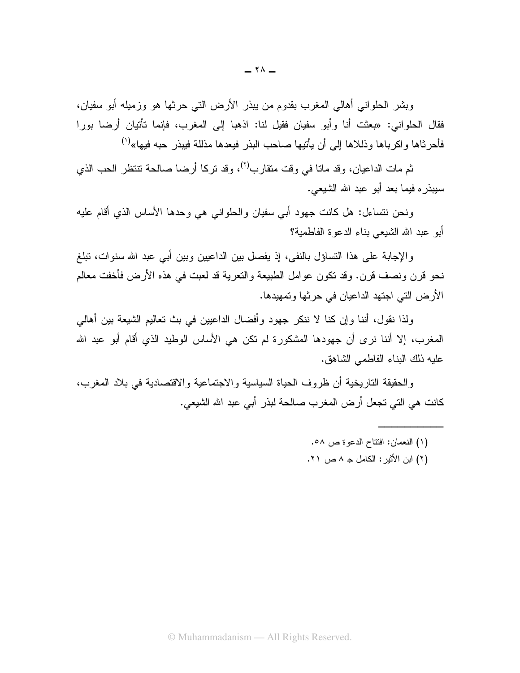وبشر الحلواني أهالي المغرب بقدوم من يبذر الأرض التي حرثها هو وزميله أبو سفيان، فقال الحلواني: «بعثت أنا وأبو سفيان فقيل لنا: اذهبا إلى المغرب، فإنما تأتيان أرضا بورا فأحرثاها واكرباها وذللاها إلى أن يأتيها صاحب البذر فيعدها مذللة فيبذر حبه فيها»<sup>(י)</sup>

ثم مات الداعيان، وقد ماتا في وقت متقارب<sup>(٢)</sup>، وقد تركـا أرضـا صـالـحة تتتظر الـحب الذي سببذر ه فيما يعد أبو عبد الله الشيعي.

ونحن نتساءل: هل كانت جهود أبي سفيان والحلواني هي وحدها الأساس الذي أقام عليه أبو عبد الله الشيعي بناء الدعوة الفاطمية؟

والإجابة على هذا التساؤل بالنفي، إذ يفصل بين الداعيين وبين أبي عبد الله سنوات، تبلغ نحو قرن ونصف قرن. وقد نكون عوامل الطبيعة والنعرية قد لعبت في هذه الأرض فأخفت معالم الأرض التي اجتهد الداعيان في حرثها وتمهيدها.

ولذا نقول، أننا وإن كنا لا ننكر جهود وأفضال الداعيين في بث تعاليم الشيعة بين أهالي المغرب، إلا أننا نرى أن جهودها المشكورة لم نكن هي الأساس الوطيد الذي أقام أبو عبد الله عليه ذلك البناء الفاطمي الشاهق.

والحقيقة التاريخية أن ظروف الحياة السياسية والاجتماعية والاقتصادية في بلاد المغرب، كانت هي التي تجعل أرض المغرب صالحة لبذر أبي عبد الله الشيعي.

- (١) النعمان: افتتاح الدعوة ص ٥٨.
- (٢) ابن الأثير : الكامل جـ ٨ ص ٢١.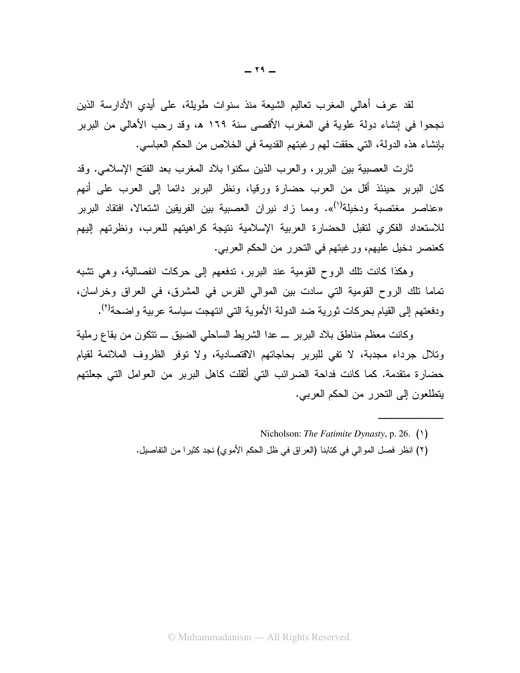لقد عرف أهالي المغرب تعاليم الشيعة منذ سنوات طويلة، على أيدى الأدارسة الذين نجحوا في إنشاء دولة علوية في المغرب الأقصىي سنة ١٦٩ ه، وقد رحب الأهالي من البربر بإنشاء هذه الدولة، التي حققت لهم رغبتهم القديمة في الخلاص من الحكم العباسي.

ثارت العصبية بين البربر، والعرب الذين سكنوا بلاد المغرب بعد الفتح الإسلامي. وقد كان البربر حينئذ أقل من العرب حضارة ورقيا، ونظر البربر دائما إلى العرب على أنهم «عناصر مغتصبة ودخيلة<sup>(١</sup>)». ومما زاد نيران العصبية بين الفريقين اشتعالا، افتقاد البربر للاستعداد الفكرى لنقبل الحضارة العربية الإسلامية نتيجة كراهيتهم للعرب، ونظرتهم إليهم كعنصر دخيل عليهم، ورغبتهم في التحرير من الحكم العربي.

وهكذا كانت نلك الروح القومية عند البربر، ندفعهم إلى حركات انفصالية، وهي نشبه تماما نلك الروح القومية التي سادت بين الموالي الفرس في المشرق، في العراق وخراسان، ودفعتهم إلى القيام بحركات ثورية ضد الدولة الأموية التي انتهجت سياسة عربية واضحة<sup>(٢)</sup>.

وكانت معظم مناطق بلاد البربر \_ عدا الشريط الساحلي الضبق \_ نتكون من بقاع رملية وتلال جرداء مجدبة، لا نفي للبرير بحاجاتهم الاقتصادية، ولا نوفر الظروف الملائمة لقيام حضارة متقدمة. كما كانت فداحة الضرائب التي أثقلت كاهل البربر من العوامل التي جعلتهم يتطلعون إلى التحرر من الحكم العربي.

(٢) انظر فصل الموالِّي في كتابنا (العراق في ظل الحكم الأموي) نجد كثيرا من التفاصيل.

Nicholson: The Fatimite Dynasty, p. 26.  $(1)$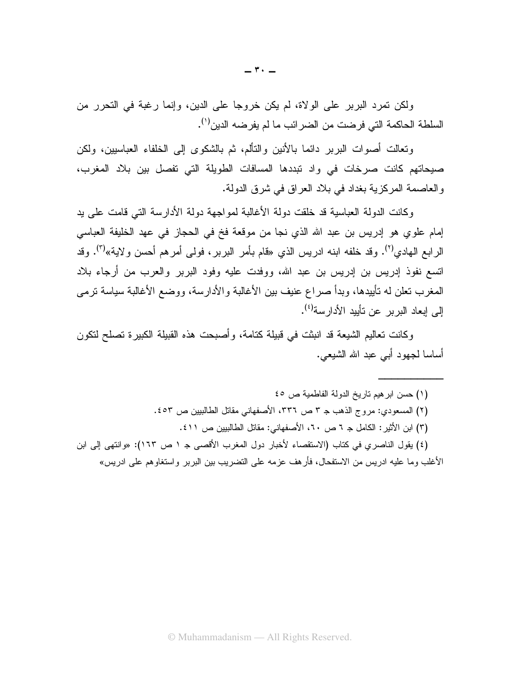ولكن تمرد البربر على الولاة، لم يكن خروجا على الدين، وإنما رغبة في التحرر من السلطة الحاكمة التي فرضت من الضر ائب ما لم يفرضه الدين<sup>(י)</sup>.

ونعالت أصوات البربر دائما بالأنين والنألم، ثم بالشكوى إلى الخلفاء العباسيين، ولكن صبحاتهم كانت صرخات في واد تبددها المسافات الطويلة التي تفصل بين بلاد المغرب، و العاصمة المركز بة بغداد في بلاد العر اق في شرق الدولة.

وكانت الدولة العباسية قد خلقت دولة الأغالبة لمواجهة دولة الأدارسة التي قامت على بد إمام علوي هو إدريس بن عبد الله الذي نجا من موقعة فخ في الحجاز في عهد الخليفة العباسي الرابع الـهادي<sup>(٢)</sup>. وقد خلفه ابنه ادريس الذي «فام بأمر البربر، فولـى أمرهم أحسن ولاية»<sup>(٣)</sup>. وقد اتسع نفوذ إدريس بن إدريس بن عبد الله، ووفدت عليه وفود البربر والعرب من أرجاء بلاد المغرب نعلن له نأييدها، وبدأ صراع عنيف بين الأغالبة والأدارسة، ووضع الأغالبة سياسة نرمي إلى إبعاد البر بر عن تأبيد الأدار سة<sup>(٤)</sup>.

وكانت تعاليم الشيعة قد انبثت في قبيلة كتامة، وأصبحت هذه القبيلة الكبيرة تصلح لتكون أساسا لجهود أبي عبد الله الشيعي.

(١) حسن ابر هيم تاريخ الدولة الفاطمية ص ٤٥ (٢) المسعودي: مروج الذهب جـ ٣ ص ٣٣٦، الأصفهاني مقاتل الطالبيين ص ٤٥٣. (٣) ابن الأثير: الكامل جـ ٦ ص ٦٠، الأصفهاني: مقاتل الطالبيين ص ٤١١. (٤) يقول الناصري في كتاب (الاستقصاء لأخبار دول المغرب الأقصبي جـ ١ ص ١٦٣): «وانتهى إلى ابن الأغلب وما عليه ادريس من الاستفحال، فأرهف عزمه على التضريب بين البربر واستغاوهم على ادريس»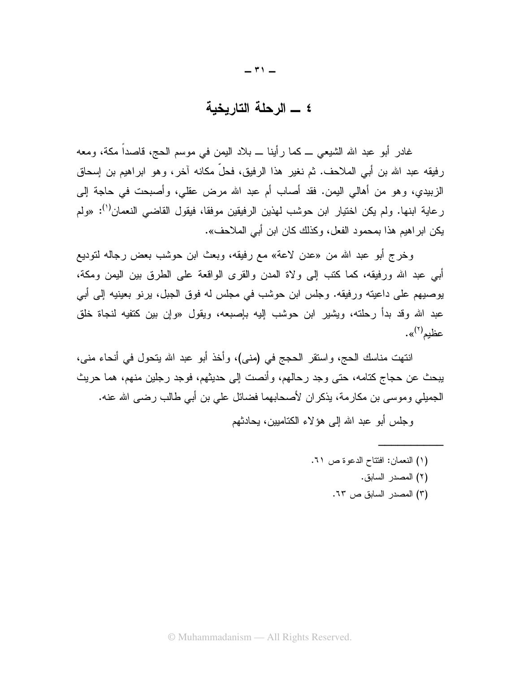#### ٤ \_ الرحلة التاريخية

غادر أبو عبد الله الشيعي ـــ كما رأينا ـــ بلاد اليمن في موسم الحج، قاصداً مكة، ومعه رفيقه عبد الله بن أبي الملاحف. ثم نغير هذا الرفيق، فحلَّ مكانه آخر، وهو ابراهيم بن إسحاق الزبيدي، وهو من أهالي اليمن. فقد أصلب أم عبد الله مرض عقلي، وأصبحت في حاجة إلى ر عاية ابنها. ولم يكن اختيار ابن حوشب لهذين الرفيقين موفقا، فيقول القاضبي النعمان<sup>(י)</sup>: «ولم يكن ابر اهيم هذا بمحمود الفعل، وكذلك كان ابن أبي الملاحف».

وخرج أبو عبد الله من «عدن لاعة» مع رفيقه، وبعث ابن حوشب بعض رجاله لتوديع أبي عبد الله ورفيقه، كما كتب إلى ولاة المدن والقرى الواقعة على الطرق بين اليمن ومكة، يوصيهم على داعيته ورفيقه. وجلس ابن حوشب في مجلس له فوق الجبل، برنو بعينيه إلى أبي عبد الله وقد بدأ رحلته، ويشير ابن حوشب إليه بإصبعه، ويقول «وإن بين كتفيه لنجاة خلق عظیم<sup>(۲)</sup>».

انتهت مناسك الحج، واستقر الحجج في (مني)، وأخذ أبو عبد الله يتحول في أنحاء مني، يبحث عن حجاج كتامه، حتى وجد رحالهم، وأنصت إلى حديثهم، فوجد رجلين منهم، هما حريث الجميلي وموسى بن مكارمة، يذكران لأصحابهما فضائل على بن أبي طالب رضي الله عنه.

و جلس أبو عبد الله الے هؤ لاء الكتامبين، بحادثهم

(١) النعمان: افتتاح الدعوة ص ٢١. (٢) المصدر السابق. (٣) المصدر السابق ص ٦٣.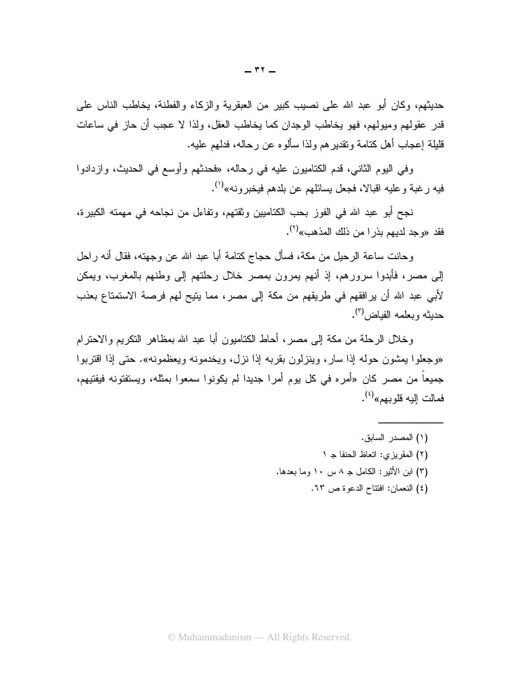حديثهم، وكان أبو عبد الله على نصيب كبير من العبقرية والزكاء والفطنة، يخاطب الناس على قدر عقولهم وميولهم، فهو يخاطب الوجدان كما يخاطب العقل، ولذا لا عجب أن حاز في ساعات قليلة إعجاب أهل كنامة ونقدير هم ولذا سألوه عن رحاله، فدلهم عليه.

وفي اليوم الثاني، قدم الكتاميون عليه في رحاله، «فحدثهم وأوسع في الحديث، وازدادوا فيه ر غبة و عليه اقبالا، فجعل بسائلهم عن بلدهم فيخبر و نه»<sup>(י)</sup>.

نجح أبو عبد الله في الفوز بحب الكتاميين وثقتهم، وتفاءل من نجاحه في مهمته الكبير ة، فقد «وجد لديهم بذر ا من ذلك المذهب»<sup>(٢)</sup>.

وحانت ساعة الرحيل من مكة، فسأل حجاج كتامة أبا عبد الله عن وجهته، فقال أنه راحل إلى مصر، فأبدوا سرورهم، إذ أنهم بمرون بمصر خلال رحلتهم إلى وطنهم بالمغرب، ويمكن لأبي عبد الله أن يرافقهم في طريقهم من مكة إلى مصر ، مما يتيح لهم فرصة الاستمتاع بعذب حديثه ويعلمه الفياض (٢).

وخلال الرحلة من مكة إلى مصر ، أحاط الكتاميون أبا عبد الله بمظاهر النكريم والاحترام «وجعلوا بمشون حوله إذا سار، وينزلون بقربه إذا نزل، ويخدمونه ويعظمونه». حتى إذا اقتربوا جميعاً من مصر كان «أمره في كل يوم أمر! جديدا لم يكونوا سمعوا بمثله، ويستفتونه فيفتيهم، فمالت البه قلو بهم»<sup>(٤)</sup>.

> (١) المصدر السابق. (٢) المقريزي: اتعاظ الحنفا ج ١ (٣) ابن الأثير: الكامل جـ ٨ سـ ١٠ وما بعدها. (٤) النعمان: افتتاح الدعوة ص ٦٣.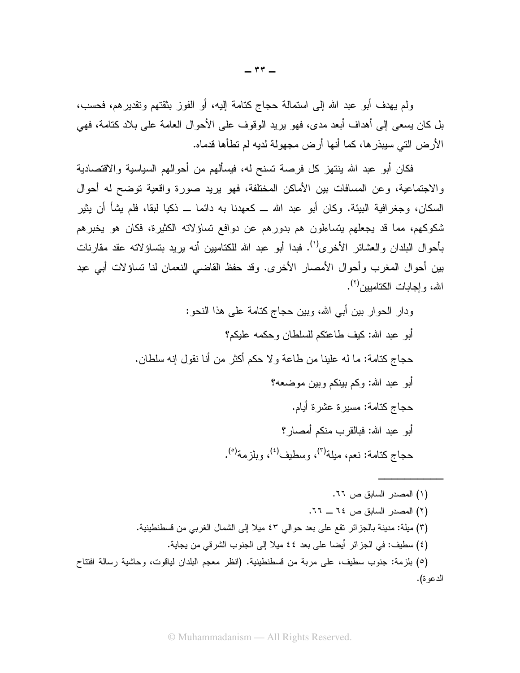ولم يهدف أبو عبد الله إلى استمالة حجاج كتامة إليه، أو الفوز بثقتهم وتقديرهم، فحسب، بل كان يسعى إلى أهداف أبعد مدى، فهو يريد الوقوف على الأحوال العامة على بلاد كتامة، فهي الأرض التي سيبذرها، كما أنها أرض مجهولة لديه لم تطأها قدماه.

فكان أبو عبد الله ينتهز كل فرصة تسنح له، فيسألهم من أحوالهم السياسية والاقتصادية والاجتماعية، وعن المسافات بين الأماكن المختلفة، فهو يريد صورة واقعية توضح له أحوال السكان، وجغرافية البيئة. وكان أبو عبد الله ـــ كعهدنا به دائما ـــ ذكيا لبقا، فلم يشأ أن يثير شكوكهم، مما قد يجعلهم يتساءلون هم بدورهم عن دوافع نساؤلاته الكثيرة، فكان هو يخبرهم بأحوال البلدان والعشائر الأخرى''). فبدا أبو عبد الله للكتاميين أنه يريد بتساؤلاته عقد مقارنات بين أحو ال المغرب و أحو ال الأمصـار الأخر ي. وقد حفظ القاضـي النعمان لنا نساؤ لات أبـي عبد الله، و إجابات الكتامبين<sup>(٢)</sup>.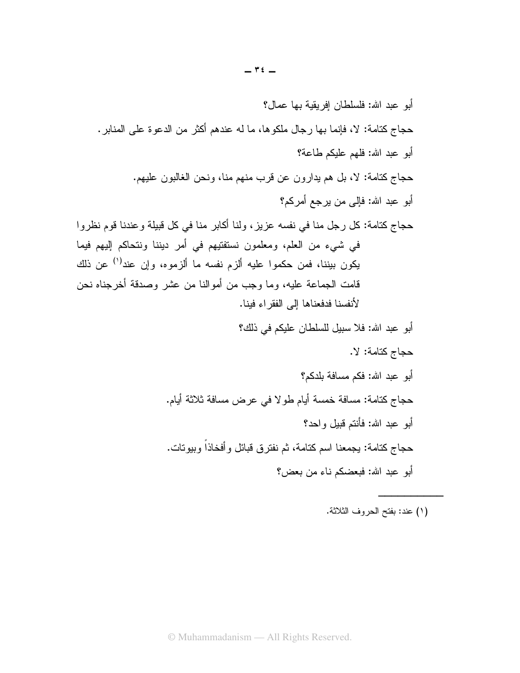حجاج كتامة: لا، فإنما بها رجال ملكوها، ما له عندهم أكثر من الدعوة على المنابر . أبو عبد الله: فلهم عليكم طاعة؟ حجاج كتامة: لا، بل هم يدارون عن قرب منهم منا، ونحن الغالبون عليهم. أبو عبد الله: فإلى من يرجع أمر كم؟ حجاج كتامة: كل رجل منا في نفسه عزيز ، ولنا أكابر منا في كل قبيلة وعندنا قوم نظروا في شيء من العلم، ومعلمون نستفتيهم في أمر ديننا ونتحاكم إليهم فيما يكون بيننا، فمن حكموا عليه ألزم نفسه ما ألزموه، وإن عند<sup>(י)</sup> عن ذلك قامت الجماعة عليه، وما وجب من أموالنا من عشر وصدقة أخرجناه نحن لأنفسنا فدفعناها إلى الفقر اء فبنا. أبو عبد الله: فلا سبيل للسلطان عليكم في ذلك؟ حجاج كتامة: لا. أبو عبد الله: فكم مسافة بلدكم؟ حجاج كتامة: مسافة خمسة أيام طولا في عرض مسافة ثلاثة أيام. أبو عبد الله: فأنتم قبيل واحد؟ حجاج كتامة: يجمعنا اسم كتامة، ثم نفترق قبائل وأفخاذاً وبيوتات. أبو عبد الله: فبعضكم ناء من بعض؟

(١) عند: بفتح الحروف الثلاثة.

أبو عبد الله: فلسلطان إفريقية بها عمال؟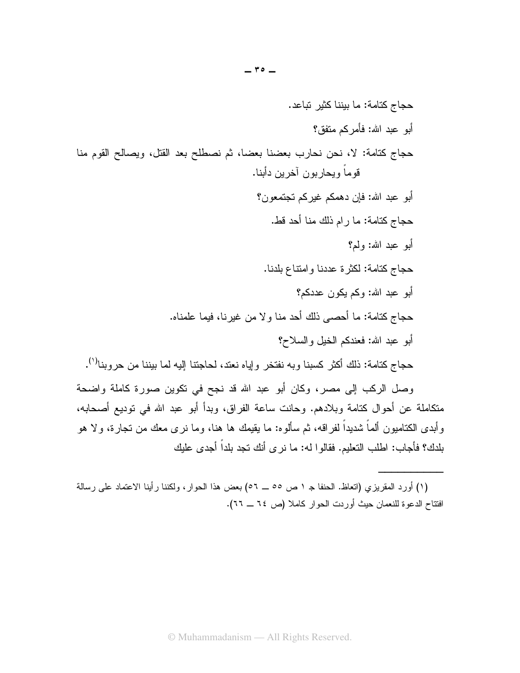وصل الركب إلى مصر، وكان أبو عبد الله قد نجح في نكوين صورة كاملة واضحة منكاملة عن أحوال كتامة وبلادهم. وحانت ساعة الفراق، وبدأ أبو عبد الله في توديع أصحابه، وأبدى الكتاميون ألمـاً شديداً لفراقه، ثم سألوه: ما يقيمك ها هنا، وما نرى معك من تجارة، ولا هو بلدك؟ فأجاب: اطلب النعليم. فقالوا له: ما نرى أنك نجد بلداً أجدى عليك

<sup>(</sup>١) أورد المقريزي (انعاظ. الحنفا جـ ١ ص ٥٥ ــــ ٥٢) بعض هذا الحوار، ولكننا رأينا الاعتماد على رسالة افتتاح الدعوة للنعمان حيث أوردت الحوار كاملا (ص ٦٤ ــ ٢٦).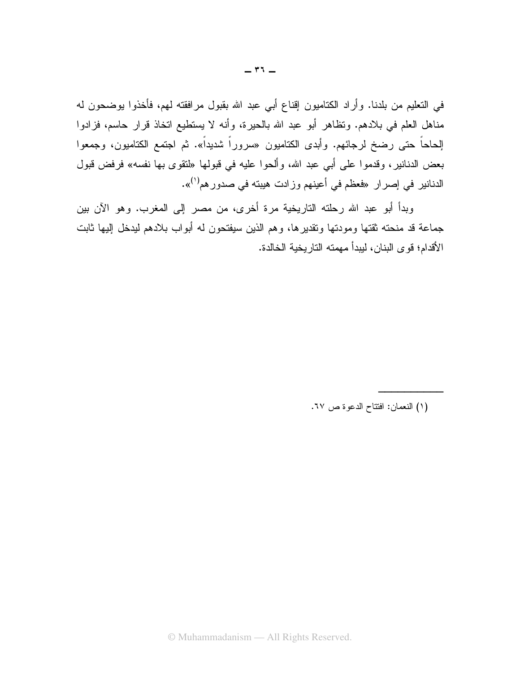في التعليم من بلدنا. وأراد الكتاميون إقناع أبي عبد الله بقبول مرافقته لمهم، فأخذوا بوضحون له مناهل العلم في بلادهم. ونظاهر أبو عبد الله بالحيرة، وأنه لا يستطيع اتخاذ قرار حاسم، فزادوا الِحاحاً حتى رضخ لرجائهم. وأبدى الكتاميون «سروراً شديداً». ثم اجتمع الكتاميون، وجمعوا بعض الدنانير، وقدموا على أبي عبد الله، وألحوا عليه في قبولها «لنقوى بها نفسه» فرفض قبول الدنانير في إصرار «فعظم في أعينهم وزادت هيبته في صدورهم<sup>(١)</sup>».

وبدأ أبو عبد الله رحلته التاريخية مرة أخرى، من مصر إلى المغرب. وهو الآن بين جماعة قد منحته ثقتها ومودتها وتقديرها، وهم الذين سيفتحون له أبواب بلادهم ليدخل إليها ثابت الأقدام؛ قو ي البنان، ليبدأ مهمته التار يخية الخالدة.

(١) النعمان: افتتاح الدعوة ص ٦٧.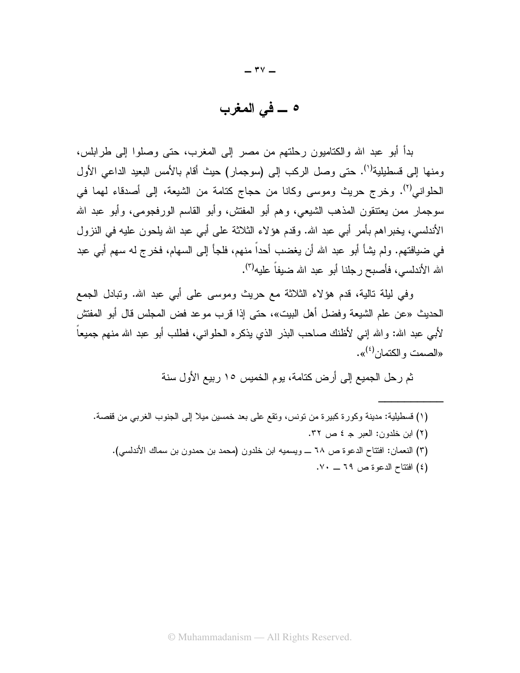### ه \_ في المغرب

بدأ أبو عبد الله والكتاميون رحلتهم من مصر إلى المغرب، حتى وصلوا إلى طرابلس، ومنها إلى فسطيلية<sup>(١)</sup>. حتى وصل الركب إلى (سوجمار) حيث أقام بالأمس البعيد الداعي الأول الحلواني<sup>(٢)</sup>. وخرج حريث وموسى وكانا من حجاج كتامة من الشيعة، إلى أصدقاء لهما في سوجمار ممن يعتنقون المذهب الشيعي، وهم أبو المفتش، وأبو القاسم الورفجومي، وأبو عبد الله الأندلسي، يخبر اهم بأمرٍ أبي عبد الله. وقدم هؤلاء الثلاثة على أبي عبد الله بلحون عليه في النزول في ضيافتهم. ولم يشأ أبو عبد الله أن يغضب أحداً منهم، فلجأ إلى السهام، فخرج له سهم أبي عبد الله الأندلسي، فأصبح رجلنا أبو عبد الله ضبفاً عليه<sup>(٣)</sup>.

و في ليلة تالية، قدم هؤ لاء الثلاثة مع حريث وموسى على أبي عبد الله. وتبادل الجمع الحديث «عن علم الشيعة وفضل أهل البيت»، حتى إذا قرب موعد فض المجلس قال أبو المفتش لأبي عبد الله: والله إني لأظنك صاحب البذر الذي يذكره الحلواني، فطلب أبو عبد الله منهم جميعاً «الصمت و الكتمان<sup>(٤)</sup>».

ثم رحل الجميع إلى أرض كتامة، يوم الخميس ١٥ ربيع الأول سنة

- (١) فسطيلية: مدينة وكورة كبيرة من نونس، ونقع على بعد خمسين ميلا إلى الجنوب الغربي من قفصة.
	- (٢) ابن خلدون: العبر جـ ٤ ص ٣٢.
	- (٣) النعمان: افتتاح الدعوة ص ٦٨ ـــ ويسميه ابن خلدون (محمد بن حمدون بن سماك الأندلسي).
		- (٤) افتتاح الدعوة ص ٦٩ \_ ٧٠.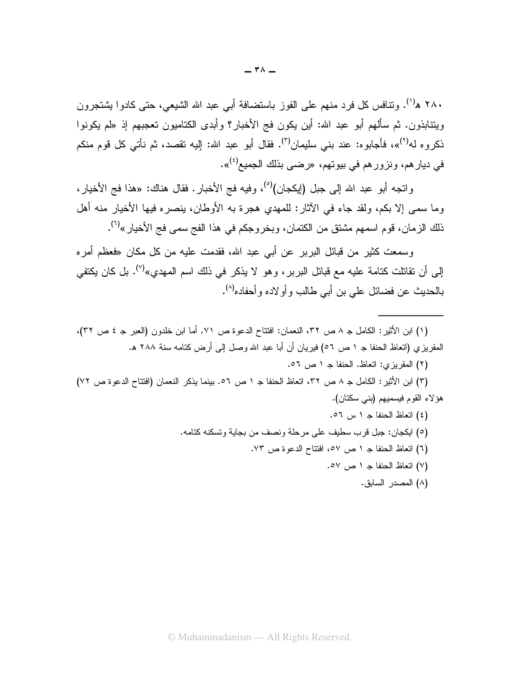۲۸۰ ه<sup>(۱)</sup>. وتنافس كل فرد منهم على الفوز باستضافة أبي عبد الله الشيعي، حتى كادوا بشنجرون ويتنابذون. ثم سألهم أبو عبد الله: أين يكون فج الأخبار؟ وأبدى الكتاميون تعجبهم إذ «لم يكونوا ذكروه له<sup>(٢)</sup>»، فأجابوه: عند بني سليمان<sup>(٣)</sup>. فقال أبو عبد الله: إليه تقصد، ثم نأتـي كل قوم منكم في ديار هم، ونزور هم في بيوتهم، «رضي بذلك الجميع<sup>(٤)</sup>».

و اتجه أبو عبد الله إلى جبل (إيكجان)<sup>(٥)</sup>، و فيه فج الأخبار . فقال هناك: «هذا فج الأخيار ، وما سمي إلا بكم، ولقد جاء في الأثار: للمهدي هجرة به الأوطان، ينصره فيها الأخيار منه أهل ذلك الزمان، قوم اسمهم مشتق من الكتمان، وبخروجكم في هذا الفج سمي فج الأخيار »<sup>(٦)</sup>.

وسمعت كثير من قبائل البربر عن أبي عبد الله، فقدمت عليه من كل مكان «فعظم أمره إلى أن تقاتلت كتامة عليه مع قبائل البربر ، وهو لا يذكر في ذلك اسم المهدي»<sup>(٧)</sup>. بل كان يكتفي بالحديث عن فضائل على بن أبي طالب و أو لاده و أحفاده<sup>(٨)</sup>.

- (١) ابن الأثير: الكامل جـ ٨ ص ٣٢، النعمان: افتتاح الدعوة ص ٧١. أما ابن خلدون (العبر جـ ٤ ص ٣٢)، المقريز ي (اتعاظ الحنفا جـ ١ ص ٥٦) فيريان أن أبا عبد الله وصل إلى أرض كتامه سنة ٢٨٨ هـ.
	- (٢) المقريزي: اتعاظ. الحنفا جـ ١ ص ٥٦.

(٣) ابن الأثير: الكامل ج ٨ ص ٣٢، اتعاظ الحنفا ج ١ ص ٥٦. بينما يذكر النعمان (افتتاح الدعوة ص ٧٢) هؤ لاء القوم فيسميهم (بني سكتان).

> (٤) اتعاظ الحنفا ج ١ س ٥٦. (٥) ايكجان: جبل قرب سطيف على مرحلة ونصف من بجاية وتسكنه كتامه. (٦) اتعاظ الحنفا ج ١ ص ٥٧، افتتاح الدعو ة ص ٧٣. (٧) اتعاظ الحنفا ج ١ ص ٥٧. (٨) المصدر السابق.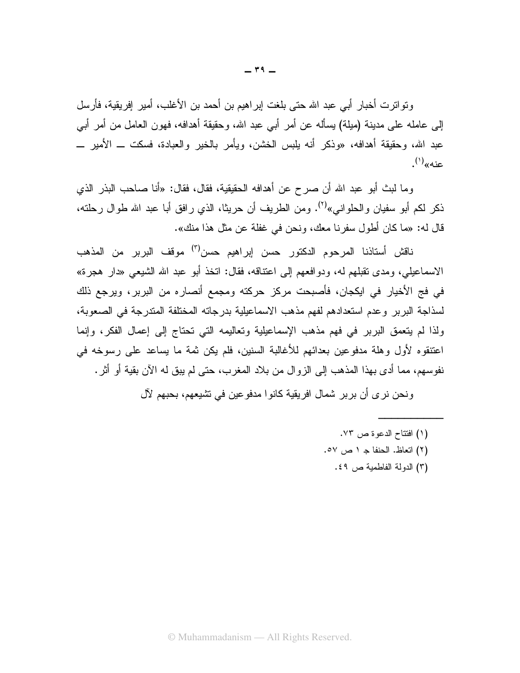وتو اترت أخبار أبي عبد الله حتى بلغت إبر اهيم بن أحمد بن الأغلب، أمير إفريقية، فأرسل إلى عامله على مدينة (ميلة) يسأله عن أمر أبي عبد الله، وحقيقة أهدافه، فهون العامل من أمر أبي عبد الله، وحقيقة أهدافه، «وذكر أنه يلبس الخشن، ويأمر بالخير والعبادة، فسكت ـــ الأمير ــــ عنه»<sup>(۱)</sup>.

و ما لبث أبو عبد الله أن صر ح عن أهدافه الحقيقية، فقال، فقال: «أنا صباحب البذر الذي ذكر لكم أبو سفيان والحلواني»<sup>(٢)</sup>. ومن الطريف أن حريثًا، الذي رافق أبا عبد الله طوال رحلته، قال له: «ما كان أطول سفرنا معك، ونحن في غفلة عن مثل هذا منك».

ناقش أستاذنا المرحوم الدكتور حسن إبراهيم حسن<sup>(٣)</sup> موقف البربر من المذهب الاسماعيلي، ومدى نقبلهم له، ودوافعهم إلى اعتناقه، فقال: انخذ أبو عبد الله الشيعي «دار هجرة» في فج الأخيار في ايكجان، فأصبحت مركز حركته ومجمع أنصاره من البربر، ويرجع ذلك لسذاجة البربر وعدم استعدادهم لفهم مذهب الاسماعيلية بدرجاته المختلفة المتدرجة في الصعوبة، ولذا لم يتعمق البرير في فهم مذهب الإسماعيلية وتعاليمه التي تحتاج إلى إعمال الفكر، وإنما اعتنقوه لأول وهلة مدفوعين بعدائهم للأغالبة السنين، فلم يكن ثمة ما يساعد على رسوخه في نفوسهم، مما أدى بهذا المذهب إلى الزوال من بلاد المغرب، حتى لم يبق له الآن بقية أو أثر .

ونحن نرى أن بربر شمال افريقية كانوا مدفوعين في تشيعهم، بحبهم لآل

- (١) افتتاح الدعوة ص ٧٣.
- (٢) اتعاظ. الحنفا جـ ١ ص ٥٧.
	- (٣) الدولة الفاطمية ص ٤٩.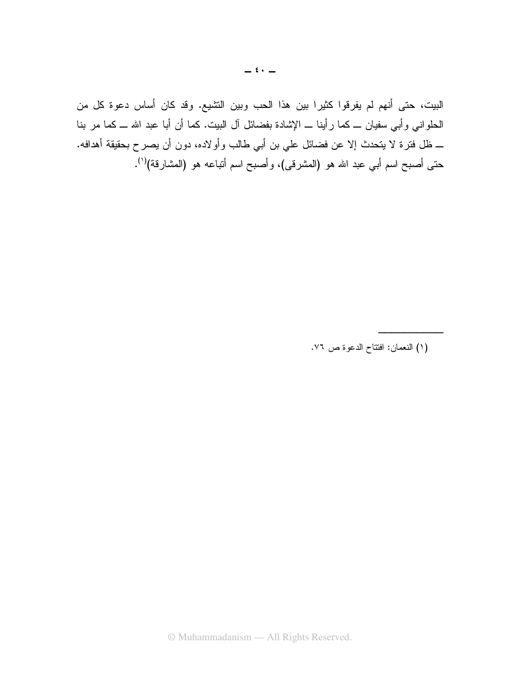البيت، حتى أنهم لم يفرقوا كثيرا بين هذا الحب وبين التشيع. وقد كان أساس دعوة كل من الحلواني وأبي سفيان ـــ كما رأينا ـــ الإشادة بفضائل آل البيت. كما أن أبا عبد الله ـــ كما مر بنا ـــ ظل فترة لا يتحدث إلا عن فضائل علي بن أبي طالب وأولاده، دون أن يصرح بحقيقة أهدافه. حتى أصبح اسم أبي عبد الله هو (المشرقى)، وأصبح اسم أتباعه هو (المشارقة)<sup>(י)</sup>.

(١) النعمان: افتتاح الدعوة ص ٧٦.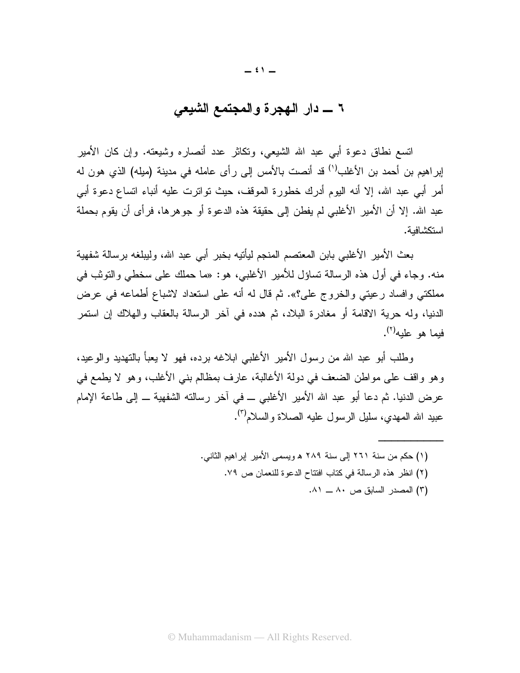## ٦ \_ دار الـهجرة والمجتمع الشيعي

اتسع نطاق دعوة أبـي عبد الله الشيعي، ونكاثر عدد أنصـاره وشيعته. وإن كان الأمير إبراهيم بن أحمد بن الأغلب<sup>(י)</sup> قد أنصت بالأمس إلى رأى عامله في مدينة (ميله) الذي هون له أمرٍ أبي عبد الله، إلا أنه اليوم أدرك خطورة الموقف، حيث تواترت عليه أنباء اتساع دعوة أبي عبد الله. إلا أن الأمير الأغلبي لم يفطن إلى حقيقة هذه الدعوة أو جو هر ها، فر أي أن يقوم بحملة استكشافية.

بعث الأمير الأغلبي بابن المعتصم المنجم ليأتيه بخبر أبي عبد الله، وليبلغه برسالة شفهية منه. وجاء في أول هذه الرسالة تساؤل للأمير الأغلبي، هو: «ما حملك على سخطي والتوثب في مملكتي وافساد رعيتي والخروج علي؟». ثم قال له أنه على استعداد لاشباع أطماعه في عرض الدنيا، وله حرية الاقامة أو مغادرة البلاد، ثم هدده في آخر الرسالة بالعقاب والهلاك إن استمر فيما هو عليه $\left(\begin{smallmatrix} 7 \end{smallmatrix}\right)$ .

وطلب أبو عبد الله من رسول الأمير الأغلبي ابلاغه برده، فهو لا يعبأ بالتهديد والوعيد، وهو واقف على مواطن الضعف في دولة الأغالبة، عارف بمظالم بني الأغلب، وهو لا يطمع في عرض الدنيا. ثم دعا أبو عبد الله الأمير الأغلبي ــ في آخر رسالته الشفهية ــ إلى طاعة الإمام عبيد الله المهدى، سليل الرسول عليه الصلاة والسلام<sup>(٣)</sup>.

> (١) حكم من سنة ٢٦١ إلى سنة ٢٨٩ ﻫ ويسمى الأمير إبراهيم الثاني. (٢) انظر هذه الرسالة في كتاب افتتاح الدعوة للنعمان ص ٧٩. (٣) المصدر السابق ص ٨٠ ــ ٨١.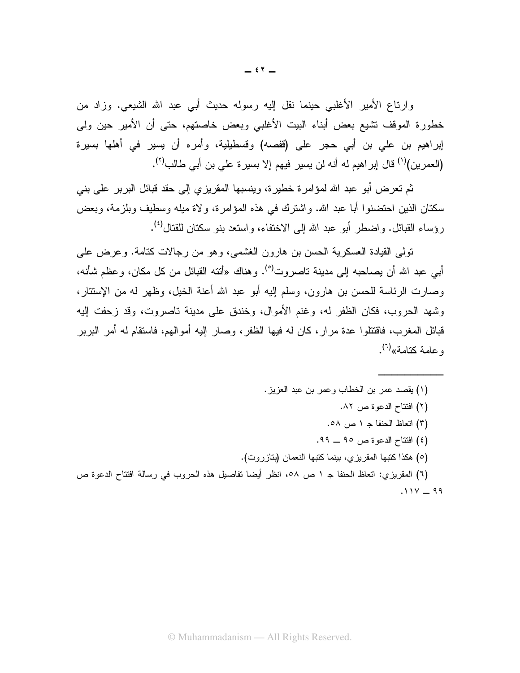وإرناع الأمير الأغلبي حينما نقل إليه رسوله حديث أبي عبد الله الشيعي. وزاد من خطورة الموقف نتشيع بعض أبناء البيت الأغلبي وبعض خاصتهم، حتى أن الأمير حين ولمي إبراهيم بن علي بن أبي حجر على (قفصه) وقسطيلية، وأمره أن يسير في أهلها بسيرة (العمرين)<sup>(י)</sup> قال إبراهيم له أنه لن يسير فيهم إلا بسيرة على بن أبي طالب<sup>(٢)</sup>.

ثم تعر ض أبو عبد الله لموَ امر ۃ خطیر ۃ، وینسبھا المقر بز ی اِلی حقد قبائل البر بر علی بنی سكنان الذين احتضنوا أبا عبد الله. واشترك في هذه المؤامرة، ولاة ميله وسطيف وبلزمة، وبعض ر ؤساء القبائل. و اضطر أبو عبد الله إلى الاختفاء، و استعد بنو سكتان للقتال<sup>(٤)</sup>.

تولَّى القيادة العسكرية الحسن بن هارون الغشمي، وهو من رجالات كتامة. وعرض على أبـي عبد الله أن يصـاحبه إلـي مدينـة تـاصـروت<sup>(٥)</sup>. وهناك «أنتـه القبائل من كل مكان، وعظم شـأنـه، وصارت الرئاسة للحسن بن هارون، وسلم إليه أبو عبد الله أعنة الخيل، وظهر له من الإستتار، وشهد الحروب، فكان الظفر له، وغنم الأموال، وخندق على مدينة تاصروت، وقد زحفت إليه قبائل المغرب، فاقتتلوا عدة مرار، كان له فيها الظفر، وصار إليه أموالهم، فاستقام له أمر البربر و عامة كتامة»<sup>(٦)</sup>.

- (١) يقصد عمر بن الخطاب وعمر بن عبد العزيز. (٢) افتتاح الدعوة ص ٨٢. (٣) اتعاظ الحنفا ج ١ ص ٥٨. (٤) افتتاح الدعوة ص ٩٥ \_ ٩٩. (٥) هكذا كتبها المقريزي، بينما كتبها النعمان (بنازروت). (٦) المقريزي: اتعاظ الحنفا جـ ١ ص ٥٨، انظر أيضا تفاصيل هذه الحروب في رسالة افتتاح الدعوة ص
	- $.11Y 99$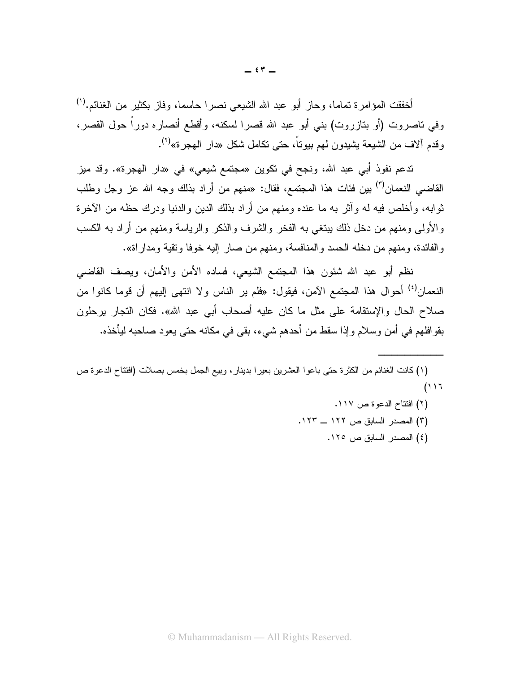أخفقت المؤامرة تماما، وحاز أبو عبد الله الشيعي نصرًا حاسمًا، وفاز بكثير من الغنائم.'') وفي ناصروت (أو بنازروت) بني أبو عبد الله قصرا لسكنه، وأقطع أنصاره دوراً حول القصر، وقدم ألاف من الشيعة يشيدون لمهم بيوتاً، حتى تكامل شكل «دار المهجر ة»<sup>(٢)</sup>.

ندعم نفوذ أبي عبد الله، ونجح في نكوين «مجتمع شيعي» في «دار الهجرة». وقد ميز القاضبي النعمان<sup>(٣)</sup> بين فئات هذا المجتمع، فقال: «منهم من أراد بذلك وجه الله عز وجل وطلب ثوابه، وأخلص فيه له وأثر به ما عنده ومنهم من أراد بذلك الدين والدنيا ودرك حظه من الأخرة والأولى ومنهم من دخل ذلك ببتغي به الفخر والشرف والذكر والرياسة ومنهم من أراد به الكسب و الفائدة، ومنهم من دخله الحسد و المنافسة، ومنهم من صار إليه خوفًا ونقية ومدار اة».

نظم أبو عبد الله شئون هذا المجتمع الشيعي، فساده الأمن والأمان، ويصف القاضبي النعمان<sup>(؛)</sup> أحوال هذا المجتمع الآمن، فيقول: «فلم ير الناس ولا انتهى إليهم أن قوما كانوا من صلاح الحال والإستقامة على مثل ما كان عليه أصحاب أبي عبد الله». فكان التجار برحلون بقوافلهم في أمن وسلام وإذا سقط من أحدهم شيء، بقي في مكانه حتى يعود صاحبه ليأخذه.

(٢) افتتاح الدعوة ص ١١٧. (٣) المصدر السابق ص ١٢٢ ــ ١٢٣. (٤) المصدر السابق ص ١٢٥.

<sup>(</sup>١) كانت الغنائم من الكثرة حتى باعوا العشرين بعيرا بدينار ، وبيع الجمل بخمس بصلات (افتتاح الدعوة ص  $(11)$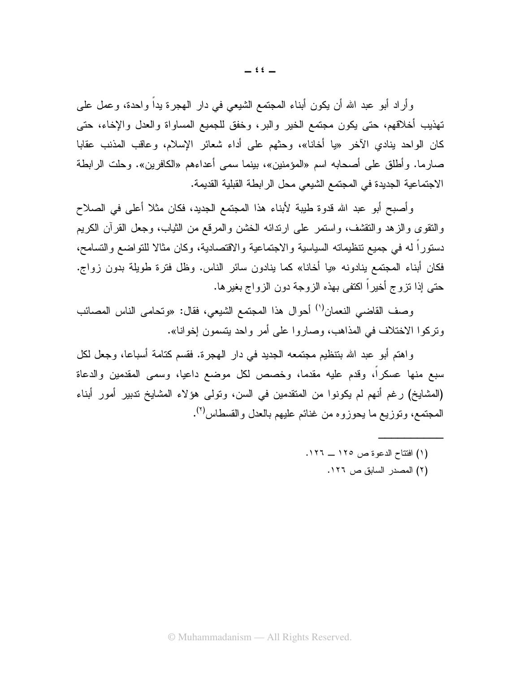وأراد أبو عبد الله أن يكون أبناء المجتمع الشيعي في دار الهجرة يداً واحدة، وعمل على تهذيب أخلاقهم، حتى يكون مجتمع الخير والبر، وخفق للجميع المساواة والعدل والإخاء، حتى كان الواحد بنادي الآخر «با أخانا»، وحثهم على أداء شعائر الإسلام، وعاقب المذنب عقابا صارما. وأطلق على أصحابه اسم «المؤمنين»، بينما سمى أعداءهم «الكافرين». وحلت الرابطة الاجتماعية الجديدة في المجتمع الشيعي محل الرابطة القبلية القديمة.

وأصبح أبو عبد الله قدوة طيبة لأبناء هذا المجتمع الجديد، فكان مثلا أعلى في الصلاح والنقوى والزهد والنقشف، واستمر على ارندائه الخشن والمرقع من الثياب، وجعل القرأن الكريم دستورًا له في جميع نتظيماته السياسية والاجتماعية والاقتصادية، وكان مثالا للتواضع والتسامح، فكان أبناء المجتمع بنادونه «يا أخانا» كما بنادون سائر الناس. وظل فترة طويلة بدون زواج. حتى إذا نزوج أخيراً اكتفى بهذه الزوجة دون الزواج بغيرها.

وصف القاضي النعمان<sup>(١)</sup> أحوال هذا المجتمع الشيعي، فقال: «وتحامي الناس المصائب وتركوا الاختلاف في المذاهب، وصاروا على أمر واحد يتسمون إخوانا».

و اهتم أبو عبد الله بتنظيم مجتمعه الجديد في دار الهجر ة. فقسم كتامة أسباعا، وجعل لكل سبع منها عسكراً، وقدم عليه مقدماً، وخصص لكل موضع داعياً، وسمى المقدمين والدعاة (المشايخ) رغم أنهم لم يكونوا من المتقدمين في السن، وتولَّى هؤلاء المشايخ ندبير أمور أبناء المجتمع، وتوزيع ما يحوزوه من غنائم عليهم بالعدل والقسطاس<sup>(٢)</sup>.

- (١) افتتاح الدعوة ص ١٢٥ ــ ١٢٦.
	- (٢) المصدر السابق ص ١٢٦.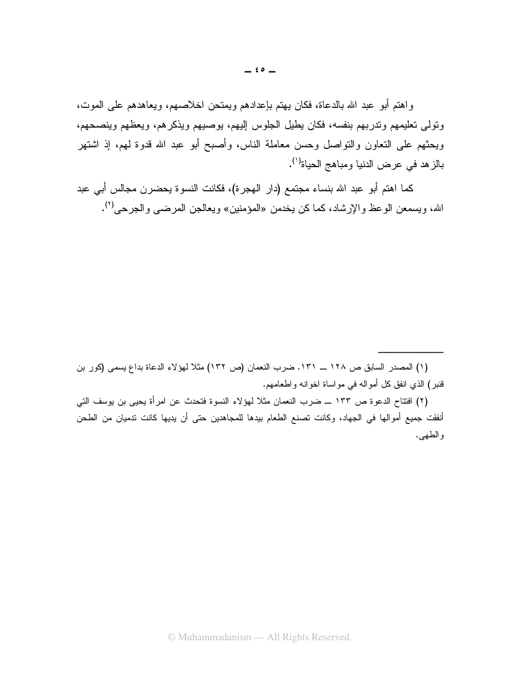واهتم أبو عبد الله بالدعاة، فكان يهتم بإعدادهم ويمتحن اخلاصهم، ويعاهدهم على الموت، وتولى تعليمهم وندربهم بنفسه، فكان يطيل الجلوس إليهم، يوصيهم ويذكرهم، ويعظهم وينصحهم، ويحثهم على التعاون والنواصل وحسن معاملة الناس، وأصبح أبو عبد الله قدوة لمهم، إذ اشتهر بالز هد في عرض الدنيا ومباهج الحياة<sup>(١)</sup>.

كما اهتم أبو عبد الله بنساء مجتمع (دار الهجرة)، فكانت النسوة يحضرن مجالس أبي عبد الله، ويسمعن الوعظ والإرشاد، كما كن يخدمن «المؤمنين» ويعالجن المرضى والجرحى <sup>(٢)</sup>.

(٢) افتتاح الدعوة ص ١٣٣ ـــ ضرب النعمان مثلاً لهؤلاء النسوة فتحدث عن امرأة يحيى بن يوسف التي أنفقت جميع أموالها في الجهاد، وكانت تصنع الطعام بيدها للمجاهدين حتى أن يديها كانت ندميان من الطحن والطهي.

<sup>(</sup>١) المصدر السابق ص ١٢٨ ـــ ١٣١. ضرب النعمان (ص ١٣٢) مثلاً لهؤلاء الدعاة بداع يسمى (كور بن قنبر) الذي انفق كل أمواله في مواساة اخوانه واطعامهم.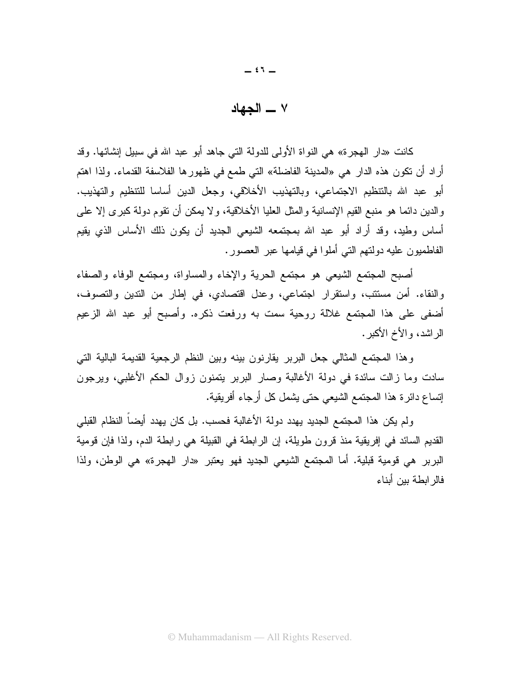## ٧ \_ الحهاد

كانت «دار الهجرة» هي النواة الأولى للدولة التي جاهد أبو عبد الله في سبيل إنشائها. وقد أراد أن تكون هذه الدار هي «المدينة الفاضلة» التي طمع في ظهورِ ها الفلاسفة القدماء. ولذا اهتم أبو عبد الله بالتنظيم الاجتماعي، وبالتهذيب الأخلاقي، وجعل الدين أساسا للتنظيم والتهذيب. والدين دائما هو منبع القيم الإنسانية والمثل العليا الأخلاقية، ولا يمكن أن نقوم دولة كبرى إلا على أساس وطيد، وقد أراد أبو عبد الله بمجتمعه الشيعي الجديد أن يكون ذلك الأساس الذي يقيم الفاطميون عليه دولتهم التي أملوا في فيامها عبر العصور.

أصبح المجتمع الشيعي هو مجتمع الحرية والإخاء والمساواة، ومجتمع الوفاء والصفاء والنقاء. أمن مستتب، واستقرار اجتماعي، وعدل اقتصادي، في إطار من التدين والتصوف، أضفى على هذا المجتمع غلالة روحية سمت به ورفعت ذكره. وأصبح أبو عبد الله الزعيم الر اشد، و الأخ الأكبر .

وهذا المجتمع المثالي جعل البربر يقارنون بينه وبين النظم الرجعية القديمة البالية التي سادت وما زالت سائدة في دولة الأغالبة وصار البربر يتمنون زوال الحكم الأغلبي، ويرجون إنساع دائرة هذا المجتمع الشيعي حتى يشمل كل أرجاء أفريقية.

ولم يكن هذا المجتمع الجديد يهدد دولة الأغالبة فحسب. بل كان يهدد أيضاً النظام القبلي القديم السائد في إفريقية منذ قرون طويلة، إن الرابطة في القبيلة هي رابطة الدم، ولذا فإن قومية البربر هي قومية قبلية. أما المجتمع الشيعي الجديد فهو يعتبر «دار الهجرة» هي الوطن، ولذا فالر ابطة ببن أبناء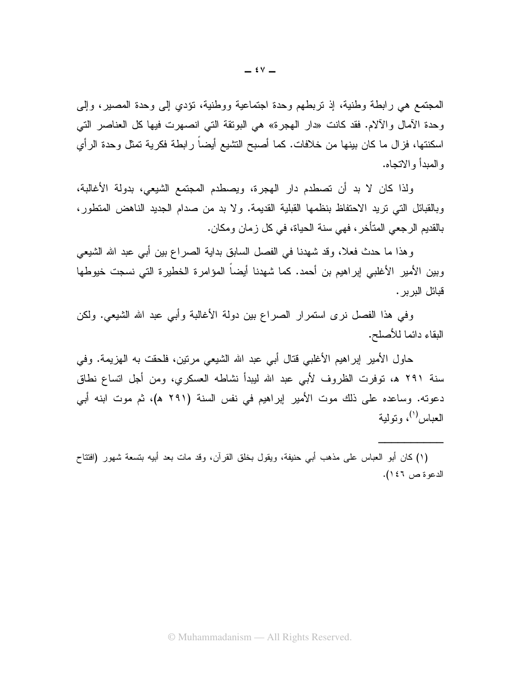المجتمع هي رابطة وطنية، إذ نربطهم وحدة اجتماعية ووطنية، نؤدي إلى وحدة المصير، وإلى وحدة الأمال والآلام. فقد كانت «دار الهجرة» هي البوتقة التي انصهرت فيها كل العناصر التي اسكنتها، فزال ما كان بينها من خلافات. كما أصبح النشيع أيضا رابطة فكرية تمثل وحدة الرأي و المبدأ و الاتجاه.

ولذا كان لا بد أن تصطدم دار الهجرة، ويصطدم المجتمع الشيعي، بدولة الأغالبة، وبالقبائل التي تريد الاحتفاظ بنظمها القبلية القديمة. ولا بد من صدام الجديد الناهض المتطور، بالقديم الرجعي المتأخر ، فهي سنة الحياة، في كل زمان ومكان.

وهذا ما حدث فعلا، وقد شهدنا في الفصل السابق بداية الصراع بين أبي عبد الله الشيعي وبين الأمير الأغلبي إبراهيم بن أحمد. كما شهدنا أيضا المؤامرة الخطيرة التي نسجت خيوطها قبائل البربر .

وفي هذا الفصل نرى استمرار الصراع بين دولة الأغالبة وأبي عبد الله الشبعي. ولكن البقاء دائما للأصلح.

حاول الأمير إبراهيم الأغلبي قتال أبي عبد الله الشيعي مرتين، فلحقت به الهزيمة. وفي سنة ٢٩١ هـ، توفرت الظروف لأبي عبد الله ليبدأ نشاطه العسكري، ومن أجل انساع نطاق دعوته. وساعده على ذلك موت الأمير إبراهيم في نفس السنة (٢٩١ ه)، ثم موت ابنه أبي العياس<sup>(١)</sup>، و نولية

(١) كان أبو العباس على مذهب أبي حنيفة، ويقول بخلق القرآن، وقد مات بعد أبيه بتسعة شهور (افتتاح الدعوة ص ٤٦).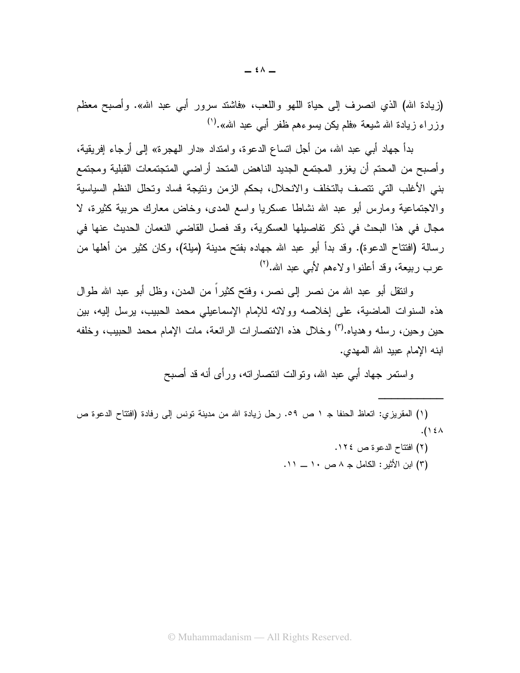(زيادة الله) الذي انصرف إلى حياة اللهو واللعب، «فاشتد سرور أبي عبد الله». وأصبح معظم وزراء زيادة الله شيعة «فلم يكن يسوءهم ظفر أبـي عبد الله».<sup>(י)</sup>

بدأ جهاد أبي عبد الله، من أجل انساع الدعوة، وامنداد «دار الهجرة» إلى أرجاء إفريقية، وأصبح من المحتم أن يغزو المجتمع الجديد الناهض المتحد أراضيي المتجتمعات القبلية ومجتمع بني الأغلب التي نتصف بالتخلف والانحلال، بحكم الزمن ونتيجة فساد وتحلل النظم السياسية والاجتماعية ومارس أبو عبد الله نشاطا عسكريا واسع المدى، وخاض معارك حربية كثيرة، لا مجال في هذا البحث في ذكر تفاصيلها العسكرية، وقد فصل القاضي النعمان الحديث عنها في رسالة (افتتاح الدعوة). وقد بدأ أبو عبد الله جهاده بفتح مدينة (ميلة)، وكان كثير من أهلها من عرب ربيعة، وقد أعلنوا ولاءهم لأبي عبد الله.(٢)

وانتقل أبو عبد الله من نصر إلى نصر، وفتح كثيراً من المدن، وظل أبو عبد الله طوال هذه السنوات الماضية، على إخلاصه وولائه للإمام الإسماعيلي محمد الحبيب، برسل إليه، بين حين وحين، رسله وهدياه.<sup>(٣)</sup> وخلال هذه الانتصارات الرائعة، مات الإمام محمد الحبيب، وخلفه ابنه الإمام عبيد الله المهدى.

واستمر جهاد أبي عبد الله، ونوالت انتصاراته، ورأى أنه قد أصبح

(١) المقريزي: اتعاظ الحنفا جـ ١ ص ٥٩. رحل زيادة الله من مدينة نونس إلى رفادة (افتتاح الدعوة ص  $.() \&$ 

- (٢) افتتاح الدعوة ص ١٢٤.
- (٣) ابن الأثير: الكامل جـ ٨ ص ١٠ ـــ ١١.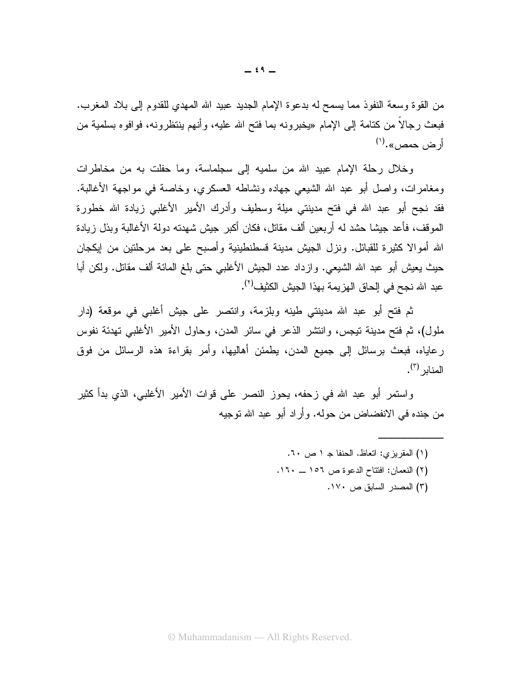من القوة وسعة النفوذ مما يسمح له بدعوة الإمام الجديد عبيد الله المهدي للقدوم إلىي بلاد المغرب. فبعث رجالًا من كتامة إلى الإمام «يخبرونه بما فتح الله عليه، وأنهم ينتظرونه، فوافوه بسلمية من أر ض حمص».<sup>(۱)</sup>

وخلال رحلة الإمام عبيد الله من سلميه إلى سجلماسة، وما حفلت به من مخاطرات ومغامرات، واصل أبو عبد الله الشيعي جهاده ونشاطه العسكري، وخاصة في مواجهة الأغالبة. فقد نجح أبو عبد الله في فتح مدينتي ميلة وسطيف وأدرك الأمير الأغلبى زيادة الله خطورة الموقف، فأعد جيشا حشد له أربعين ألف مقاتل، فكان أكبر جيش شهدته دولة الأغالبة وبذل زيادة الله أمو الا كثير ة للقبائل. ونزل الجيش مدينة قسطنطينية وأصبح على بعد مرحلتين من ايكجان حيث يعيش أبو عبد الله الشيعي. وإزداد عدد الجيش الأغلبي حتى بلغ المائة ألف مقاتل. ولكن أبا عبد الله نجح في الحاق الهزيمة بهذا الجيش الكثيف<sup>(٢)</sup>.

ثم فتح أبو عبد الله مدينتي طينه وبلزمة، وانتصر على جيش أغلبي في موقعة (دار ملول)، ثم فتح مدينة نيجس، وانتشر الذعر في سائر المدن، وحاول الأمير الأغلبي تهدئة نفوس رعاياه، فبعث برسائل إلى جميع المدن، يطمئن أهاليها، وأمر بقراءة هذه الرسائل من فوق المنا<sub>لد</sub> (<sup>٣)</sup>.

واستمر أبو عبد الله في زحفه، يحوز النصر على قوات الأمير الأغلبي، الذي بدأ كثير من جنده في الانفضاض من حوله. وأراد أبو عبد الله نوجيه

> (١) المقريزي: اتعاظ. الحنفا جـ ١ ص ٦٠. (٢) النعمان: افتتاح الدعوة ص ١٥٦ \_ ١٦٠. (٣) المصدر السابق ص ١٧٠.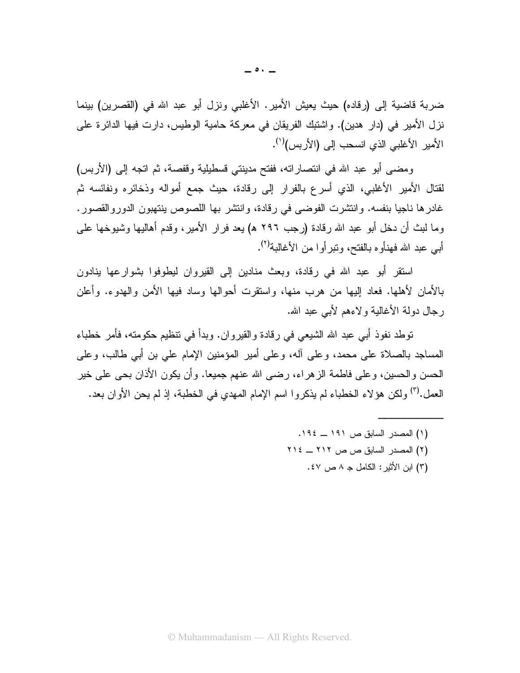ضربة قاضية إلى (رقاده) حيث يعيش الأمير. الأغلبي ونزل أبو عبد الله في (القصرين) بينما نزل الأمير في (دار هدين). واشتبك الفريقان في معركة حامية الوطيس، دارت فيها الدائرة على الأمير الأغلبي الذي انسحب إلى (الأربس)<sup>(١)</sup>.

ومضيي أبو عبد الله في انتصاراته، ففتح مدينتي قسطيلية وقفصة، ثم اتجه إلى (الأربس) لقتال الأمير الأغلبي، الذي أسرع بالفرار إلى رقادة، حيث جمع أمواله وذخائره ونفائسه ثم غادرها ناجيا بنفسه. وانتشرت الفوضبي في رقادة، وانتشر بها اللصوص بنتهبون الدوروالقصور. وما لبث أن دخل أبو عبد الله رقادة (رجب ٢٩٦ ه) يعد فرار الأمير ، وقدم أهاليها وشيوخها على أبي عبد الله فهنأو ه بالفتح، وتبر أو ا من الأغالبة<sup>(٢)</sup>.

استقر أبو عبد الله في رقادة، وبعث منادين إلى القيروان ليطوفوا بشوارعها ينادون بالأمان لأهلها. فعاد إليها من هرب منها، واستقرت أحوالها وساد فيها الأمن والهدوء. وأعلن رجال دولة الأغالية ولاءهم لأبي عبد الله.

توطد نفوذ أبي عبد الله الشيعي في رقادة والقيروان. وبدأ في نتظيم حكومته، فأمر خطباء المساجد بالصلاة على محمد، و على أله، و على أمير المؤمنين الإمام على بن أبي طالب، و على الحسن و الحسين، و علي فاطمة الز هر اء، ر ضبي الله عنهم جميعا. و أن يكون الأذان بحي علي خير العمل.<sup>(٣)</sup> ولكن هؤلاء الخطباء لم يذكروا اسم الإمام المهدي في الخطبة، إذ لم يحن الأوان بعد.

- (۱) المصدر السابق ص ۱۹۱ \_ ۱۹٤. (٢) المصدر السابق ص ص ٢١٢ \_ ٢١٤
	- (٣) ابن الأثير : الكامل جـ ٨ ص ٤٧ .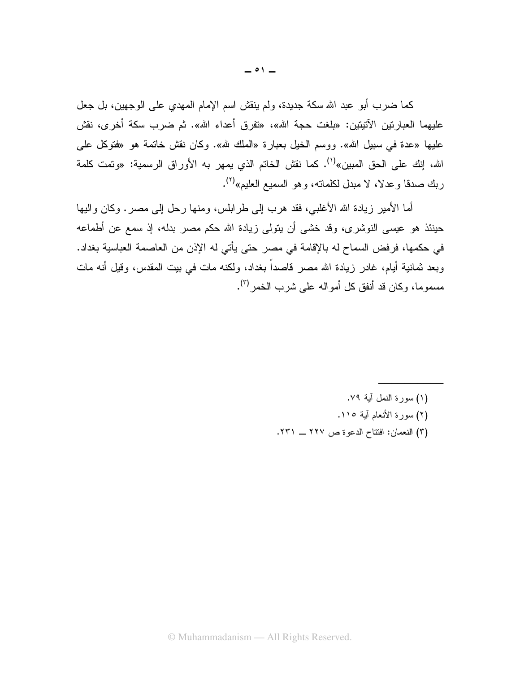كما ضرب أبو عبد الله سكة جديدة، ولم ينقش اسم الإمام المهدي على الوجهين، بل جعل عليهما العبارتين الآتيتين: «بلغت حجة الله»، «تفرق أعداء الله». ثم ضرب سكة أخرى، نقش عليها «عدة في سبيل الله». ووسم الخيل بعبارة «الملك لله». وكان نقش خاتمة هو «فتوكل على الله، إنك على الحق المبين»<sup>(י)</sup>. كما نقش الخاتم الذي يمهر به الأوراق الرسمية: «وتمت كلمة ربك صدقا وعدلا، لا مبدل لكلمانه، و هو السميع العليم»<sup>(٢)</sup>.

أما الأمير زيادة الله الأغلبي، فقد هرب إلى طرابلس، ومنها رحل إلى مصر . وكان واليها حينئذ هو عيسى النوشري، وقد خشى أن يتولى زيادة الله حكم مصر بدله، إذ سمع عن أطماعه في حكمها، فرفض السماح له بالإقامة في مصر حتى يأتي له الإذن من العاصمة العباسية بغداد. وبعد ثمانية أيام، غادر زيادة الله مصر قاصداً بغداد، ولكنه مات في بيت المقدس، وقيل أنه مات مسموما، وكان قد أنفق كل أمواله على شرب الخمر <sup>(٣)</sup>.

> (١) سورة النمل آبة ٧٩. (٢) سورة الأنعام آية ١١٥. (٣) النعمان: افتتاح الدعوة ص ٢٢٧ ـ ٢٣١.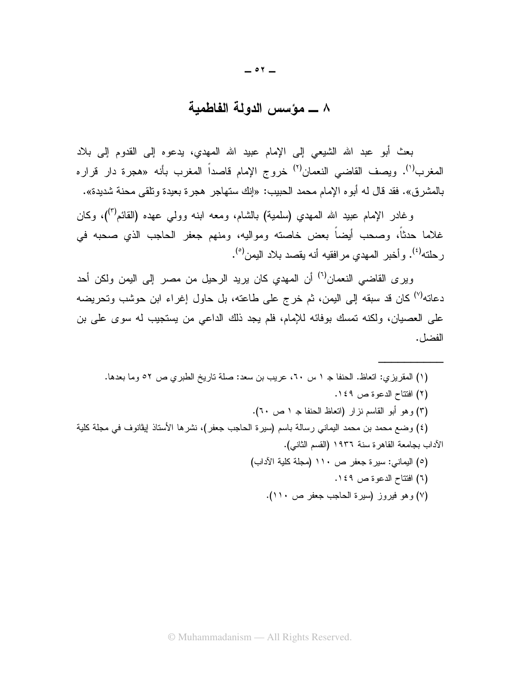## ٨ ــــ مؤسس الدولة الفاطمية

بعث أبو عبد الله الشيعي إلى الإمام عبيد الله المهدي، يدعوه إلى القدوم إلى بلاد المغرب<sup>(י)</sup>. ويصف القاضي النعمان<sup>(٢)</sup> خروج الإمام قاصداً المغرب بأنه «هجرة دار قراره بالمشرق». فقد قال له أبوه الإمام محمد الحبيب: «إنك ستهاجر هجرة بعيدة ونلقى محنة شديدة».

وغادر الإمام عبيد الله المهدي (سلمية) بالشام، ومعه ابنه وولـى عهده (القائم<sup>(٣)</sup>)، وكان غلاما حدثاً، وصحب أيضاً بعض خاصنه ومواليه، ومنهم جعفر الحاجب الذي صحبه في رحلته<sup>(٤)</sup>. وأخبر المهدي مرافقيه أنه يقصد بلاد اليمن<sup>(٥</sup>).

ويرى القاضي النعمان<sup>(٦)</sup> أن المهدي كان يريد الرحيل من مصر إلى اليمن ولكن أحد دعاته<sup>(٧)</sup> كان قد سبقه إلى اليمن، ثم خرج على طاعته، بل حاول إغراء ابن حوشب وتحريضه على العصيان، ولكنه نمسك بوفائه للإمام، فلم يجد ذلك الداعي من يستجيب له سوى على بن الفضل.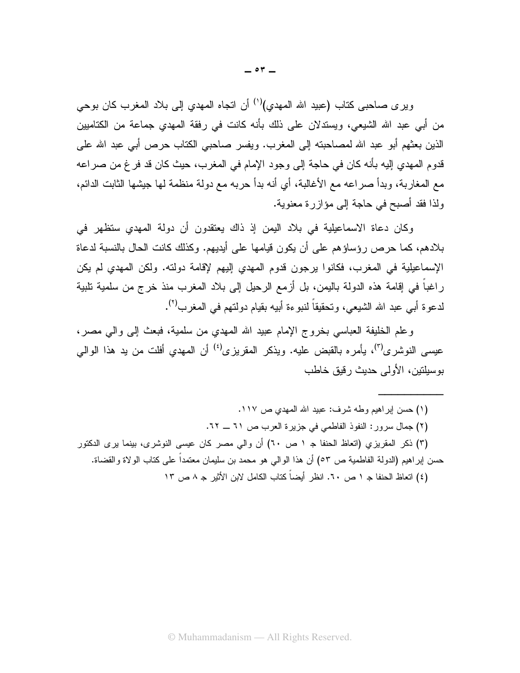وير ى صـاحبي كتاب (عبيد الله المـهدي)<sup>(١)</sup> أن اتجاه المـهدي إلى بـلاد المـغرب كان بوحي من أبي عبد الله الشيعي، ويستدلان على ذلك بأنه كانت في رفقة المهدي جماعة من الكتاميين الذين بعثهم أبو عبد الله لمصاحبته إلى المغرب. ويفسر صاحبي الكتاب حرص أبي عبد الله على قدوم المهدي إليه بأنه كان في حاجة إلى وجود الإمام في المغرب، حيث كان قد فر غ من صر اعه مع المغاربة، وبدأ صراعه مع الأغالبة، أي أنه بدأ حربه مع دولة منظمة لها جيشها الثابت الدائم، ولذا فقد أصبح في حاجة إلى مؤازرة معنوية.

وكان دعاة الاسماعيلية في بلاد اليمن إذ ذاك يعتقدون أن دولة المهدى ستظهر في بلادهم، كما حرص رؤساؤهم على أن يكون قيامها على أيديهم. وكذلك كانت الحال بالنسبة لدعاة الإسماعيلية في المغرب، فكانوا برجون قدوم المهدى إليهم لإقامة دولته. ولكن المهدى لم يكن راغباً في إقامة هذه الدولة باليمن، بل أزمع الرحيل إلى بلاد المغرب منذ خرج من سلمية تلبية لدعوة أبـي عبد الله الشيعـي، وتحقيقاً لنبوءة أبيه بقيام دولتهم فـي المغرب<sup>(٢)</sup>.

وعلم الخليفة العباسي بخروج الإمام عبيد الله المهدى من سلمية، فبعث إلى وإلى مصر، عيسى النوشري<sup>(٣)</sup>، يأمره بالقبض عليه. ويذكر المقريزي<sup>(٤)</sup> أن المهدى أفلت من يد هذا الوالي بوسيلتين، الأولى حديث رقيق خاطب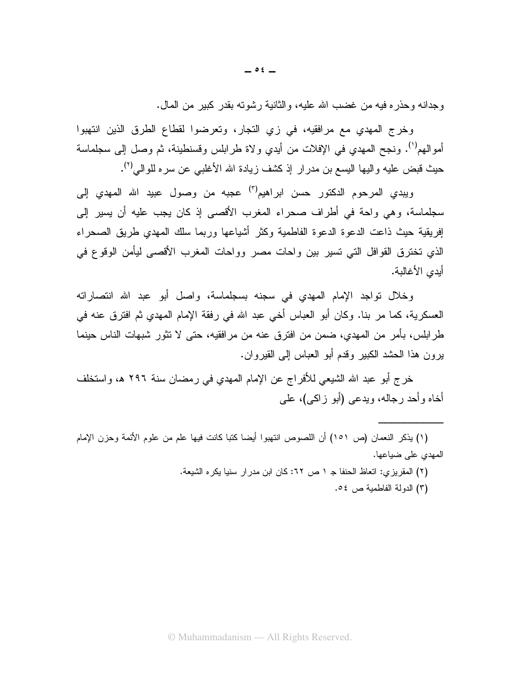وجدانه وحذر ه فيه من غضب الله عليه، والثانية رشوته بقدر كبير من المال.

وخرج المهدي مع مرافقيه، في زي النجار، وتعرضوا لقطاع الطرق الذين انتهبوا أموالهم<sup>(١)</sup>. ونجح المهدي في الإفلات من أيدي ولاة طرابلس وقسنطينة، ثم وصل إلى سجلماسة حيث قبض عليه واليها اليسع بن مدرار إذ كشف زيادة الله الأغلبـي عن سره للوالـي<sup>(٢)</sup>.

ويبدى المرحوم الدكتور حسن ابراهيم<sup>(٣)</sup> عجبه من وصول عبيد الله المهدى إلى سجلماسة، وهي واحة في أطراف صحراء المغرب الأقصبي إذ كان يجب عليه أن يسير إلى إفريقية حيث ذاعت الدعوة الدعوة الفاطمية وكثر أشياعها وربما سلك المهدى طريق الصحراء الذي تخترق القوافل التي تسير بين وإحات مصر وواحات المغرب الأقصبي ليأمن الوقوع في أيدي الأغالية.

وخلال نواجد الإمام المهدي في سجنه بسجلماسة، واصل أبو عبد الله انتصاراته العسكرية، كما مر بنا. وكان أبو العباس أخي عبد الله في رفقة الإمام المهدى ثم افترق عنه في طرابلس، بأمر من المهدى، ضمن من افترق عنه من مرافقيه، حتى لا تثور شبهات الناس حينما ير ون هذا الحشد الكبير وقدم أبو العباس إلى القير وان.

خرج أبو عبد الله الشيعي للأفراج عن الإمام المهدي في رمضان سنة ٢٩٦ هـ، واستخلف أخاه وأحد رجاله، ويدعى (أبو زاكبي)، علمي

(٢) المقريزي: اتعاظ الحنفا ج ١ ص ٦٢: كان ابن مدر ار سنيا يكره الشيعة. (٣) الدولة الفاطمية ص ٥٤.

<sup>(</sup>١) يذكر النعمان (ص ١٥١) أن اللصوص انتهبوا أيضا كتبا كانت فيها علم من علوم الأئمة وحزن الإمام المهدى على ضباعها.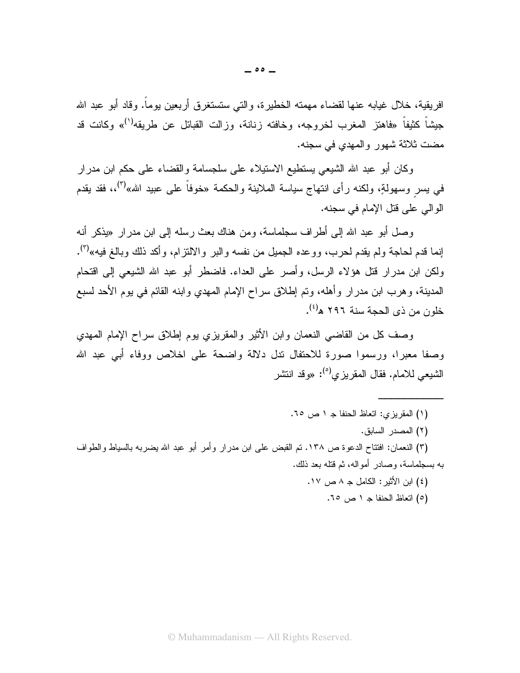افريقية، خلال غيابه عنها لقضاء مهمته الخطيرة، والتبي ستستغرق أربعين يوماً. وقاد أبو عبد الله جيشاً كثيفاً «فاهتز المغرب لخروجه، وخافته زنانة، وزالت القبائل عن طريقه<sup>(י)</sup>» وكانت قد مضت ثلاثة شهور والمهدي في سجنه.

وكان أبو عبد الله الشيعي يستطيع الاستيلاء على سلجسامة والقضاء على حكم ابن مدرار في بسر وسهولةٍ، ولكنه رأى انتهاج سياسة الملاينة والحكمة «خوفاً على عبيد الله»'أ"،، فقد يقدم الو الے علم قتل الإمام في سجنه.

وصل أبو عبد الله إلى أطر اف سجلماسة، ومن هناك بعث رسله إلى ابن مدر ار «يذكر أنه إنما قدم لحاجة ولم يقدم لحرب، ووعده الجميل من نفسه والبر والالنز ام، و أكد ذلك وبالـغ فيه»<sup>(٣)</sup>. ولكن ابن مدرار قتل هؤلاء الرسل، وأصر على العداء. فاضطر أبو عبد الله الشيعي إلى اقتحام المدينة، وهرب ابن مدرار وأهله، وتم إطلاق سراح الإمام المهدي وابنه القائم في بوم الأحد لسبع خلون من ذي الحجة سنة ٢٩٦ ه<sup>(٤)</sup>.

وصف كل من القاضبي النعمان وابن الأثير والمقريزي بوم إطلاق سراح الإمام المهدى وصفا معبرا، ورسموا صورة للاحتفال ندل دلالة واضحة على اخلاص ووفاء أبي عبد الله الشبعي للامام. فقال المقر بز ي<sup>(٥)</sup>: «وقد انتشر

- (١) المقريزي: اتعاظ الحنفا جـ ١ ص ٦٥.
	- (٢) المصدر السابق.

(٣) النعمان: افتتاح الدعوة ص ١٣٨. تم القبض على ابن مدرار وأمر أبو عبد الله يضربه بالسياط والطواف به بسجلماسة، وصادر أمواله، ثم قتله بعد ذلك.

- (٤) ابن الأثير : الكامل جـ ٨ ص ١٧.
	- (٥) اتعاظ الحنفا ج ١ ص ٦٥.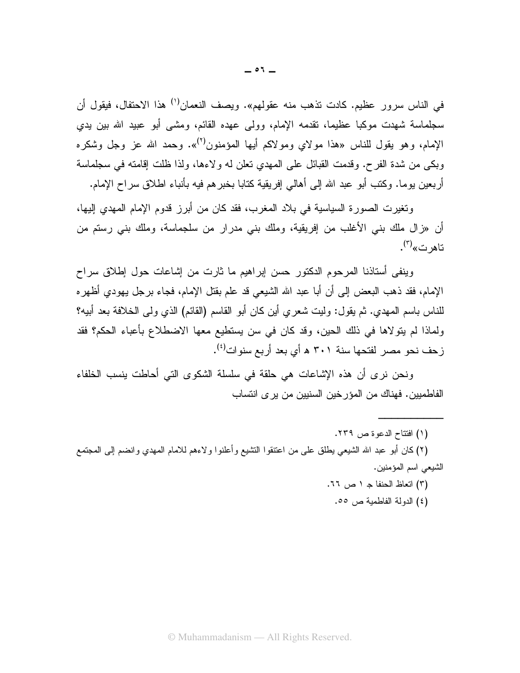في الناس سرور عظيم. كادت تذهب منه عقولهم». ويصف النعمان<sup>(١)</sup> هذا الاحتفال، فيقول أن سجلماسة شهدت موكبا عظيما، نقدمه الإمام، وولى عهده القائم، ومشى أبو عبيد الله بين يدي الإمام، وهو يقول للناس «هذا مولاي ومولاكم أيها المؤمنون<sup>(٢)</sup>». وحمد الله عز وجل وشكره وبكي من شدة الفرح. وقدمت القبائل على المهدي نعلن له ولاءها، ولذا ظلت إقامته في سجلماسة أربعين يوما. وكتب أبو عبد الله إلى أهالي إفريقية كتابا بخبر هم فيه بأنباء اطلاق سراح الإمام.

وتغيرت الصورة السياسية في بلاد المغرب، فقد كان من أبرز قدوم الإمام المهدى إليها، أن «زال ملك بني الأغلب من إفريقية، وملك بني مدرار من سلجماسة، وملك بني رستم من تاهر ت»<sup>(۳)</sup>.

وينفي أستاذنا المرحوم الدكتور حسن إبراهيم ما ثارت من إشاعات حول إطلاق سراح الإمام، فقد ذهب البعض إلى أن أبا عبد الله الشيعي قد علم بقتل الإمام، فجاء برجل يهودي أظهره للناس باسم المهدي. ثم يقول: وليت شعري أين كان أبو القاسم (القائم) الذي ولي الخلافة بعد أبيه؟ ولماذا لم يتولاها في ذلك الحين، وقد كان في سن يستطيع معها الاضطلاع بأعباء الحكم؟ فقد زحف نحو مصر لفتحها سنة ٣٠١ ه أي بعد أربع سنوات<sup>(٤)</sup>.

ونحن نرى أن هذه الإشاعات هي حلقة في سلسلة الشكوى التي أحاطت بنسب الخلفاء الفاطميين. فهناك من المؤر خين السنيين من ير ي انتساب

(١) افتتاح الدعوة ص ٢٣٩.

(٢) كان أبو عبد الله الشيعي يطلق على من اعتنقوا النشيع وأعلنوا ولاءهم للامام المهدي وانضم إلى المجتمع الشيعي اسم المؤمنين.

- (٣) اتعاظ الحنفا جـ ١ ص ٦٦.
	- (٤) الدولة الفاطمية ص ٥٥.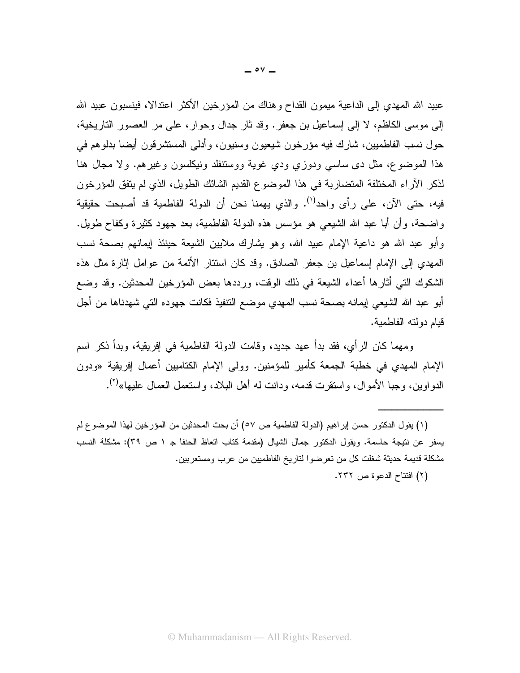عبيد الله المهدي إلى الداعية ميمون القداح وهناك من المؤرخين الأكثر اعتدالا، فينسبون عبيد الله إلى موسى الكاظم، لا إلى إسماعيل بن جعفر . وقد ثار جدال وحوار ، على مر العصور الناريخية، حول نسب الفاطميين، شارك فيه مؤرخون شيعيون وسنيون، وأدلى المستشرقون أيضا بدلوهم في هذا الموضوع، مثل دى ساسى ودوزي ودي غوية ووستنفلد ونيكلسون وغيرهم. ولا مجال هنا لذكر الأراء المختلفة المتضاربة في هذا الموضوع القديم الشائك الطويل، الذي لم يتفق المؤرخون فيه، حتى الأن، على رأى واحد<sup>(י)</sup>. والذي يهمنا نحن أن الدولة الفاطمية قد أصبحت حقيقية واضحة، وأن أبا عبد الله الشيعي هو مؤسس هذه الدولة الفاطمية، بعد جهود كثيرة وكفاح طويل. وأبو عبد الله هو داعية الإمام عبيد الله، وهو يشارك ملايين الشيعة حينئذ إيمانهم بصحة نسب الممهدي إلى الإمام إسماعيل بن جعفر الصادق. وقد كان اسنتار الأئمة من عوامل إثارة مثل هذه الشكوك التـَّى أثارها أعداء الشيعة فـي ذلك الوقت، ورددها بـعض المؤرخين المحدثين. وقد وضـع أبو عبد الله الشيعي إيمانه بصحة نسب المهدي موضع النتفيذ فكانت جهوده التي شهدناها من أجل قيام دولته الفاطمية.

ومهما كان الرأى، فقد بدأ عهد جديد، وقامت الدولة الفاطمية في إفريقية، وبدأ ذكر اسم الإمام المهدي في خطبة الجمعة كأمير للمؤمنين. وولى الإمام الكتاميين أعمال إفريقية «ودون الدو اوين، وجبا الأموال، واستقرت قدمه، ودانت له أهل البلاد، واستعمل العمال عليها»<sup>(٢)</sup>.

(١) يقول الدكتور حسن إبراهيم (الدولة الفاطمية ص ٥٧) أن بحث المحدثين من المؤرخين لهذا الموضوع لم يسفر عن نتيجة حاسمة. ويقول الدكتور جمال الشيال (مقدمة كتاب اتعاظ الحنفا جـ ١ ص ٣٩): مشكلة النسب مشكلة قديمة حديثة شغلت كل من تعرضوا لتاريخ الفاطميين من عرب ومستعربين.

(٢) افتتاح الدعو ة ص ٢٣٢.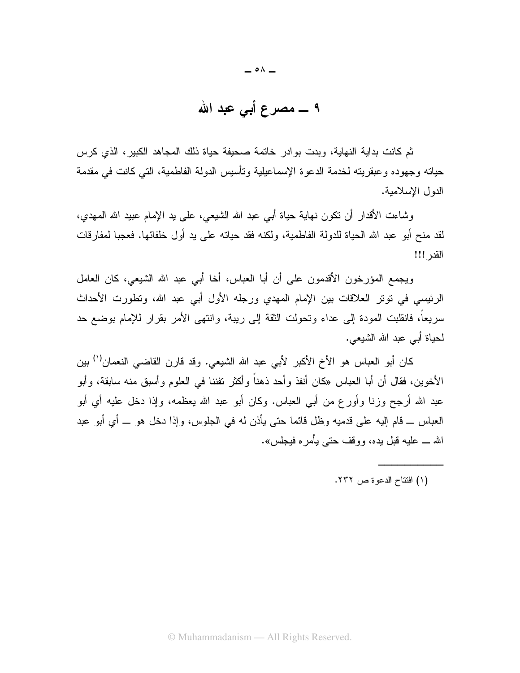$\circ \wedge$   $-$ 

ثم كانت بداية النهاية، وبدت بوادر خاتمة صحيفة حياة ذلك المجاهد الكبير، الذي كرس حياته وجهوده وعبقريته لخدمة الدعوة الإسماعيلية وتأسيس الدولة الفاطمية، التي كانت في مقدمة الدول الإسلامية.

وشاءت الأقدار أن نكون نـهابـة حيـاة أبـي عبد الله الشيعـي، علـي يد الإمـام عبيد الله المـهدي، لقد منح أبو عبد الله الحياة للدولة الفاطمية، ولكنه فقد حياته على يد أول خلفائها. فعجبا لمفارقات القدر !!!

ويجمع المؤرخون الأقدمون على أن أبا العباس، أخا أبي عبد الله الشيعي، كان العامل الرئيسي في توتر العلاقات بين الإمام المهدي ورجله الأول أبي عبد الله، وتطورت الأحداث سريعًا، فانقلبت المودة إلى عداء وتحولت الثقة إلى ريبة، وانتهى الأمر بقرار للإمام بوضع حد لحياة أبي عبد الله الشيعي.

كان أبو العباس هو الأخ الأكبر لأبي عبد الله الشيعي. وقد قارن القاضـي النعمان<sup>(י)</sup> بين الأخوين، فقال أن أبا العباس «كان أنفذ وأحد ذهناً وأكثر تفننا في العلوم وأسبق منه سابقة، وأبو عبد الله أرجح وزنا وأورع من أبي العباس. وكان أبو عبد الله بعظمه، وإذا دخل عليه أي أبو العباس ـــ قام الِيه على قدميه وظل قائما حتى يأذن له في الجلوس، وإذا دخل هو ـــ أي أبو عبد الله ـــ عليه قبل بده، ووقف حتى يأمر ه فيجلس».

(١) افتتاح الدعوة ص ٢٣٢.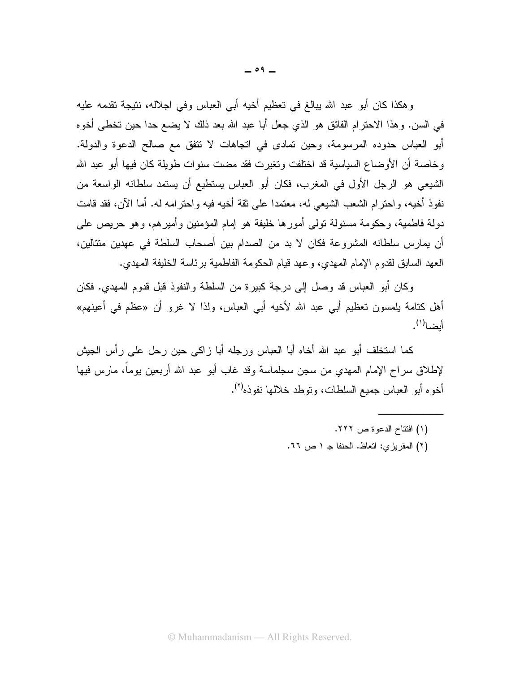وهكذا كان أبو عبد الله ببالغ في تعظيم أخيه أبي العباس وفي اجلاله، نتيجة تقدمه عليه في السن. وهذا الاحترام الفائق هو الذي جعل أبا عبد الله بعد ذلك لا يضع حدا حين تخطي أخوه أبو العباس حدوده المرسومة، وحين تمادى في انجاهات لا نتفق مع صالح الدعوة والدولة. وخاصة أن الأوضاع السياسية قد اختلفت ونغيرت فقد مضت سنوات طويلة كان فيها أبو عبد الله الشَّيعي هو الرجل الأول في المغرب، فكان أبو العباس يستطيع أن يستمد سلطانه الواسعة من نفوذ أخيه، واحترام الشعب الشيعي له، معتمدا على ثقة أخيه فيه واحترامه له. أما الآن، فقد قامت دولة فاطمية، وحكومة مسئولة تولَّى أمورها خليفة هو إمام المؤمنين وأميرهم، وهو حريص على أن يمارس سلطانه المشروعة فكان لا بد من الصدام بين أصحاب السلطة في عهدين متتالين، العهد السابق لقدوم الإمام المهدى، وعهد قيام الحكومة الفاطمية برئاسة الخليفة المهدى.

وكان أبو العباس قد وصل إلى درجة كبيرة من السلطة والنفوذ قبل قدوم المهدى. فكان أهل كتامة بلمسون تعظيم أبـي عبد الله لأخيه أبـي العباس، ولذا لا غرو أن «عظم فـي أعينـهم» أيضا<sup>(י)</sup>.

كما استخلف أبو عبد الله أخاه أبا العباس ورجله أبا زاكي حين رحل على رأس الجيش لإطلاق سراح الإمام المهدي من سجن سجلماسة وقد غاب أبو عبد الله أربعين يوماً، مارس فيها أخوه أبو العباس جميع السلطات، ونوطد خلالها نفوذه<sup>(٢)</sup>.

- (١) افتتاح الدعوة ص ٢٢٢.
- (٢) المقريزي: اتعاظ. الحنفا جـ ١ ص ٦٦.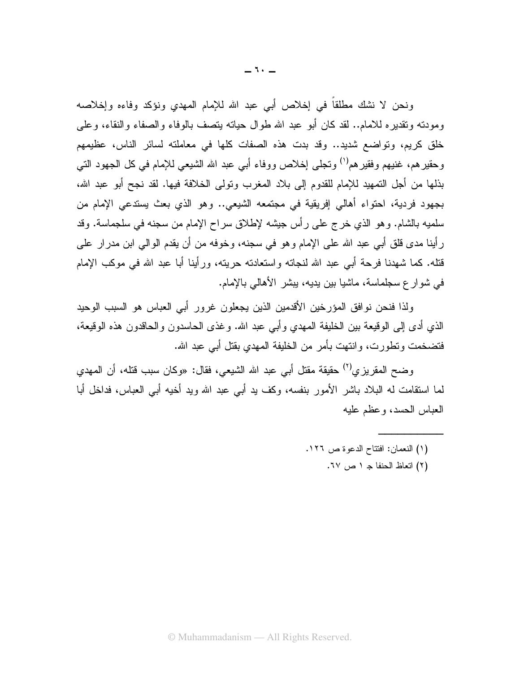ونحن لا نشك مطلقاً في إخلاص أبي عبد الله للإمام المهدي ونؤكد وفاءه وإخلاصه ومودنه ونقديره للامام.. لقد كان أبو عبد الله طوال حيانه بنصف بالوفاء والصفاء والنقاء، وعلى خلق كريم، ونواضع شديد.. وقد بدت هذه الصفات كلها في معاملته لسائر الناس، عظيمهم وحقيرهم، غنيهم وفقيرهم<sup>(י)</sup> وتجلَّى إخلاص ووفاء أبي عبد الله الشَّيعي للإمام في كل الجهود الَّتي بذلها من أجل التمهيد للإمام للقدوم إلى بلاد المغرب وتولى الخلافة فيها. لقد نجح أبو عبد الله، بجهود فردية، احتواء أهالي إفريقية في مجتمعه الشيعي.. وهو الذي بعث يستدعى الإمام من سلميه بالشام. وهو الذي خرج على رأس جيشه لإطلاق سراح الإمام من سجنه في سلجماسة. وقد رِ أينا مدى قلق أبـي عبد الله علـي الإمـام وهو فـي سجنه، وخوفه من أن يقدم الوالـي ابن مدر ار علـي قتله. كما شهدنا فرحة أبـي عبد الله لنجاته واستعادته حريته، ورأينا أبا عبد الله فـي موكب الإمام في شوار ع سجلماسة، ماشيا بين يديه، يبشر الأهالي بالإمام.

ولذا فنحن نوافق المؤرخين الأقدمين الذين يجعلون غرور أبى العباس هو السبب الوحيد الذي أدى إلى الوقيعة بين الخليفة المهدي وأبي عبد الله. وغذى الحاسدون والحاقدون هذه الوقيعة، فتضخمت ونطورت، وانتهت بأمر من الخليفة المهدى بقتل أبي عبد الله.

وضح المقريزي<sup>(٢)</sup> حقيقة مقتل أبي عبد الله الشيعي، فقال: «وكان سبب قتله، أن المهدي لما استقامت له البلاد باشر الأمور بنفسه، وكف يد أبـي عبد الله ويد أخيه أبـي العباس، فداخل أبا العباس الحسد، وعظم عليه

- (١) النعمان: افتتاح الدعوة ص ١٢٦.
	- (٢) اتعاظ الحنفا جـ ١ ص ٦٧.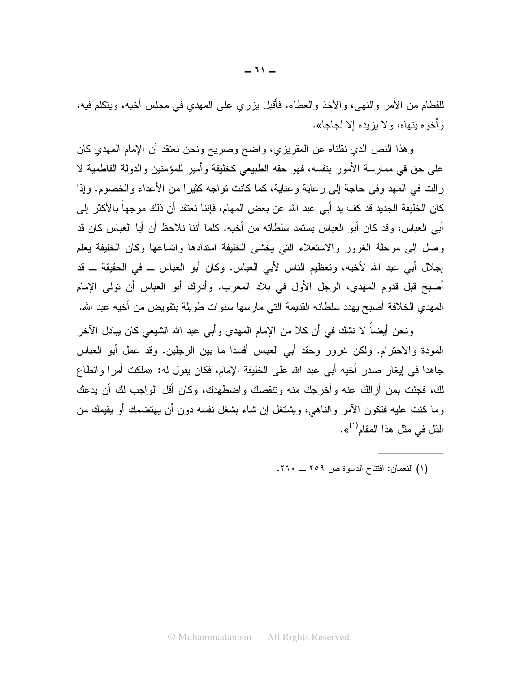للفطام من الأمر والنهي، والأخذ والعطاء، فأقبل يزري على المهدي في مجلس أخيه، ويتكلم فيه، و أخو م بنهاه، و لا بزيده إلا لجاجا».

وهذا النص الذي نقلناه عن المقريزي، واضح وصريح ونحن نعتقد أن الإمام المهدي كان على حق في ممارسة الأمور بنفسه، فهو حقه الطبيعي كخليفة وأمير للمؤمنين والدولة الفاطمية لا زالت في المهد وفي حاجة إلى رعاية وعناية، كما كانت نواجه كثيرًا من الأعداء والخصوم. وإذا كان الخليفة الجديد قد كف يد أبي عبد الله عن بعض المهام، فإننا نعتقد أن ذلك موجهاً بالأكثر إلى أبي العباس، وقد كان أبو العباس بستمد سلطاته من أخيه. كلما أننا نلاحظ أن أبا العباس كان قد وصل إلى مرحلة الغرور والاستعلاء التبي يخشى الخليفة امتدادها واتساعها وكان الخليفة يعلم إجلال أبي عبد الله لأخيه، وتعظيم الناس لأبي العباس. وكان أبو العباس ـــ في الحقيقة ـــ قد أصبح قبل قدوم المهدي، الرجل الأول في بلاد المغرب. وأدرك أبو العباس أن نولمي الإمام المهدي الخلافة أصبح يهدد سلطانه القديمة التي مارسها سنوات طويلة بتفويض من أخيه عبد الله.

ونحن أيضـاً لا نشك في أن كلا من الإمام المـهدي و أبـي عبد الله الشيعـي كان ببـادل الآخر المودة والاحترام. ولكن غرور وحقد أبي العباس أفسدا ما بين الرجلين. وقد عمل أبو العباس جاهدا في إيغار صدر أخيه أبي عبد الله على الخليفة الإمام، فكان يقول له: «ملكت أمرا وانطاع لك، فجئت بمن أزالك عنه وأخرجك منه ونتقصك واضطهدك، وكان أقل الواجب لك أن يدعك وما كنت عليه فتكون الآمر والناهي، ويشتغل إن شاء بشغل نفسه دون أن يهتضمك أو يقيمك من الذل في مثل هذا المقام<sup>(١)</sup>».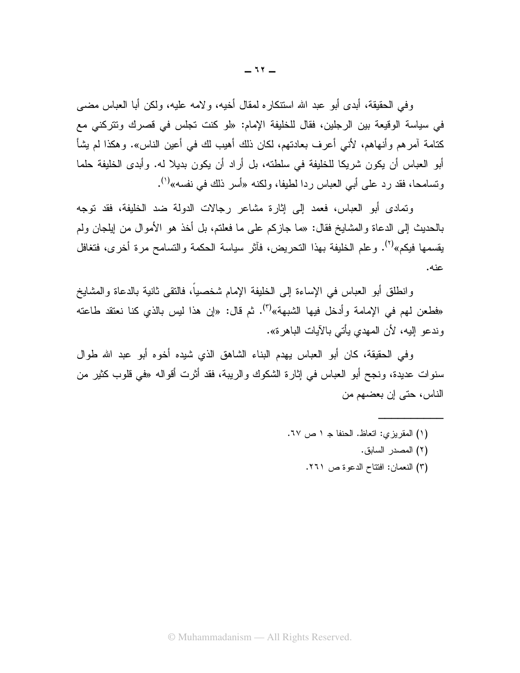وفي الحقيقة، أبدى أبو عبد الله استنكاره لمقال أخيه، ولامه عليه، ولكن أبا العباس مضبي في سياسة الوقيعة بين الرجلين، فقال للخليفة الإمام: «لو كنت تجلس في قصرك وتتركني مع كتامة آمر هم وأنهاهم، لأنبي أعرف بعادتهم، لكان ذلك أهيب لك في أعين الناس». و هكذا لم يشأ أبو العباس أن يكون شريكا للخليفة في سلطته، بل أراد أن يكون بديلا له. وأبدى الخليفة حلما وتسامحا، فقد رد علي أبي العباس ردا لطيفا، ولكنه «أسر ذلك في نفسه»<sup>(י)</sup>.

وتمادى أبو العباس، فعمد إلى إثارة مشاعر رجالات الدولة ضد الخليفة، فقد توجه بالحديث إلى الدعاة والمشايخ فقال: «ما جازِكم على ما فعلتم، بل أخذ هو الأموال من ايلجان ولم يقسمها فيكم»<sup>(٢)</sup>. وعلم الخليفة بهذا النحريض، فأثر سياسة الحكمة والتسامح مرة أخرى، فتغافل عنه.

وانطلق أبو العباس في الإساءة إلى الخليفة الإمام شخصياً، فالنقى ثانية بالدعاة والمشايخ «فطعن لمهم في الإمامة وأدخل فيها الشبهة»<sup>(٣)</sup>. ثم قال: «إن هذا ليس بالذي كنا نعتقد طاعته وندعو إليه، لأن المهدي يأتي بالآيات الباهرة».

و في الحقيقة، كان أبو العباس بهدم البناء الشاهق الذي شيده أخواه أبو اعبد الله طوال سنوات عديدة، ونجح أبو العباس في إثارة الشكوك والريبة، فقد أثرت أقواله «في قلوب كثير من الناس، حتى إن بعضهم من

- (١) المقريزي: اتعاظ. الحنفا جـ ١ ص ٦٧.
	- (٢) المصدر السابق.
	- (٣) النعمان: افتتاح الدعوة ص ٢٦١.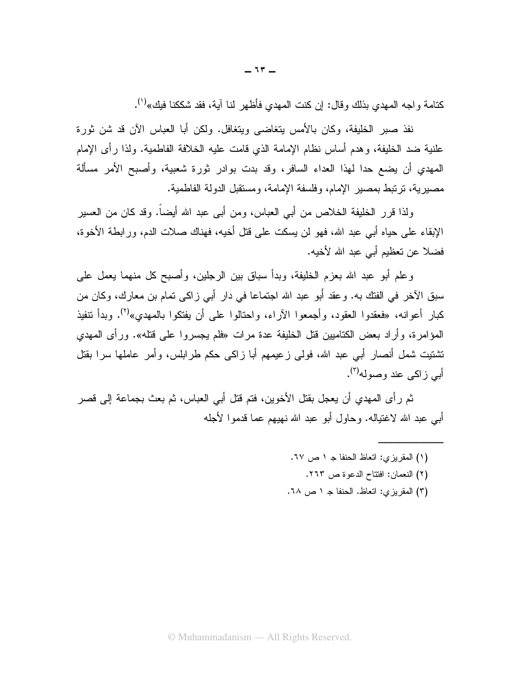كتامة واجه المهدي بذلك وقال: إن كنت المهدي فأظهر لنا آية، فقد شككنا فيك»<sup>(١)</sup>.

نفذ صبر الخليفة، وكان بالأمس يتغاضبي ويتغافل. ولكن أبا العباس الآن قد شن ثورة علنية ضد الخليفة، وهدم أساس نظام الإمامة الذي قامت عليه الخلافة الفاطمية. ولذا رأى الإمام المهدي أن يضع حدا لهذا العداء السافر، وقد بدت بوادر ثورة شعبية، وأصبح الأمر مسألة مصبر ية، ترتبط بمصبر الإمام، وفلسفة الإمامة، ومستقبل الدولة الفاطمية.

ولذا قرر الخليفة الخلاص من أبي العباس، ومن أبي عبد الله أيضاً. وقد كان من العسير الإبقاء على حياه أبي عبد الله، فهو لن يسكت على قتل أخيه، فهناك صلات الدم، ورابطة الأخوة، فضلا عن تعظيم أبي عبد الله لأخيه.

وعلم أبو عبد الله بعزم الخليفة، وبدأ سباق بين الرجلين، وأصبح كل منهما يعمل على سبق الآخر في الفتك به. وعقد أبو عبد الله اجتماعا في دارٍ أبي زاكي تمام بن معارك، وكان من كبار أعوانه، «فعقدوا العقود، وأجمعوا الآراء، واحتالوا على أن يفتكوا بالمهدى»<sup>(٢)</sup>. وبدأ نتفيذ المؤامرة، وأراد بعض الكتاميين قُتل الخليفة عدة مرات «فلم يجسروا على قتله». ورأى المهدى تشتیت شمل أنصار أبے عبد الله، فولم ز عیمهم أبا ز اکم حکم طر ابلس، و أمر عاملها سر ا بقتل أبي ز اكبي عند وصوله<sup>(٣)</sup>.

ثم رأى المهدي أن يعجل بقتل الأخوين، فتم قتل أبي العباس، ثم بعث بجماعة إلى قصر أبي عبد الله لاغتياله. وحاول أبو عبد الله نهيهم عما قدموا لأجله

- (١) المقريزي: اتعاظ الحنفا جـ ١ ص ٦٧.
	- (٢) النعمان: افتتاح الدعوة ص ٢٦٣.
- (٣) المقريزي: اتعاظ. الحنفا جـ ١ ص ٦٨.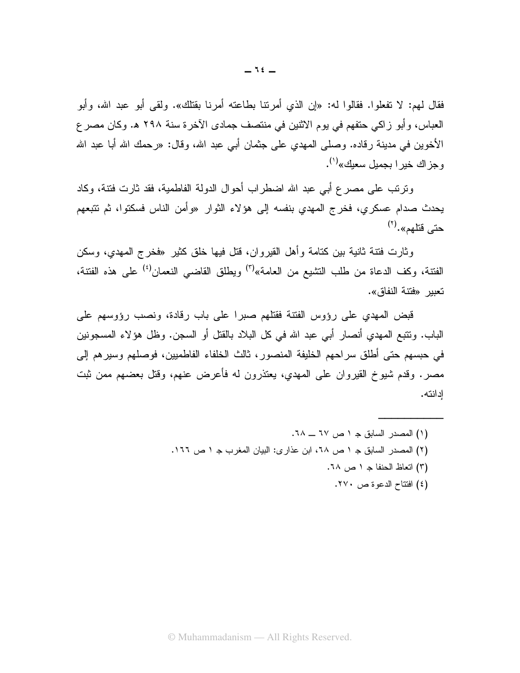فقال لمهم: لا تفعلوا. فقالوا له: «إن الذي أمريتنا بطاعته أمرينا بقتلك». ولقى أبو عبد الله، وأبو العباس، وأبو زاكي حتفهم في يوم الاثنين في منتصف جمادي الآخرة سنة ٢٩٨ هـ. وكان مصر ع الأخوين في مدينة رقاده. وصلَّى المهدي على جثمان أبي عبد الله، وقال: «رحمك الله أبا عبد الله و جز اك خبر ا بجمبل سعبك»<sup>(۱)</sup>.

ونرنب على مصرع أبي عبد الله اضطراب أحوال الدولة الفاطمية، فقد ثارت فنتة، وكاد يحدث صدام عسكري، فخرج المهدى بنفسه إلى هؤلاء الثوار «وأمن الناس فسكتوا، ثم تتبعهم حتى قتلهم».<sup>(۲)</sup>

وثارت فتنة ثانية بين كتامة وأهل القيروان، قُتل فيها خلق كثير «فخر ج المهدي، وسكن الفتنة، وكف الدعاة من طلب التشيع من العامة»<sup>(٣)</sup> ويطلق القاضبي النعمان<sup>(٤)</sup> على هذه الفتنة، تعبير «فتنة النفاق».

قبض المهدى على رؤوس الفتنة فقتلهم صبرا على باب رقادة، ونصب رؤوسهم على الباب. ونتبع المهدي أنصار أبي عبد الله في كل البلاد بالقتل أو السجن. وظل هؤلاء المسجونين في حبسهم حتى أطلق سر احهم الخليفة المنصور ، ثالث الخلفاء الفاطميين، فوصلهم وسير هم إلى مصر . وقدم شيوخ القيروان على المهدى، يعتذرون له فأعرض عنهم، وقتل بعضهم ممن ثبت ادانته.

> (١) المصدر السابق جـ ١ ص ٦٧ ــ ٦٨. (۲) المصدر السابق جـ ١ ص ٦٨، ابن عذارى: البيان المغرب جـ ١ ص ١٦٦. (٣) اتعاظ الحنفا جـ ١ ص ٦٨. (٤) افتتاح الدعوة ص ٢٧٠.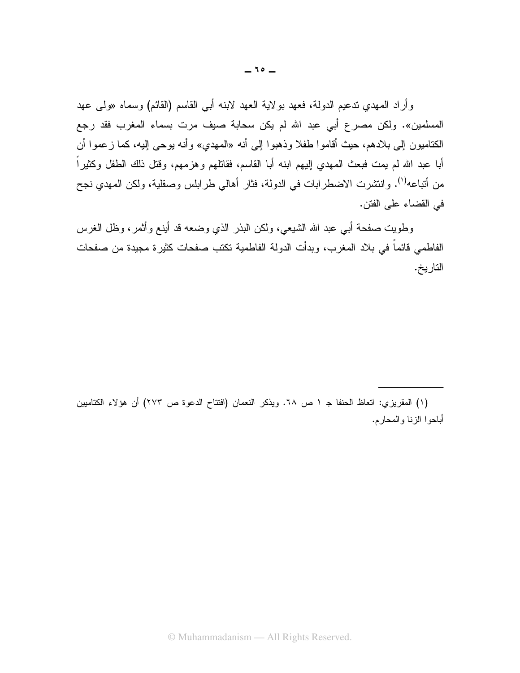وأراد المهدي ندعيم الدولة، فعهد بولاية العهد لابنه أبي القاسم (القائم) وسماه «ولي عهد المسلمين». ولكن مصرع أبي عبد الله لم يكن سحابة صيف مرت بسماء المغرب فقد رجع الكتاميون إلى بلادهم، حيث أقاموا طفلاً وذهبوا إلى أنه «المهدي» وأنه يوحى إليه، كما زعموا أن أبا عبد الله لم يمت فبعث المهدي إليهم ابنه أبا القاسم، فقاتلهم وهزمهم، وقتل ذلك الطفل وكثيراً من أتباعه<sup>(י)</sup>. وانتشرت الاضطرابات في الدولة، فثار أهالي طرابلس وصقلية، ولكن المهدي نجح في القضاء على الفتن.

وطويت صفحة أبي عبد الله الشيعي، ولكن البذر الذي وضعه قد أينع وأثمر، وظل الغرس الفاطمي قائماً في بلاد المغرب، وبدأت الدولة الفاطمية تكتب صفحات كثيرة مجيدة من صفحات التاريخ.

(١) المقريزي: انعاظ الحنفا جـ ١ ص ٦٨. ويذكر النعمان (افتتاح الدعوة ص ٢٧٣) أن هؤلاء الكتاميين أباحوا الزنا والمحارم.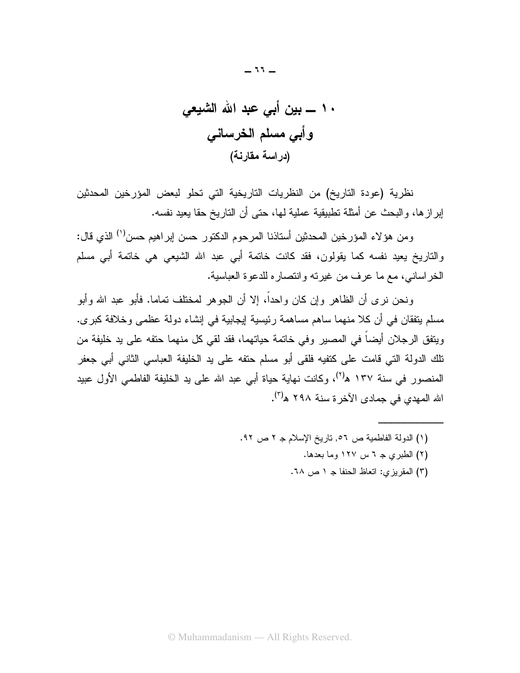$-11 -$ 

نظرية (عودة التاريخ) من النظريات التاريخية التي تحلو لبعض المؤرخين المحدثين إبرازها، والبحث عن أمثلة تطبيقية عملية لها، حتى أن التاريخ حقا يعيد نفسه.

ومن هؤلاء المؤرخين المحدثين أستاذنا المرحوم الدكتور حسن إبراهيم حسن<sup>(١)</sup> الذي قال: والناريخ يعيد نفسه كما يقولون، فقد كانت خاتمة أبي عبد الله الشيعي هي خاتمة أبي مسلم الخر اساني، مع ما عرف من غيرته و انتصار ه للدعوة العباسية.

و نحن نر ي أن الظاهر وإن كان و احداً، إلا أن الجو هر لمختلف تماما. فأبو عبد الله و أبو مسلم يتفقان في أن كلا منهما ساهم مساهمة رئيسية لِيجابية في إنشاء دولة عظمي وخلافة كبرى. ويتفق الرجلان أيضاً في المصير وفي خاتمة حياتهما، فقد لقي كل منهما حتفه على يد خليفة من نلك الدولة التي قامت على كتفيه فلقي أبو مسلم حتفه على يد الخليفة العباسي الثاني أبي جعفر المنصور في سنة ١٣٧ ه<sup>(٢)</sup>، وكانت نهاية حياة أبي عبد الله علي يد الخليفة الفاطمي الأول عبيد الله المهدي في جمادي الآخرة سنة ٢٩٨ ه<sup>(٣)</sup>.

- (١) الدولة الفاطمية ص ٥٦, ناريخ الإسلام جـ ٢ ص ٩٢.
	- (٢) الطبري جـ ٦ س ١٢٧ وما بعدها.
	- (٣) المقريزي: اتعاظ الحنفا ج ١ ص ٦٨.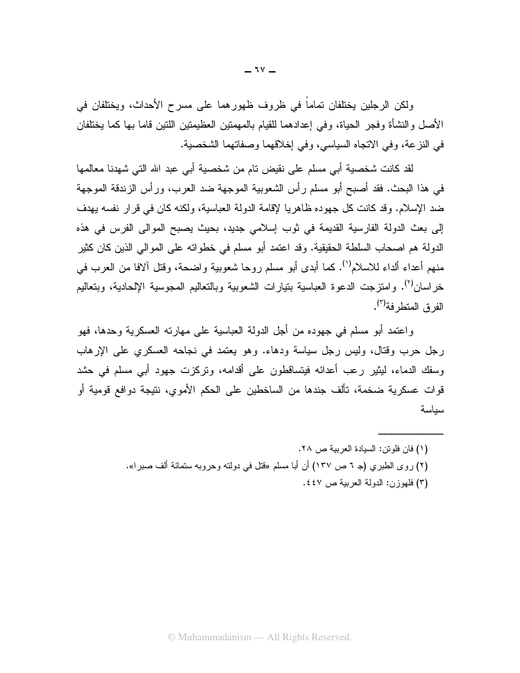ولكن الرجلين يختلفان تماماً في ظروف ظهور هما على مسرح الأحداث، ويختلفان في الأصل والنشأة وفجر الحياة، وفي إعدادهما للقيام بالمهمنين العظيمنين اللنين قاما بها كما يختلفان في النزعة، وفي الاتجاه السياسي، وفي إخلاقهما وصفاتهما الشخصية.

لقد كانت شخصية أبي مسلم على نقيض تام من شخصية أبي عبد الله التي شهدنا معالمها في هذا البحث. فقد أصبح أبو مسلم رأس الشعوبية الموجهة ضد العرب، ورأس الزندقة الموجهة ضد الإسلام. وقد كانت كل جهوده ظاهريا لإقامة الدولة العباسية، ولكنه كان في قرار نفسه يهدف إلى بعث الدولة الفارسية القديمة في ثوب إسلامي جديد، بحيث يصبح الموالي الفرس في هذه الدولة هم اصبحاب السلطة الحقيقية. وقد اعتمد أبو مسلم في خطواته على الموالي الذين كان كثير منهم أعداء ألداء للاسلام''). كما أبدى أبو مسلم ر و حا شعوبية و اضحة، وقتل آلافا من العرب في خر اسان<sup>(٢)</sup>. و امتز جت الدعو ة العباسية بتيار ات الشعوبية وبالتعاليم المجوسية الإلحادية، وبتعاليم الفر ق المتطر فة<sup>(٣)</sup>.

واعتمد أبو مسلم في جهوده من أجل الدولة العباسية على مهارته العسكرية وحدها، فهو رجل حرب وقتال، وليس رجل سياسة ودهاء. وهو يعتمد في نجاحه العسكري على الإرهاب وسفك الدماء، ليثير رعب أعدائه فيتساقطون على أقدامه، ونركزت جهود أبـي مسلم فـي حشد قوات عسكرية ضخمة، تألف جندها من الساخطين على الحكم الأموي، نتيجة دوافع قومية أو سباسة

> (١) فان فلوتن: السيادة العربية ص ٢٨. (٢) روى الطبري (جـ ٦ ص ١٣٧) أن أبا مسلم «فتل في دولته وحروبه ستمائة ألف صبرا». (٣) فلهوزن: الدولة العربية ص ٤٤٧.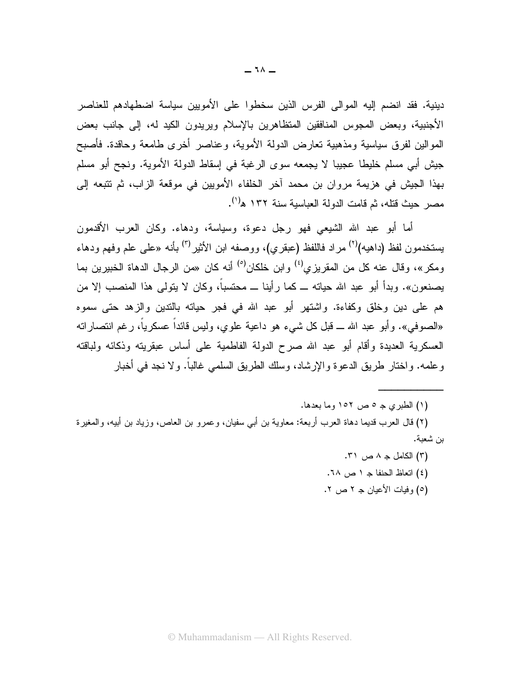دينية. فقد انضم إليه الموالي الفرس الذين سخطوا على الأمويين سياسة اضطهادهم للعناصر الأجنبية، وبعض المجوس المنافقين المتظاهرين بالإسلام ويريدون الكيد له، إلى جانب بعض الموالين لفرق سياسية ومذهبية نعارض الدولة الأموية، وعناصر أخرى طامعة وحاقدة. فأصبح جيش أبي مسلم خليطا عجيبا لا يجمعه سوى الرغبة في إسقاط الدولة الأموية. ونجح أبو مسلم بهذا الجيش في هزيمة مروان بن محمد آخر الخلفاء الأمويين في موقعة الزاب، ثم تتبعه إلى مصر حبث قتله، ثم قامت الدولة العباسبة سنة ١٣٢ ه<sup>(١)</sup>.

أما أبو عبد الله الشيعي فهو رجل دعوة، وسياسة، ودهاء. وكان العرب الأقدمون يستخدمون لفظ (داهيه)<sup>(٢)</sup> مراد فاللفظ (عبقري)، ووصفه ابن الأثير<sup>(٣)</sup> بأنه «على علم وفهم ودهاء ومكر »، وقال عنه كل من المقريز ي<sup>(٤)</sup> وابن خلكان<sup>(٥)</sup> أنه كان «من الرجال الدهاة الخبيرين بما بصنعون». وبدأ أبو عبد الله حياته ــ كما رأينا ــ محتسباً، وكان لا يتولى هذا المنصب إلا من هم على دين وخلق وكفاءة. واشتهر أبو عبد الله في فجر حياته بالتدين والزهد حتى سموه «الصوفي». و أبو عبد الله ـــ قبل كل شيء هو داعية علوى، وليس قائداً عسكرياً، رغم انتصار انه العسكرية العديدة وأقام أبو عبد الله صرح الدولة الفاطمية على أساس عبقريته وذكائه ولباقته وعلمه. واختار طريق الدعوة والإرشاد، وسلك الطريق السلمي غالبًا. ولا نجد في أخبار

(۱) الطبري جـ ٥ ص ١٥٢ وما بعدها.

(٢) قال العرب قديما دهاة العرب أربعة: معاوية بن أبي سفيان، وعمرو بن العاص، وزياد بن أبيه، والمغيرة بن شعبة.

> (٣) الكامل جـ ٨ ص ٣١. (٤) اتعاظ الحنفا ج ١ ص ٦٨. (٥) وفيات الأعيان جـ ٢ ص ٢.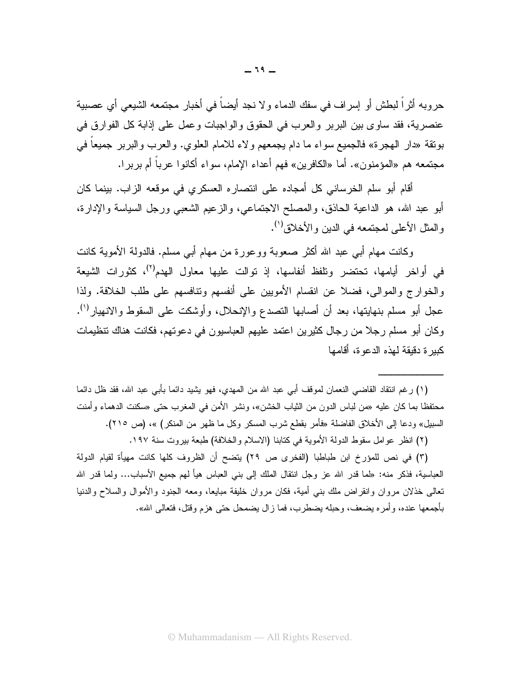حروبه أثر اً لبطش أو إسراف في سفك الدماء و لا نجد أيضاً في أخبار مجتمعه الشيعي أي عصبية عنصرية، فقد ساوى بين البربر والعرب في الحقوق والواجبات وعمل على إذابة كل الفوارق في بونقة «دار الهجرة» فالجميع سواء ما دام يجمعهم ولاء للامام العلوي. والعرب والبربر جميعا في مجتمعه هم «المؤمنون». أما «الكافرين» فهم أعداء الإمام، سواء أكانوا عرباً أم بربرا.

أقام أبو سلم الخرساني كل أمجاده على انتصار ه العسكر ي في موقعه الز اب. بينما كان أبو عبد الله، هو الداعية الحاذق، والمصلح الاجتماعي، والزعيم الشعبي ورجل السياسة والإدارة، والمثل الأعلى لمجتمعه في الدين والأخلاق''.

وكانت مهام أبي عبد الله أكثر صعوبة ووعورة من مهام أبي مسلم. فالدولة الأموية كانت في أواخر أيامها، تحتضر وتلفظ أنفاسها، إذ توالت عليها معاول الهدم<sup>(٢)</sup>، كثورات الشيعة والخوارج والموالي، فضلا عن انقسام الأمويين على أنفسهم ونتافسهم على طلب الخلافة. ولذا عجل أبو مسلم بنهايتها، بعد أن أصابها النصدع والإنحلال، وأوشكت على السقوط والانهيار<sup>(י)</sup>. وكان أبو مسلم رجلا من رجال كثيرين اعتمد عليهم العباسيون في دعوتهم، فكانت هناك نتظيمات كبير ة دقيقة لهذه الدعو ة، أقامها

(١) رغم انتقاد القاضي النعمان لموقف أبي عبد الله من المهدي، فهو يشيد دائما بأبي عبد الله، فقد ظل دائما محتفظًا بما كان عليه «من لباس الدون من الثياب الخشن»، ونشر الأمن في المغرب حتى «سكنت الدهماء وأمنت السبيل» ودعا إلى الأخلاق الفاضلة «فأمر بقطع شرب المسكر وكل ما ظهر من المنكر) »، (ص ٢١٥).

(٢) انظر عوامل سقوط الدولة الأموية في كتابنا (الاسلام والخلافة) طبعة بيروت سنة ١٩٧.

(٣) في نص للمؤرخ ابن طباطبا (الفخرى ص ٢٩) يتضح أن الظروف كلها كانت مهيأة لقيام الدولة العباسية، فذكر منه: «لما قدر الله عز وجل انتقال الملك إلى بني العباس هيأ لهم جميع الأسباب... ولما قدر الله تعالى خذلان مروان وانقراض ملك بنبي أمية، فكان مروان خليفة مبايعا، ومعه الجنود والأموال والسلاح والدنيا بأجمعها عنده، وأمره بضعف، وحبله بضطرب، فما زال بضمحل حتى هزم وقتل، فتعالى الله».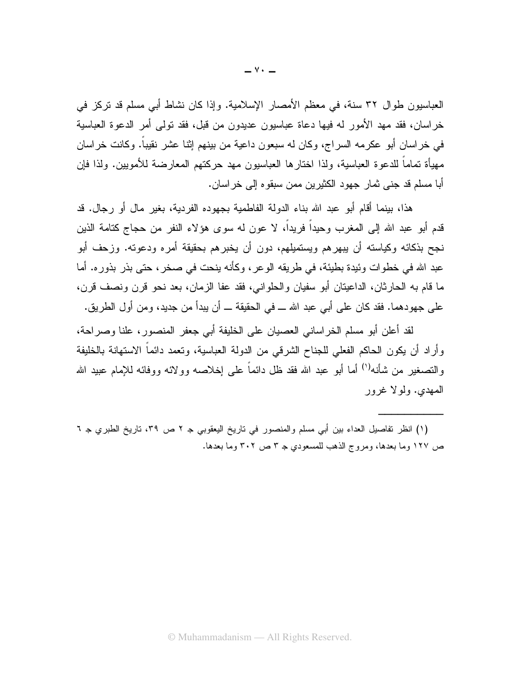العباسيون طوال ٣٢ سنة، في معظم الأمصار الإسلامية. وإذا كان نشاط أبي مسلم قد نركز في خر اسان، فقد مهد الأمور له فيها دعاة عباسيون عديدون من قبل، فقد تولَّى أمر الدعوة العباسية في خر اسان أبو عكر مه السر اج، وكان له سبعون داعية من بينهم إثنا عشر نقيباً. وكانت خر اسان مهيأة تماماً للدعوة العباسية، ولذا اختارها العباسيون مهد حركتهم المعارضة للأمويين. ولذا فإن أبا مسلم قد جنبي ثمار جهود الكثيرين ممن سبقوه إلى خر اسان.

هذا، بينما أقام أبو عبد الله بناء الدولة الفاطمية بجهوده الفردية، بغير مالٍ أو ر جالٍ. قد قدم أبو عبد الله إلى المغرب وحيداً فريداً، لا عون له سوى هؤلاء النفر من حجاج كتامة الذين نجح بذكائه وكياسته أن يبهرهم ويستميلهم، دون أن يخبرهم بحقيقة أمره ودعوته. وزحف أبو عبد الله في خطوات وئيدة بطيئة، في طريقه الو عر ، وكأنه ينحت في صخر ، حتى بذر بذور ه. أما ما قام به الحارثان، الداعيتان أبو سفيان والحلواني، فقد عفا الزمان، بعد نحو قرن ونصف قرن، على جهودهما. فقد كان على أبي عبد الله ـــ في الحقيقة ـــ أن يبدأ من جديد، ومن أول الطريق.

لقد أعلن أبو مسلم الخراساني العصيان على الخليفة أبي جعفر المنصور، علنا وصراحة، وأراد أن يكون الحاكم الفعلي للجناح الشرقي من الدولة العباسية، ونعمد دائماً الاستهانة بالخليفة والتصغير من شأنه<sup>(י)</sup> أما أبو عبد الله فقد ظل دائماً على اِخلاصه وولائه ووفائه للإمام عبيد الله المهدى. ولولا غرور

(١) انظر نفاصيل العداء بين أبي مسلم والمنصور في ناريخ اليعقوبي جـ ٢ ص ٣٩، ناريخ الطبري جـ ٦ ص ١٢٧ وما بعدها، ومروج الذهب للمسعودي جـ ٣ ص ٣٠٢ وما بعدها.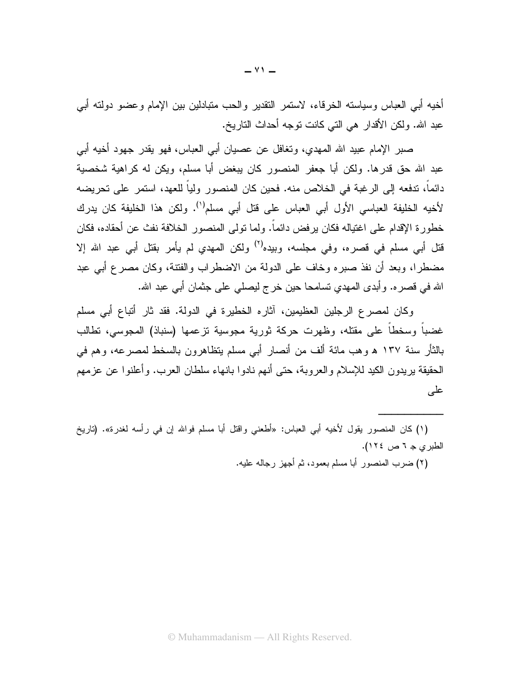أخيه أبي العباس وسياسته الخرقاء، لاستمر النقدير والحب متبادلين بين الإمام وعضو دولته أبي عبد الله. ولكن الأقدار هي التي كانت نوجه أحداث الناريخ.

صبر الإمام عبيد الله المهدى، وتغافل عن عصبيان أبي العباس، فهو يقدر جهود أخيه أبي عبد الله حق قدرها. ولكن أبا جعفر المنصور كان يبغض أبا مسلم، ويكن له كراهية شخصية دائماً، تدفعه إلى الرغبة في الخلاص منه. فحين كان المنصور ولياً للعهد، استمر على تحريضه لأخيه الخليفة العباسي الأول أبي العباس على قتل أبي مسلم<sup>(١)</sup>. ولكن هذا الخليفة كان يدرك خطورة الإقدام على اغتياله فكان يرفض دائماً. ولما تولى المنصور الخلافة نفث عن أحقاده، فكان قتل أبي مسلم في قصر ه، وفي مجلسه، وبيده<sup>(٢)</sup> ولكن المهدى لم يأمر بقتل أبي عبد الله إلا مضطرا، وبعد أن نفذ صبره وخاف على الدولة من الاضطراب والفتنة، وكان مصرع أبي عبد الله في قصره. وأبدى المهدي نسامحا حين خرج ليصلي على جثمان أبي عبد الله.

وكان لمصرع الرجلين العظيمين، آثاره الخطيرة في الدولة. فقد ثار أتباع أبي مسلم غضباً وسخطاً على مقتله، وظهرت حركة ثورية مجوسية نزعمها (سنباذ) المجوسي، نطالب بالثأر سنة ١٣٧ ﻫ وهب مائة ألف من أنصار أبي مسلم بتظاهرون بالسخط لمصرعه، وهم في الحقيقة بريدون الكيد للإسلام والعروبة، حتى أنهم نادوا بانهاء سلطان العرب. وأعلنوا عن عزمهم على

(١) كان المنصور يقول لأخيه أبي العباس: «أطعني واقتل أبا مسلم فوالله إن في رأسه لغدرة». (تاريخ الطبري ج ٦ ص ١٢٤).

(٢) ضرب المنصور أبا مسلم بعمود، ثم أجهز رجاله عليه.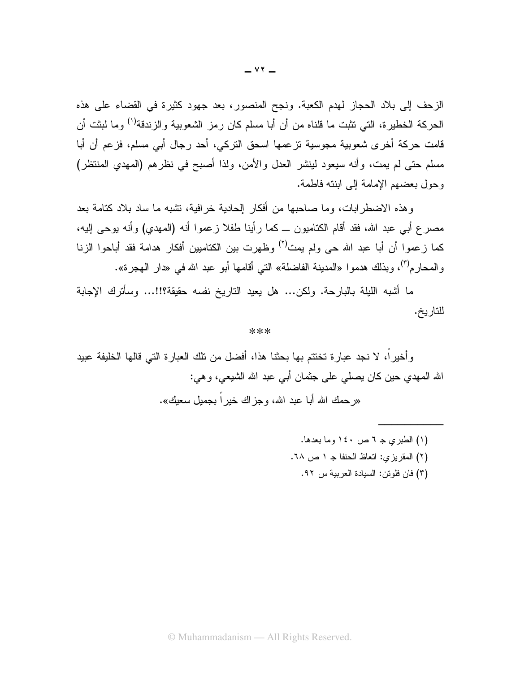الزحف إلى بلاد الحجاز لهدم الكعبة. ونجح المنصور، بعد جهود كثيرة في القضاء على هذه الحركة الخطيرة، التي تثبت ما قلناه من أن أبا مسلم كان رمز الشعوبية والزندقة<sup>(١)</sup> وما لبثت أن قامت حركة أخرى شعوبية مجوسية نزعمها اسحق النركي، أحد رجال أبي مسلم، فزعم أن أبا مسلم حتى لم يمت، وأنه سيعود لينشر العدل والأمن، ولذا أصبح في نظرهم (المهدي المنتظر) وحول بعضهم الإمامة إلى ابنته فاطمة.

و هذه الاضطر ابات، وما صاحبها من أفكار الحادية خر افية، نشبه ما ساد بلاد كتامة بعد مصرع أبـي عبد الله، فقد أقام الكتاميون ـــ كما رأينا طفلا زعموا أنـه (المـهدي) وأنـه يوحـي إليـه، كما زعموا أن أبا عبد الله حي ولم يمت<sup>(٢)</sup> وظهرت بين الكتاميين أفكار هدامة فقد أباحوا الزنا و المحار م<sup>(٣)</sup>، وبذلك هدمو ا «المدينة الفاضلة» التي أقامها أبو عبد الله في «دار الـهجر ة».

ما أشبه الليلة بالبارحة. ولكن... هل يعيد الناريخ نفسه حقيقة؟!!... وسأترك الإجابة للتاريخ.

## \*\*\*

وأخيراً، لا نجد عبارة تختتم بها بحثنا هذا، أفضل من تلك العبارة التي قالها الخليفة عبيد الله المهدي حين كان يصلَّى على جثمان أبـي عبد الله الشيعي، و هي:

«رحمك الله أبا عبد الله، وجز اك خبر اَ بجمبل سعبك».

- (١) الطبري جـ ٦ ص ١٤٠ وما بعدها. (٢) المقريزي: اتعاظ الحنفا جـ ١ ص ٦٨.
- - (٣) فان فلوتن: السيادة العربية س ٩٢.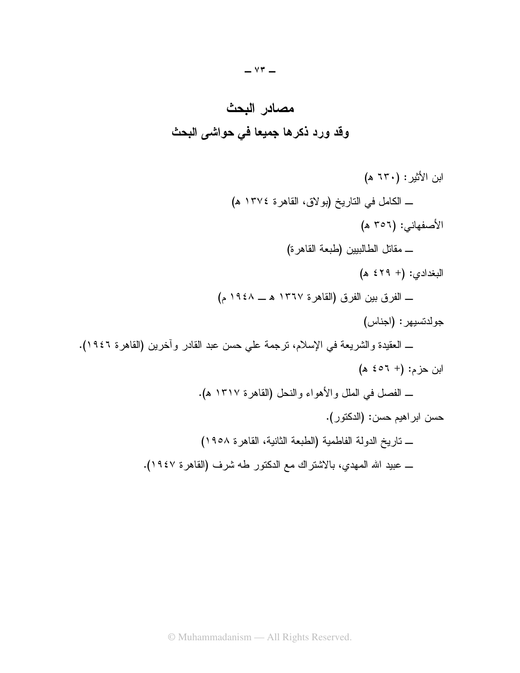

ابن الأثير : (٦٣٠ هـ) ــ الكامل في الناريخ (بولاق، القاهرة ١٣٧٤ ه) الأصفهاني: (٣٥٦ ه) \_ مقاتل الطالبيين (طبعة القاهرة) ـــــ الفرق بين الفرق (القاهرة ١٣٦٧ هـــ ١٩٤٨ م) جولدنسيهر : (اجناس) \_ العقيدة والشريعة في الإسلام، ترجمة على حسن عبد القادر وأخرين (القاهرة ١٩٤٦).  $(x 3 + 1)$  (4)  $x = 2$ ـ الفصل في الملل والأهواء والنحل (القاهرة ١٣١٧ ه). حسن ابراهيم حسن: (الدكتور). ـ تاريخ الدولة الفاطمية (الطبعة الثانية، القاهرة ١٩٥٨) ــ عبيد الله المهدي، بالاشتراك مع الدكتور طه شرف (القاهرة ١٩٤٧).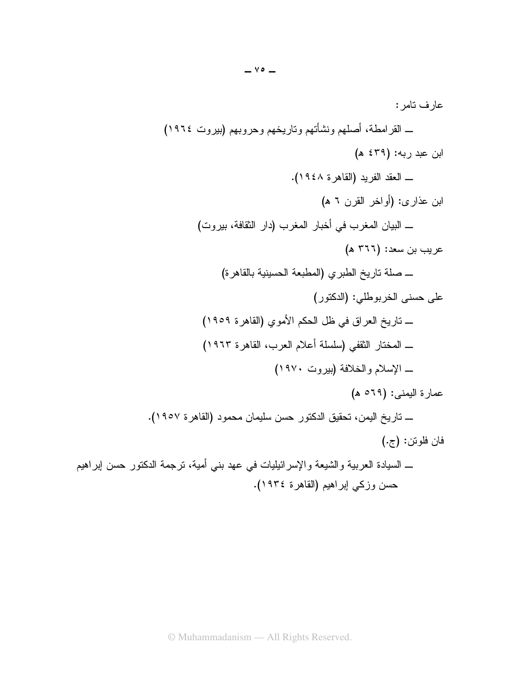. : ) We\_]( "06 "0) "0D \* "0( \$ T  ' ) :]\e ( ) GWe]^.(   T  )\_ ( /- ) : ( \$&I ) 5K ) %& 5K  T ) :\\_\_ ( 1 5 ( G \$ \* 16 \$) 8 \$( T ) :,( %() \*16 ( 8H ",6) GWebe(  A %& 7 T We\_\( G 5 "= \$(1(1) %I ) T ) Wecd( \$&=) "=1F T ) :b\_e ( \*  G ) GWebc.( 6 (1 16 , 7 6  T (& &) :>.( " E 16 , \$ \$ %\* 0 %& ( 91F \$  \$  G 1 T ) GWe\].( " E %,3 16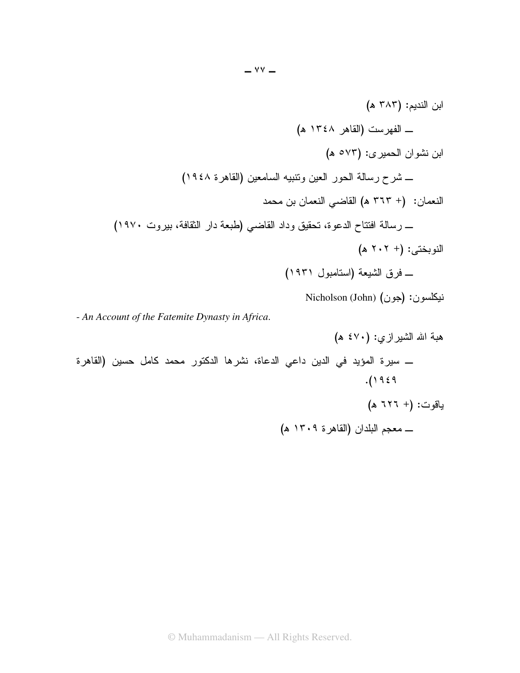نيكلسون: (جون) Nicholson (John)

- An Account of the Fatemite Dynasty in Africa.